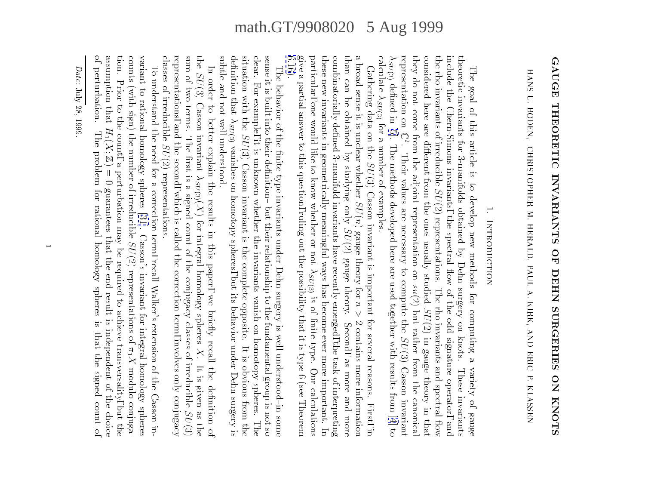# GAUGE THEORETIC INVARIANTS OF DEHN SURGERIES ON KNOTS

HANS U. BODEN, CHRISTOPHER M. HERALD, PAUL A. KIRK, AND ERIC P. KLASSEN HANS U. BODEN,CHRISTOPHER M. HERALD, PAUL A. KIRK, AND ERIC P. KLASSEN

# 1. INTRODUCTION 1.Introduction

they do not come from the adjoint representation on  $su(2)$  but rather from the canonical the rho invariants of irreducible  $SU(2)$  representations. The rho invariants and spectral flow include the Chern-Simons invariants, the spectral flow of the odd signature operator, and theoretic invariants for 3-manifolds obtained by Dehn surgery on knots. These invariants calculate  $\lambda_{SU(3)}$  for a number of examples. considered here are different from the ones usually studied  $SU(2)$  in gauge theory in that calculated c  $\lambda_{SU(3)}$  defined in [5]. The methods developed here are used together with results from [4] to SU(3)representation onthey do not come from the adjoint representation onconsidered here are dierent from the ones usually studiedinclude the Chern-Simons invariants, the spectral 
ow of the odd signature operator, andtheoretic invariants for 3-manifolds obtained by Dehn surgery on knots.The goal of this article is to develop new methods for computing a variety of gauge The goal of this article is to develop new methods for computing a variety of gauge  $\frac{1}{2}$  denedin [\[5](#page-61-0)]. The methods developed here are used together with results from [\[4](#page-61-0)] to SU(3) for a number of examples. $\overline{\phantom{a}}$ 2<br>2<br>2 . Their values are necessary to compute the SU(2) representations. The rho invariants and spectral 
ow su(2) but rather from the canonicalSU(2) in the case of the case of the case of the case of the case of the case of the case of the case of the case of the case of the case of the case of the case of the case of the case of the case of the case of the case SU(3) Casson invariant

 $6.16$ . give a partial answer to this question, ruling out the possibility that it is type 6 (see Theorem particular, one would like to know whether or not  $\lambda_{SU(3)}$  is of finite type. Our calculations these new invariants in geometrically meaningful ways has become ever more important. In a broad sense it is unclear whether  $SU(n)$  gauge theory for  $n > 2$  contains more information than can be obtained by studying only  $SU(2)$  gauge theory. Second, as more and more combinatorially defined 3-manifold invariants have recently emerged, the task of interpreting [6.16](#page-59-0)).give a partial answer to this question, ruling out the possibility that it is type 6 (see Theorem 2 (see Theorem 2 (see Theorem 2 (see Theorem 2 (see Theorem 2 (see Theorem 2 (see Theorem 2 (see Theorem 2 (see Theorem 2 (s particular, one would like to know whether or notthese new invariants in geometrically mean  $\frac{1}{2}$ combinatorially dependent and task of invariants have recently emerged, the task of interpreting emerged, the task of interpreting interpreting interpreting interpreting in the task of interpreting interpreting in the task  $t = t$  by studying only  $t = t$ Gathering data on the  $SU(3)$  Casson invariant is important for several reasons. First, in Gathering data on the SU(3) Casson invariant is important for several reasons. First, in $S = \frac{1}{2}$ SU(2) gauge theory. SU(3) is of nite type. Our calculationsSecond, as more and more

subtle and not well understood. definition that  $\lambda_{SU(3)}$  vanishes on homotopy spheres, but its behavior under Dehn surgery is situation with the  $SU(3)$  Casson invariant is the complete opposite. It is obvious from the clear. For example, it is unknown whether the invariants vanish on homotopy spheres. The sense it is built into their definition-but their relationship to the fundamental group is not so situation with theclear. For example, it is unknown whether the invariants vanish on homotopy spheres. Thesense it is built into their denition{ but their relationship to the fundamental group is not so The behavior of the finite type invariants under Dehn surgery is well understood-in some The behavior of the nite type invariants under Dehn surgery is well understood{in some SU(3) SU(3) Casson invariant is the complete opposite. It is obvious from thevanishes on homotopy spheres, but its behavior under Dehn surgery is

representations, and the second, which is called the correction term, involves only conjugacy sum of two terms. The first is a signed count of the conjugacy classes of irreducible  $SU(3)$ the  $SU(3)$  Casson invariant  $\lambda_{SU(3)}(X)$  for integral homology spheres X. It is given as the classes of irreducible  $SU(2)$  representations. representations, and the second, which is called the correction term, involves only conjugacy $s$  two terms. The count of the count of the count of the count of the conjugacy classes of the conjugacy count of the count of the conjugacy count of the conjugacy count of the conjugacy count of the conjugacy conjugacy theIn order to better explain the results in this paper, we briefly recall the definition of In order to better explain the results in this paper, we brie
y recall the denition of SU(3) Casson invariant SU(2) representations. SU(3)(X) for integral homology spheres $\frac{1}{2}$ SU(3)

assumption that  $H_1(X; \mathbb{Z}) = 0$  guarantees that the end result is independent of the choice of perturbation. The problem for rational homology spheres is that the signed count of tion. Prior to the count, a perturbation may be required to achieve transversality, but the counts (with sign) the number of irreducible  $SU(2)$  representations of  $\pi_1 X$  modulo conjugavariant to rational homology spheres [31]. Casson's invariant for integral homology spheres of perturbation.assumption thattion. Prior to the count, a perturbation may be required to achieve transversality, but thecounts (with sign) the number of irreduciblevariant to rational homology spheres [\[31\]](#page-62-0). Casson's invariant for integral homology spheresTo understand the need for a correction term, recall Walker's extension of the Casson in-To understand the need for a correction term, recall Walker's extension of the Casson in- $\frac{1}{2}$  The problem for rational homology spheres is that the signed count of  $Z$ ) = 0 guarantees that the end result is independent of the end result is independent of the choice  $Z$  SU(2) representations of 1Xmodulo conjuga-

<span id="page-0-0"></span>Date: July 28, 1999.Date: July 28, 1999.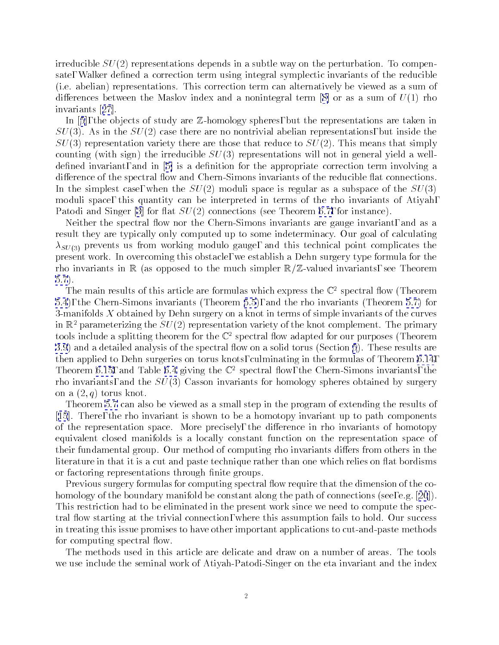irreducible  $SU(2)$  representations depends in a subtle way on the perturbation. To compensate, Walker defined a correction term using integral symplectic invariants of the reducible (i.e. abelian) representations. This correction term can alternatively be viewed as a sum of differencesbetween the Maslov index and a nonintegral term  $[8]$  $[8]$  or as a sum of  $U(1)$  rho invariants[[27](#page-62-0)].

In[[5](#page-61-0)], the objects of study are  $\mathbb Z$ -homology spheres, but the representations are taken in  $SU(3)$ . As in the  $SU(2)$  case there are no nontrivial abelian representations, but inside the  $SU(3)$  representation variety there are those that reduce to  $SU(2)$ . This means that simply counting (with sign) the irreducible  $SU(3)$  representations will not in general yield a well-definedinvariant, and in [[5\]](#page-61-0) is a definition for the appropriate correction term involving a difference of the spectral flow and Chern-Simons invariants of the reducible flat connections. In the simplest case, when the  $SU(2)$  moduli space is regular as a subspace of the  $SU(3)$ moduli space, this quantity can be interpreted in terms of the rho invariants of Atiyah, Patodi and Singer [\[3](#page-61-0)] for flat  $SU(2)$  connections (see Theorem [6.7,](#page-48-0) for instance).

Neither the spectral flow nor the Chern-Simons invariants are gauge invariant, and as a result they are typically only computed up to some indeterminacy. Our goal of calculating  $\lambda_{SU(3)}$  prevents us from working modulo gauge, and this technical point complicates the present work. In overcoming this obstacle, we establish a Dehn surgery type formula for the rho invariants in  $\mathbb R$  (as opposed to the much simpler  $\mathbb R/\mathbb Z$ -valued invariants, see Theorem [5.7](#page-39-0)).

The main results of this article are formulas which express the  $\mathbb{C}^2$  spectral flow (Theorem [5.4](#page-33-0)), the Chern-Simons invariants (Theorem [5.5](#page-34-0)), and the rho invariants (Theorem [5.7\)](#page-39-0) for 3-manifolds  $X$  obtained by Dehn surgery on a knot in terms of simple invariants of the curves in  $\mathbb{R}^2$  parameterizing the  $SU(2)$  representation variety of the knot complement. The primary tools include a splitting theorem for the  $\mathbb{C}^2$  spectral flow adapted for our purposes (Theorem [3.9](#page-19-0)) and a detailed analysis of the spectral flow on a solid torus (Section [5](#page-31-0)). These results are then applied to Dehn surgeries on torus knots, culminating in the formulas of Theorem [6.14](#page-57-0), Theorem [6.15,](#page-58-0) and Table [6.4](#page-58-0) giving the  $\mathbb{C}^2$  spectral flow, the Chern-Simons invariants, the rho invariants, and the  $SU(3)$  Casson invariants for homology spheres obtained by surgery on a  $(2,q)$  torus knot.

Theorem [5.7](#page-39-0) can also be viewed as a small step in the program of extending the results of [[15](#page-61-0)]. There, the rho invariant is shown to be a homotopy invariant up to path components of the representation space. More precisely, the difference in rho invariants of homotopy equivalent closed manifolds is a locally constant function on the representation space of their fundamental group. Our method of computing rho invariants differs from others in the literature in that it is a cut and paste technique rather than one which relies on flat bordisms or factoring representations through finite groups.

Previous surgery formulas for computing spectral flow require that the dimension of the co-homologyof the boundary manifold be constant along the path of connections (see, e.g. [[20](#page-61-0)]). This restriction had to be eliminated in the present work since we need to compute the spectral flow starting at the trivial connection, where this assumption fails to hold. Our success in treating this issue promises to have other important applications to cut-and-paste methods for computing spectral flow.

The methods used in this article are delicate and draw on a number of areas. The tools we use include the seminal work of Atiyah-Patodi-Singer on the eta invariant and the index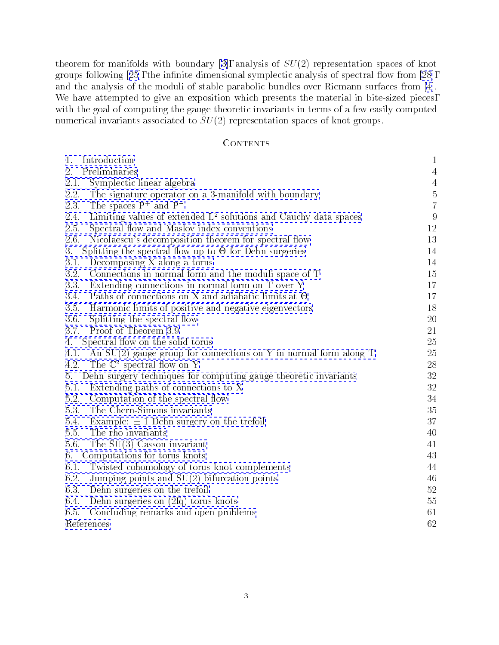theoremfor manifolds with boundary [[3\]](#page-61-0), analysis of  $SU(2)$  representation spaces of knot groupsfollowing  $[25]$  $[25]$  $[25]$ , the infinite dimensional symplectic analysis of spectral flow from  $[28]$ , and the analysis of the moduli of stable parabolic bundles over Riemann surfaces from [\[4\]](#page-61-0). We have attempted to give an exposition which presents the material in bite-sized pieces, with the goal of computing the gauge theoretic invariants in terms of a few easily computed numerical invariants associated to  $SU(2)$  representation spaces of knot groups.

# **CONTENTS**

| 1.<br>Introduction                                                         | $\mathbf{1}$   |  |  |  |  |
|----------------------------------------------------------------------------|----------------|--|--|--|--|
| Preliminaries<br>2.                                                        | 4              |  |  |  |  |
| 2.1.<br>Symplectic linear algebra                                          | $\overline{4}$ |  |  |  |  |
| 2.2.<br>The signature operator on a 3-manifold with boundary               | $\rm 5$        |  |  |  |  |
| The spaces $P^+$ and $P^-$<br>2.3.                                         | $\overline{7}$ |  |  |  |  |
| Limiting values of extended $L^2$ solutions and Cauchy data spaces<br>2.4. | 9              |  |  |  |  |
| $2.5.$<br>Spectral flow and Maslov index conventions                       | 12             |  |  |  |  |
| 2.6.<br>Nicolaescu's decomposition theorem for spectral flow               | 13             |  |  |  |  |
| 3.<br>Splitting the spectral flow up to $\Theta$ for Dehn surgeries        | 14             |  |  |  |  |
| 3.1.<br>Decomposing X along a torus                                        | 14             |  |  |  |  |
| 3.2.<br>Connections in normal form and the moduli space of T               | 15             |  |  |  |  |
| Extending connections in normal form on T over Y<br>3.3.                   | 17             |  |  |  |  |
| Paths of connections on X and adiabatic limits at $\Theta$<br>3.4.         | 17             |  |  |  |  |
| 3.5.<br>Harmonic limits of positive and negative eigenvectors              | 18             |  |  |  |  |
| 3.6.<br>Splitting the spectral flow                                        | 20             |  |  |  |  |
| Proof of Theorem 3.9<br>3.7.                                               | 21             |  |  |  |  |
| Spectral flow on the solid torus<br>4.                                     |                |  |  |  |  |
| An $SU(2)$ gauge group for connections on Y in normal form along T<br>4.1. | 25             |  |  |  |  |
| The $\mathbb{C}^2$ spectral flow on Y<br>4.2.                              | $28\,$         |  |  |  |  |
| Dehn surgery techniques for computing gauge theoretic invariants<br>5.     | 32             |  |  |  |  |
| Extending paths of connections to X<br>5.1.                                | $32\,$         |  |  |  |  |
| 5.2.<br>Computation of the spectral flow                                   | 34             |  |  |  |  |
| 5.3.<br>The Chern-Simons invariants                                        | 35             |  |  |  |  |
| 5.4.<br>Example: $\pm$ 1 Dehn surgery on the trefoil                       | 37             |  |  |  |  |
| 5.5.<br>The rho invariants                                                 | 40             |  |  |  |  |
| 5.6.<br>The $SU(3)$ Casson invariant                                       | 41             |  |  |  |  |
| Computations for torus knots<br>6.                                         | 43             |  |  |  |  |
| 6.1.<br>Twisted cohomology of torus knot complements                       | 44             |  |  |  |  |
| 6.2.<br>Jumping points and $SU(2)$ bifurcation points                      | 46             |  |  |  |  |
| 6.3.<br>Dehn surgeries on the trefoil                                      | 52             |  |  |  |  |
| 6.4.<br>Dehn surgeries on $(2,q)$ torus knots                              | 55             |  |  |  |  |
| 6.5.<br>Concluding remarks and open problems                               | 61             |  |  |  |  |
| References                                                                 | 62             |  |  |  |  |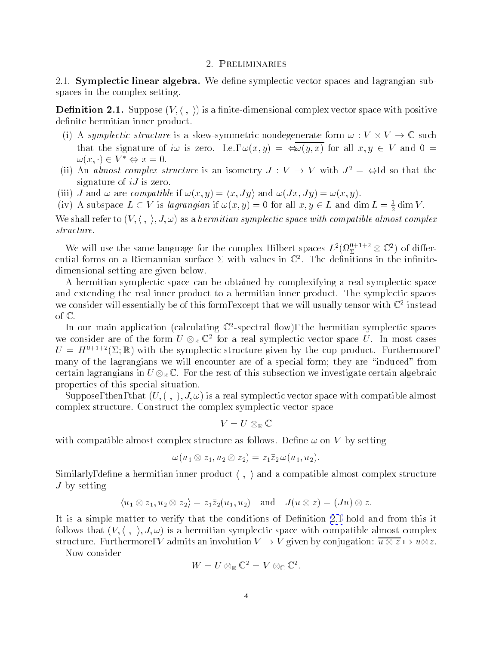# 2. Preliminaries

<span id="page-3-0"></span>2.1. Symplectic linear algebra. We define symplectic vector spaces and lagrangian subspaces in the complex setting.

**Definition 2.1.** Suppose  $(V, \langle , \rangle)$  is a finite-dimensional complex vector space with positive definite hermitian inner product.

- (i) as symplectic structure is a skew-symmetric nondegenerate form  $\mathcal{A}$   $\mathcal{A}$   $\mathcal{A}$   $\mathcal{A}$  .  $\mathcal{A}$   $\mathcal{A}$   $\mathcal{A}$   $\mathcal{A}$   $\mathcal{A}$   $\mathcal{A}$   $\mathcal{A}$   $\mathcal{A}$   $\mathcal{A}$   $\mathcal{A}$  that the signature of iw is zero. I.e.,  $\omega(x, y) = \bigoplus \overline{\omega(y, x)}$  for all  $x, y \in V$  and  $0 =$  $\omega(x, \cdot) \in V^* \Leftrightarrow x = 0.$
- (ii) An almost complex structure is an isometry  $J: V \to V$  with  $J^2 = \Leftrightarrow$  Id so that the signature of  $iJ$  is zero.
- (iii) J and  $\omega$  are compatible if  $\omega(x, y) = \langle x, Jy \rangle$  and  $\omega(Jx, Jy) = \omega(x, y)$ .
- (iv) A subspace  $L \subset V$  is *iagrangian* if  $\omega(x, y) = 0$  for all  $x, y \in L$  and dim  $L = \frac{1}{2}$  dim V.

We shall refer to  $(V, \langle , \rangle, J, \omega)$  as a hermitian symplectic space with compatible almost complex

We will use the same language for the complex Hilbert spaces  $L^2(\Omega_\Sigma^{1+\frac{1}{2}-\infty}\mathbb{C}^-)$  of differential forms on a Kiemannian surface  $\vartriangle$  with values in  $\mathbb{C}^+$  . The definitions in the infinitedimensional setting are given below.

A hermitian symplectic space can be obtained by complexifying a real symplectic space and extending the real inner product to a hermitian inner product. The symplectic spaces we consider will essentially be of this form, except that we will usually tensor with  $\mathbb{C}^+$  instead  $$ of  $\mathbb{C}$ .

In our main application (calculating  $\mathbb{C}$ -spectral now), the hermitian symplectic spaces we consider are of the form  $U\otimes_\mathbb{R} \mathbb{C}^\ast$  for a real symplectic vector space  $U$ . In most cases  $U = H^{0+1+2}(\Sigma;\mathbb{R})$  with the symplectic structure given by the cup product. Furthermore, many of the lagrangians we will encounter are of a special form; they are "induced" from certain lagrangians in U RC . For the rest of this subsection we investigate certain algebraic properties of this special situation.

Suppose, then, that  $(U, , \cdot), J, \omega)$  is a real symplectic vector space with compatible almost complex structure. Construct the complex symplectic vector space

$$
V=U\otimes_{\mathbb R}{\mathbb C}
$$

with compatible almost complex structure as follows. Define  $\omega$  on V by setting

$$
\omega(u_1\otimes z_1,u_2\otimes z_2)=z_1\bar{z}_2\,\omega(u_1,u_2).
$$

Similarly, define a hermitian inner product  $\langle , \rangle$  and a compatible almost complex structure  $J$  by setting

$$
\langle u_1 \otimes z_1, u_2 \otimes z_2 \rangle = z_1 \overline{z}_2(u_1, u_2) \text{ and } J(u \otimes z) = (Ju) \otimes z.
$$

It is a simple matter to verify that the conditions of Definition 2.1 hold and from this it follows that  $(V, \langle , \rangle, J, \omega)$  is a hermitian symplectic space with compatible almost complex structure. Furthermore, V admits and involution V . Given by conjugation: u U . U . William

Now consider

$$
W=U\otimes_{\mathbb R}{\mathbb C}^2=V\otimes_{\mathbb C}{\mathbb C}^2.
$$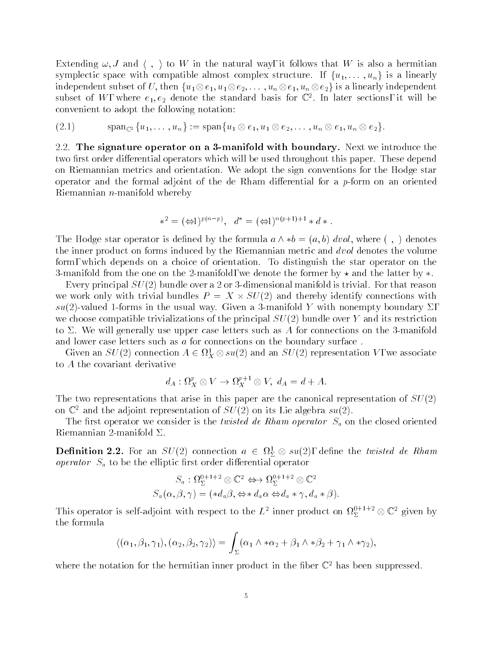<span id="page-4-0"></span>Extending  $\omega, J$  and  $\langle , \rangle$  to W in the natural way, it follows that W is also a hermitian symplectic space with compatible almost complex structure. If  $\{u_1,\ldots,u_n\}$  is a linearly independent subset of U; then function  $\mu$  end function  $u$  is a linearly independent of  $\mu$ subset of  $W$ , where  $e_1, e_2$  denote the standard basis for  $\mathbb{C}^+$ . In later sections, it will be convenient to adopt the following notation:

$$
(2.1) \qquad \qquad \operatorname{span}_{\mathbb{C}^2}\{u_1,\ldots,u_n\}:=\operatorname{span}\{u_1\otimes e_1,u_1\otimes e_2,\ldots,u_n\otimes e_1,u_n\otimes e_2\}.
$$

2.2. The signature operator on a 3-manifold with boundary. Next we introduce the two first order differential operators which will be used throughout this paper. These depend on Riemannian metrics and orientation. We adopt the sign conventions for the Hodge star operator and the formal adjoint of the de Rham differential for a  $p$ -form on an oriented Riemannian n-manifold whereby

$$
*^2 = (\Leftrightarrow 1)^{p(n-p)}, \quad d^* = (\Leftrightarrow 1)^{n(p+1)+1} * d *.
$$

The Hodge star operator is defined by the formula  $a \wedge *b = (a, b) \, dvol$ , where  $( , )$  denotes the inner product on forms induced by the Riemannian metric and *dvol* denotes the volume form, which depends on a choice of orientation. To distinguish the star operator on the 3-manifold from the one on the 2-manifold, we denote the former by  $\star$  and the latter by  $\ast$ .

Every principal  $SU(2)$  bundle over a 2 or 3-dimensional manifold is trivial. For that reason we with trivial bundles  $\mathcal{L}$  and thereby identify connections with the supersymmetric with  $\mathcal{L}$  $su(2)$ -valued 1-forms in the usual way. Given a 3-manifold Y with nonempty boundary  $\Sigma$ , we choose compatible trivializations of the principal  $SU(2)$  bundle over Y and its restriction to  $\Sigma$ . We will generally use upper case letters such as A for connections on the 3-manifold and lower case letters such as a for connections on the boundary surface .

Given an  $SU(2)$  connection  $A \in M_X^{\times} \otimes su(2)$  and an  $SU(2)$  representation V, we associate to A the covariant derivative

$$
d_A: \Omega^p_X \otimes V \to \Omega^{p+1}_X \otimes V, \ d_A = d + A.
$$

The two representations that arise in this paper are the canonical representation of  $SU(2)$ on  $\mathbb{C}^2$  and the adjoint representation of  $SU(2)$  on its Lie algebra  $su(2)$ .

The first operator we consider is the *twisted de Rham operator*  $S_a$  on the closed oriented Riemannian 2-manifold  $\Sigma$ .

**Definition 2.2.** For an  $SU(2)$  connection  $a \in M_{\Sigma} \otimes su(2)$ , define the twisted de Rham operator  $S_a$  to be the elliptic first order differential operator

$$
S_a: \Omega^{0+1+2}_{\Sigma} \otimes \mathbb{C}^2 \Leftrightarrow \Omega^{0+1+2}_{\Sigma} \otimes \mathbb{C}^2
$$
  

$$
S_a(\alpha, \beta, \gamma) = (*d_a\beta, \Leftrightarrow *d_a\alpha \Leftrightarrow d_a * \gamma, d_a * \beta).
$$

This operator is self-adjoint with respect to the L<sup>2</sup> inner product on  $\Omega_{\Sigma}^{1+\gamma-1}\otimes\mathbb{C}^2$  given by the formula

$$
\langle (\alpha_1, \beta_1, \gamma_1), (\alpha_2, \beta_2, \gamma_2) \rangle = \int_{\Sigma} (\alpha_1 \wedge * \alpha_2 + \beta_1 \wedge * \beta_2 + \gamma_1 \wedge * \gamma_2),
$$

where the notation for the hermitian inner product in the fiber  $\mathbb{C}^2$  has been suppressed.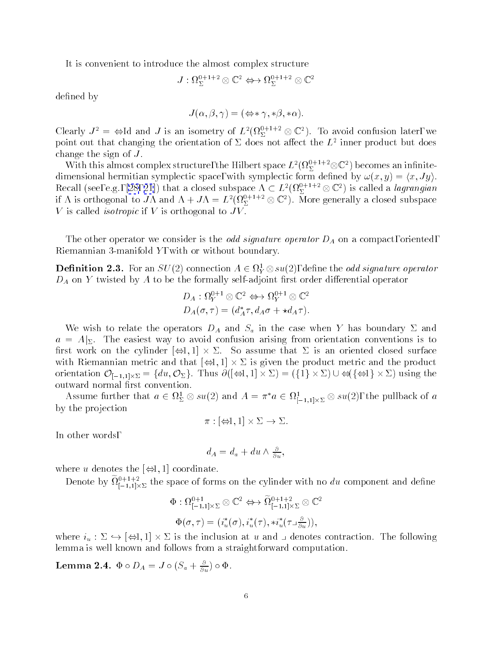It is convenient to introduce the almost complex structure

$$
J:\Omega^{0+1+2}_\Sigma\otimes {\mathbb C}^2 \Leftrightarrow \Omega^{0+1+2}_\Sigma\otimes {\mathbb C}^2
$$

defined by

$$
J(\alpha, \beta, \gamma) = (\Leftrightarrow \gamma, \ast \beta, \ast \alpha).
$$

Clearly  $J^* = \Leftrightarrow$  Id and  $J$  is an isometry of  $L^*(M_\Sigma^{++} \otimes \mathbb{C}^*)$ . To avoid confusion later, we point out that changing the orientation of  $\varDelta$  does not allect the  $L$  -inner product but does change the sign of  $\mathcal{L}$  . The sign of  $\mathcal{L}$  is a sign of  $\mathcal{L}$ 

With this almost complex structure, the Hilbert space  $L^2(M_\Sigma^{12} \cap \mathbb{C} \mathbb{C}^2)$  becomes an infinitedimensional hermitian symplectic space, with symplectic space, with symplectic form density  $\mathbf{X}^T$ Recall(see, e.g., [\[28,](#page-62-0) [21](#page-61-0)]) that a closed subspace  $\Lambda \subset L^2(M_\Sigma^{1+\gamma-1}\otimes \mathbb{C}^2)$  is called a *lagrangian* if A is orthogonal to JA and  $\Lambda + J\Lambda = L^2(M_\Sigma^{e^+e^+e^-}\otimes \mathbb{C}^*)$ . More generally a closed subspace V is called *isotropic* if V is orthogonal to  $JV$ .

The other operator we consider is the *odd signature operator*  $D_A$  on a compact, oriented, Riemannian 3-manifold  $Y$ , with or without boundary.

**Definition 2.3.** For an  $SU(2)$  connection  $A \in \Omega_Y^1 \otimes SU(2)$ , define the *odd signature operator*  $D_A$  on Y twisted by A to be the formally self-adjoint first order differential operator

$$
D_A: \Omega_Y^{0+1} \otimes \mathbb{C}^2 \Leftrightarrow \Omega_Y^{0+1} \otimes \mathbb{C}^2
$$
  

$$
D_A(\sigma, \tau) = (d_A^* \tau, d_A \sigma + \star d_A \tau).
$$

We wish to relate the operators  $D_A$  and  $S_a$  in the case when Y has boundary  $\Sigma$  and  $a = A|_{\Sigma}$ . The easiest way to avoid confusion arising from orientation conventions is to rst work on the cylinder [1; 1] - . So assume that is an oriented closed surface with Riemannian metric and that  $\mathcal{I}_{1}$  ,  $\mathcal{I}_{2}$  -  $\mathcal{I}_{3}$  -  $\mathcal{I}_{4}$  , and the product metric product metric and the product metric metric and the product metric metric metric metric metric metric metric metr orientation Office Of Og. Thus and Office Of Orientation Office Of Og. Thus And Office Office Office Office Of outward normal first convention.

Assume further that  $a \in \Omega_{\Sigma} \otimes su(2)$  and  $A = \pi \ a \in \Omega_{[-1,1] \times \Sigma} \otimes su(2)$ , the pullback of  $a$ by the projection

$$
\pi : [\Leftrightarrow 1, 1] \times \Sigma \to \Sigma.
$$

In other words,

$$
d_A = d_a + du \wedge \frac{\partial}{\partial u},
$$

where u denotes the  $\left[\rightleftharpoons 1, 1\right]$  coordinate.

Denote by  $\mathfrak{U}^{\left[-1,1\right] \times \Sigma}_{[-1,1] \times \Sigma}$  the space of forms on the cylinder with no du component and define

$$
\Phi: \Omega^{0+1}_{[-1,1] \times \Sigma} \otimes \mathbb{C}^2 \Leftrightarrow \widetilde{\Omega}^{0+1+2}_{[-1,1] \times \Sigma} \otimes \mathbb{C}^2
$$
  

$$
\Phi(\sigma, \tau) = (i_u^*(\sigma), i_u^*(\tau), *i_u^*(\tau \Box \frac{\partial}{\partial u})),
$$

where in the interpretation at the inclusion at understanding at  $\alpha$  and  $\alpha$  and  $\alpha$  and  $\alpha$ lemma is well known and follows from a straightforward computation.

**Lemma 2.4.**  $\Psi \circ D_A = J \circ (\delta_a + \frac{1}{\partial u}) \circ \Psi$ .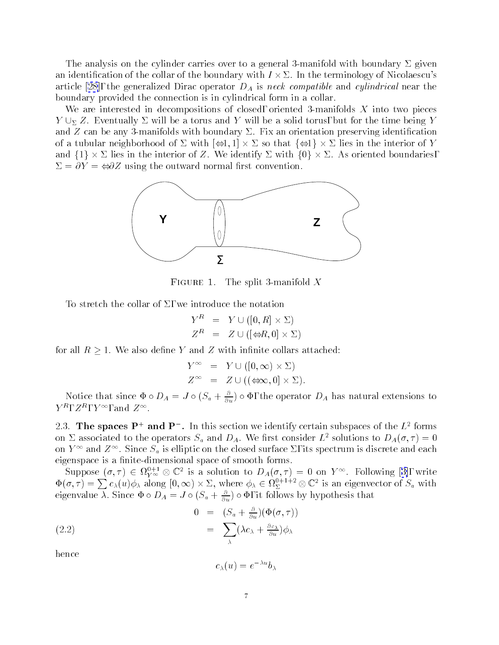<span id="page-6-0"></span>The analysis on the cylinder carries over to a general 3-manifold with boundary  $\Sigma$  given an identification of the collar of the boundary with  $I\times \Sigma$ . In the terminology of Nicolaescu's article [\[28](#page-62-0)], the generalized Dirac operator  $D_A$  is neck compatible and cylindrical near the boundary provided the connection is in cylindrical form in a collar.

We are interested in decompositions of closed, oriented 3-manifolds  $X$  into two pieces  $Y \cup_{\Sigma} Z$ . Eventually  $\Sigma$  will be a torus and Y will be a solid torus, but for the time being Y and  $Z$  can be any 3-manifolds with boundary  $\Sigma$ . Fix an orientation preserving identification  $\alpha$  to the model of the interior of  $\alpha$  in the interior  $\alpha$  in the interior of  $\alpha$ and f1g - lies in the interior of Z. We identify with f0g - . As oriented boundaries,  $\Sigma = \partial Y = \bigoplus Z$  using the outward normal first convention.



FIGURE 1. The split 3-manifold  $\Lambda$ 

To stretch the collar of  $\Sigma$ , we introduce the notation

$$
\begin{array}{lcl} Y^R & = & Y \cup ([0,R] \times \Sigma) \\ Z^R & = & Z \cup ([\Leftrightarrow R,0] \times \Sigma) \end{array}
$$

for all  $R \geq 1$ . We also define Y and Z with infinite collars attached:

$$
Y^{\infty} = Y \cup ([0, \infty) \times \Sigma)
$$
  

$$
Z^{\infty} = Z \cup ((\Leftrightarrow \infty, 0] \times \Sigma).
$$

Notice that since  $\Psi \circ D_A = J \circ (S_a + \frac{\partial}{\partial u}) \circ \Psi$ , the operator  $D_A$  has natural extensions to  $Y^{\top}, Z^{\top}, Y^{\top}$ , and  $Z^{\top}$ .

2.5. The spaces  $P+$  and  $P+$ . In this section we identify certain subspaces of the  $L^2$  forms on  $\Sigma$  associated to the operators  $S_a$  and  $D_A$ . We first consider  $L^2$  solutions to  $D_A(\sigma, \tau) = 0$ on  $Y$  1 and  $Z$  1. Since  $S_a$  is emptic on the closed surface  $Z$ , its spectrum is discrete and each eigenspace is a nite-dimensional space of smooth forms.

Suppose $(\sigma, \tau) \in M_{Y^{\infty}} \otimes \mathbb{C}$  is a solution to  $D_A(\sigma, \tau) = 0$  on  $Y^{\infty}$ . Following [[3\]](#page-61-0), write  $\Phi(\sigma, \tau) = \sum c_{\lambda}(u)\phi_{\lambda}$  along  $[0, \infty) \times \Sigma$ , where  $\phi_{\lambda} \in \Omega_{\Sigma}^{0+1+2} \otimes \mathbb{C}^{2}$  is an eigenvector of  $S_a$  with eigenvalue  $\lambda$ . Since  $\Psi \circ D_A = J \circ (S_a + \frac{\partial}{\partial u}) \circ \Psi$ , it follows by hypothesis that

(2.2) 
$$
0 = (S_a + \frac{\sigma}{\partial u})(\Phi(\sigma, \tau))
$$

$$
= \sum_{\lambda} (\lambda c_{\lambda} + \frac{\partial c_{\lambda}}{\partial u}) \phi_{\lambda}
$$

hence

$$
c_\lambda(u)=e^{-\lambda u}b_\lambda
$$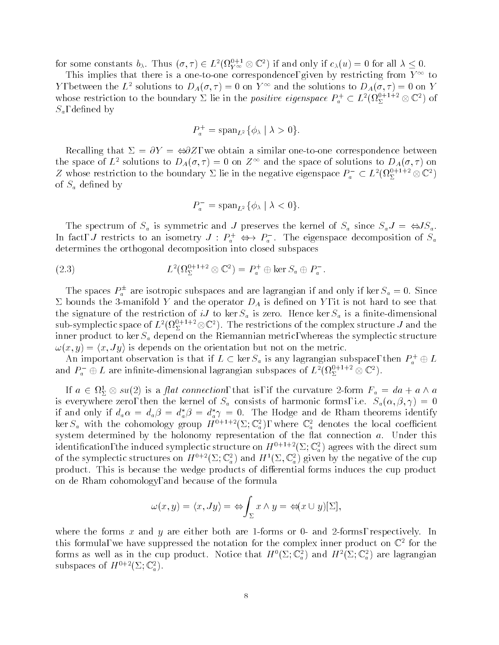<span id="page-7-0"></span>for some constants  $b_\lambda$ . Thus  $(\sigma, \tau) \in L^2(V_{Y^\infty} \otimes \mathbb C^*)$  if and only if  $c_\lambda(u) = 0$  for all  $\lambda \leq 0$ .

I his implies that there is a one-to-one correspondence, given by restricting from Y<sup>11</sup> to r, between the L<sup>2</sup> solutions to  $D_A(\sigma, \tau) = 0$  on r<sup>22</sup> and the solutions to  $D_A(\sigma, \tau) = 0$  on r whose restriction to the boundary  $\vartriangle$  lie in the *positive eigenspace*  $P_a^+ \subset L^2(M_{\Sigma}^{*+1+1}\otimes \mathbb{C}^2)$  of  $S_a$ , defined by

$$
P_a^+ = \operatorname{span}_{L^2}\{\phi_\lambda \mid \lambda > 0\}.
$$

Recalling that  $\Sigma = \partial Y = \Leftrightarrow \partial Z$ , we obtain a similar one-to-one correspondence between the space of L<sup>2</sup> solutions to  $D_A(\sigma, \tau) = 0$  on  $\mathbb{Z}^+$  and the space of solutions to  $D_A(\sigma, \tau)$  on  $Z$  whose restriction to the boundary  $\Sigma$  lie in the negative eigenspace  $P_a^-\subset L^2(\Omega_\Sigma^{1+\gamma-}\otimes\mathbb{C}^2)$ of  $S_a$  defined by

$$
P_a^- = \operatorname{span}_{L^2}\{\phi_\lambda \mid \lambda < 0\}.
$$

The spectrum of  $S_a$  is symmetric and J preserves the kernel of  $S_a$  since  $S_a J = \Leftrightarrow JS_a$ . In fact, J restricts to an isometry  $J : F_a^+ \iff F_a^-$ . The eigenspace decomposition of  $S_a^$ determines the orthogonal decomposition into closed subspaces

(2.3) 
$$
L^2(\Omega^{0+1+2}_\Sigma \otimes \mathbb{C}^2) = P_a^+ \oplus \ker S_a \oplus P_a^-.
$$

The spaces  $F_a^+$  are isotropic subspaces and are lagrangian if and only if  $\ker S_a = 0$ . Since  $\Sigma$  bounds the 3-manifold Y and the operator  $D_A$  is defined on Y, it is not hard to see that the signature of the restriction of iJ to ker  $S_a$  is zero. Hence ker  $S_a$  is a finite-dimensional sub-symplectic space of  $L^2(M_\Sigma^{n^2+1-\otimes i}\mathbb C^2).$  The restrictions of the complex structure  $J$  and the inner product to ker  $S_a$  depend on the Riemannian metric, whereas the symplectic structure  $\omega(x, y) = \langle x, Jy \rangle$  is depends on the orientation but not on the metric.

An important observation is that if  $L \subset \ker S_a$  is any lagrangian subspace, then  $P_a^+ \oplus L^$ and  $P_a^-\oplus L$  are infinite-dimensional lagrangian subspaces of  $L^2({\Omega_\Sigma^{*}}^{*-+1}\otimes\mathbb{C}^*)$ .

If  $a \in \Omega_{\Sigma} \otimes su(2)$  is a *juit connection*, that is, if the curvature 2-form  $r_a = aa + a \wedge a$ is everywhere zero, then the kernel of  $S_a$  consists of harmonic forms, i.e.  $S_a(\alpha, \beta, \gamma) = 0$ if and only if  $d_a \alpha = d_a \beta = d_a^* \beta = d_a^* \gamma = 0$ . The Hodge and de Rham theorems identify ker  $S_a$  with the cohomology group  $H^{0+1+2}(\Sigma; \mathbb{C}_a^2)$ , where  $\mathbb{C}_a^2$  denotes the local coefficient system determined by the holonomy representation of the flat connection  $a$ . Under this identification, the induced symplectic structure on  $H^{0+1+2}(\Sigma; \mathbb{C}_a^2)$  agrees with the direct sum of the symplectic structures on  $H^{0+2}(\Sigma; \mathbb{C}_a^2)$  and  $H^1(\Sigma, \mathbb{C}_a^2)$  given by the negative of the cup product. This is because the wedge products of differential forms induces the cup product on de Rham cohomology, and because of the formula

$$
\omega(x,y) = \langle x, Jy \rangle = \Leftrightarrow \int_{\Sigma} x \wedge y = \Leftrightarrow (x \cup y)[\Sigma],
$$

where the forms x and y are either both are 1-forms or 0- and 2-forms, respectively. In this formula, we have suppressed the notation for the complex inner product on  $\mathbb{C}^\ast$  for the forms as well as in the cup product. Notice that  $H^0(\Sigma; \mathbb{C}^2_a)$  and  $H^2(\Sigma; \mathbb{C}^2_a)$  are lagrangian subspaces of  $H^{0+2}(\Sigma; \mathbb{C}_a^2)$ .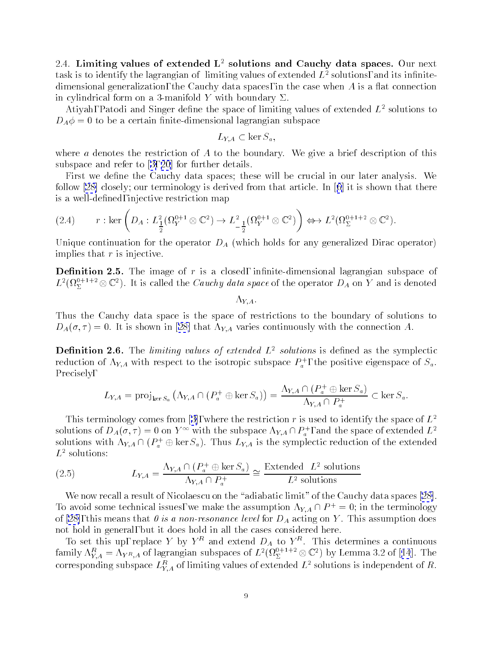<span id="page-8-0"></span>2.4. Limiting values of extended  $L^2$  solutions and Cauchy data spaces. Our next task is to identify the lagrangian of limiting values of extended  $L<sup>2</sup>$  solutions, and its infinitedimensional generalization, the Cauchy data spaces, in the case when  $A$  is a flat connection in cylindrical form on a 3-manifold Y with boundary  $\Sigma$ .

Atiyah, Patodi and Singer define the space of limiting values of extended  $L^2$  solutions to  $D_A \phi = 0$  to be a certain finite-dimensional lagrangian subspace

$$
L_{Y,A}\subset \ker S_a,
$$

where  $a$  denotes the restriction of  $A$  to the boundary. We give a brief description of this subspace and referto[[3, 20](#page-61-0)] for further details.

First we define the Cauchy data spaces; these will be crucial in our later analysis. We follow [\[28](#page-62-0)] closely; our terminology is derived from that article.In[[6](#page-61-0)] it is shown that there is a well-defined, injective restriction map

$$
(2.4) \t r: \ker \left( D_A: L^2_{\frac{1}{2}}(\Omega_Y^{0+1} \otimes \mathbb{C}^2) \to L^2_{-\frac{1}{2}}(\Omega_Y^{0+1} \otimes \mathbb{C}^2) \right) \Leftrightarrow L^2(\Omega_\Sigma^{0+1+2} \otimes \mathbb{C}^2).
$$

Unique continuation for the operator  $D_A$  (which holds for any generalized Dirac operator) implies that  $r$  is injective.

**Definition 2.5.** The image of  $r$  is a closed, infinite-dimensional lagrangian subspace of  $L^2(M_\Sigma^{N-1})^2\otimes\mathbb{C}^2$ ). It is called the Cauchy data space of the operator  $D_A$  on Y and is denoted

 $\Lambda_{YA}$ 

Thus the Cauchy data space is the space of restrictions to the boundary of solutions to  $D_A(\sigma, \tau) = 0$  $D_A(\sigma, \tau) = 0$  $D_A(\sigma, \tau) = 0$ . It is shown in [\[28\]](#page-62-0) that  $\Lambda_{YA}$  varies continuously with the connection A.

**Definition 2.6.** The *limiting values of extended*  $L^2$  solutions is defined as the symplectic reduction of  $\Lambda_{Y,A}$  with respect to the isotropic subspace  $P_a^+$ , the positive eigenspace of  $S_a$ . Precisely,

$$
L_{Y,A} = \text{proj}_{\ker S_a} \left( \Lambda_{Y,A} \cap (P_a^+ \oplus \ker S_a) \right) = \frac{\Lambda_{Y,A} \cap (P_a^+ \oplus \ker S_a)}{\Lambda_{Y,A} \cap P_a^+} \subset \ker S_a.
$$

Thisterminology comes from [[3\]](#page-61-0), where the restriction r is used to identify the space of  $L^2$ solutions of  $D_A(\sigma, \tau) = 0$  on  $Y$  1 with the subspace  $\Lambda_{Y,A} \cap P_{a}^*$ , and the space of extended  $L^*$ solutions with  $\Lambda_{Y,A} \sqcup (F_a^+ \oplus \ker S_a)$ . Thus  $L_{Y,A}$  is the symplectic reduction of the extended  $L^2$  solutions:

(2.5) 
$$
L_{Y,A} = \frac{\Lambda_{Y,A} \cap (P_a^+ \oplus \ker S_a)}{\Lambda_{Y,A} \cap P_a^+} \cong \frac{\text{Extended } L^2 \text{ solutions}}{L^2 \text{ solutions}}
$$

We now recall a result of Nicolaescu on the "adiabatic limit" of the Cauchy data spaces  $[28]$ . To avoid some technical issues, we make the assumption  $\Lambda_{Y,A} \cap P^+ = 0$ ; in the terminology of [\[28\]](#page-62-0), this means that  $\theta$  is a non-resonance level for  $D_A$  acting on Y. This assumption does not hold in general, but it does hold in all the cases considered here.

To set this up, replace Y by Y and extend  $D_A$  to Y  $\ldots$  This determines a continuous family $\Lambda_{Y,A}^{\varphi}=\Lambda_{Y^R,A}$  of lagrangian subspaces of  $L^2(M_\Sigma^{e^{e-1}}\otimes \mathbb{C}^e)$  by Lemma 3.2 of [[14](#page-61-0)]. The corresponding subspace  $L_{Y,A}^\vee$  of limiting values of extended  $L^\ast$  solutions is independent of  $\kappa.$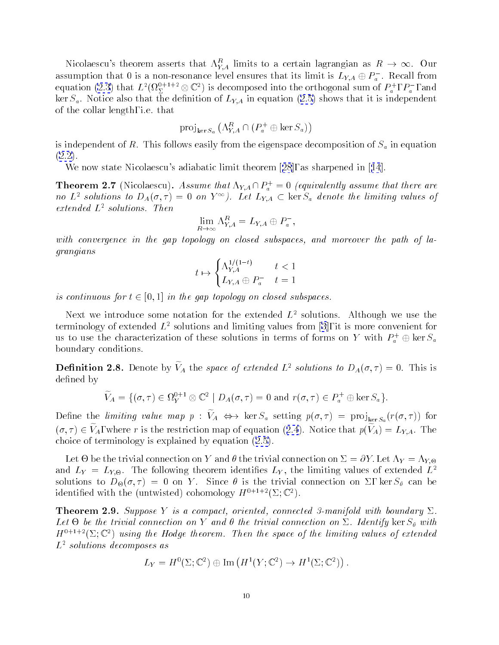<span id="page-9-0"></span>Nicolaescu's theorem asserts that  $\Lambda_{Y\!,A}^R$  limits to a certain lagrangian as  $R\,\rightarrow\,\infty.$  Our assumption that 0 is a non-resonance level ensures that its limit is  $L_{Y,A} \oplus P_a^-$ . Recall from  $a$  . Recall from  $a$  . Recall from  $a$ equation [\(2.3](#page-7-0)) that  $L^2(\Omega_\Sigma^{s+1+\infty}\otimes\mathbb C^*)$  is decomposed into the orthogonal sum of  $P_a^+,P_a^-,$  and .Notice also that the definition of  $\mathcal{L}_{A,A}$  in equation ([2.5\)](#page-8-0) shows that it is independent. of the collar length, i.e. that

$$
\text{proj}_{\ker S_a} \left( \Lambda_{Y,A}^R \cap (P^+_a \oplus \ker S_a) \right)
$$

is independent of R. This follows easily from the eigenspace decomposition of  $S_a$  in equation ([2.2\)](#page-6-0).

We now state Nicolaescu's adiabatic limit theorem[[28](#page-62-0)], as sharpenedin[[14](#page-61-0)].

**Theorem 2.7** (Nicolaescu). Assume that  $N_{A} \cap P_a = 0$  (equivalently assume that there are no L<sup>2</sup> solutions to  $D_A(\sigma, \tau) = 0$  on  $Y^{\pm}$ ). Let  $L_{Y,A} \subset \ker S_a$  denote the limiting values of  $extended L<sup>2</sup> solutions. Then$ 

$$
\lim_{R\to\infty}\Lambda_{Y,A}^R=L_{Y,A}\oplus P_a^-,
$$

with convergence in the gap topology on closed subspaces, and moreover the path of lagrangians

$$
t \mapsto \begin{cases} \Lambda_{Y,A}^{1/(1-t)} & t < 1\\ L_{Y,A} \oplus P_a^- & t = 1 \end{cases}
$$

is continuous for  $t \in [0, 1]$  in the gap topology on closed subspaces.

Next we introduce some notation for the extended  $L^2$  solutions. Although we use the terminology of extended  $L^2$  solutions and limiting values from [\[3\]](#page-61-0), it is more convenient for us to use the characterization of these solutions in terms of forms on Y with  $P_a^+ \oplus \ker S_a^$ boundary conditions.

**Definition 2.8.** Denote by  $V_A$  the space of extended L<sup>-</sup> solutions to  $D_A(\sigma, \tau) = 0$ . This is defined by

$$
\widetilde{V}_A = \{ (\sigma, \tau) \in \Omega_Y^{0+1} \otimes \mathbb{C}^2 \mid D_A(\sigma, \tau) = 0 \text{ and } r(\sigma, \tau) \in P_a^+ \oplus \ker S_a \}.
$$

Define the *uniting value map p :*  $v_A \leftrightarrow$  ker  $\omega_a$  setting  $p(o, \tau) = \text{proj}_{\text{ker }S_a}(\tau(o, \tau))$  for  $(v, \ell) \in V_A$  $(v, \ell) \in V_A$  $(v, \ell) \in V_A$ , where  $\ell$  is the restriction map of equation ([2.4](#page-8-0)). Notice that  $p(V_A) = D_{Y,A}$ . The choice of terminology is explained by equation([2.5\)](#page-8-0).

Let  $\Theta$  be the trivial connection on Y and  $\theta$  the trivial connection on  $\Sigma = \partial Y$ . Let  $\Lambda_Y = \Lambda_{Y,\Theta}$ be the trivial connection on  $Y$  and  $Y$  and  $Y$  =  $Y$  ; Let  $Y$  =  $Y$  ; Let  $Y$  =  $Y$  ; Let  $Y$  =  $Y$  ; Let  $Y$  =  $Y$  ; Let  $Y$  =  $Y$  =  $Y$  =  $Y$  =  $Y$  =  $Y$  =  $Y$  =  $Y$  =  $Y$  =  $Y$  =  $Y$  =  $Y$  =  $Y$  =  $Y$  =  $Y$  =  $Y$  = and  $L_Y \, = \, L_{Y,\Theta}.$  The following theorem identifies  $L_Y,$  the limiting values of extended  $L^$ solutions to D-1 on  $\mathcal{S}$  . Since  $\mathcal{S}$  is the trivial connection on  $\mathcal{S}$  can be trivial connection on  $\mathcal{S}$  can be trivial connection on , we define a set of  $\mathcal{S}$ identified with the (untwisted) cohomology  $H^{0+1+2}(\Sigma; \mathbb{C}^2)$ .

**Theorem 2.9.** Suppose Y is a compact, oriented, connected 3-manifold with boundary  $\Sigma$ .  $L$ et - be the trivial connection on  $I$  and  $I$  and  $I$  and  $I$  and  $I$  and  $I$  with  $I$  and  $I$  with  $I$  $H^{++++}( \Sigma; \mathbb{C}^+)$  using the Hoage theorem. Then the space of the limiting values of extended  $L^2$  solutions decomposes as

$$
L_Y = H^0(\Sigma; \mathbb{C}^2) \oplus \mathrm{Im} (H^1(Y; \mathbb{C}^2) \to H^1(\Sigma; \mathbb{C}^2)).
$$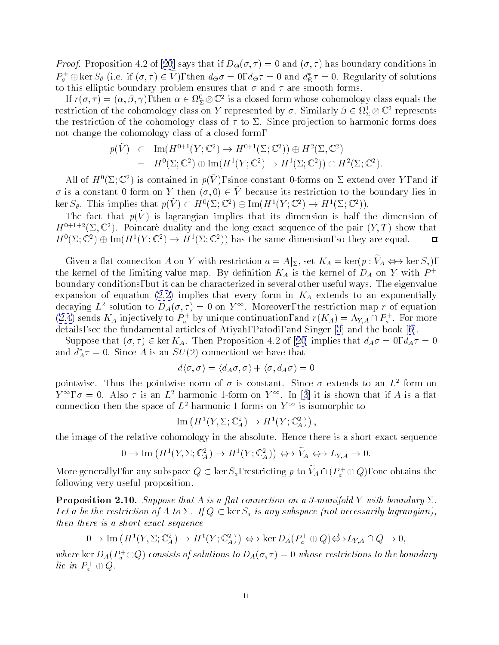<span id="page-10-0"></span>Proof. Proposition 4.2of[[20](#page-61-0)] says that if D-(; ) = 0 and (; ) has boundary conditions in  $P_{\theta}^+ \oplus \text{ker } S_{\theta}$  (i.e. if  $(\sigma, \tau) \in V$ ), then  $d_{\Theta} \sigma = 0$ ,  $d_{\Theta} \tau = 0$  and  $d_{\Theta} \tau = 0$ . Regularity of solutions to this elliptic boundary problem ensures that  $\sigma$  and  $\tau$  are smooth forms.

If  $r(\sigma, \tau) = (\alpha, \beta, \gamma),$  then  $\alpha \in \Omega_{\Sigma} \otimes \mathbb{C}^\ast$  is a closed form whose cohomology class equals the restriction of the cohomology class on Y represented by  $\sigma$ . Similarly  $\rho \in \Omega_{\Sigma} \otimes \mathbb{C}$  represents the restriction of the cohomology class of  $\tau$  to  $\Sigma$ . Since projection to harmonic forms does not change the cohomology class of a closed form,

$$
p(\tilde{V}) \quad \subset \quad \text{Im}(H^{0+1}(Y; \mathbb{C}^2) \to H^{0+1}(\Sigma; \mathbb{C}^2)) \oplus H^2(\Sigma, \mathbb{C}^2)
$$
\n
$$
= H^0(\Sigma; \mathbb{C}^2) \oplus \text{Im}(H^1(Y; \mathbb{C}^2) \to H^1(\Sigma; \mathbb{C}^2)) \oplus H^2(\Sigma; \mathbb{C}^2).
$$

All of  $H^*(\vartriangle; \mathbb{C}^*)$  is contained in  $p(V)$ , since constant 0-forms on  $\vartriangle$  extend over  $Y$  , and if  $\sigma$  is a constant 0 form on Y then  $(\sigma, 0) \in \tilde{V}$  because its restriction to the boundary lies in Ker  $S_\theta$ . This implies that  $p(V) \subset H^1(\Sigma; \mathbb{C}^*) \oplus \text{Im}(H^1(Y; \mathbb{C}^*) \to H^1(\Sigma; \mathbb{C}^*))$ .

The fact that  $p(y)$  is lagrangian implies that its dimension is half the dimension of  $H^{0+1+2}(\Sigma, \mathbb{C}^2)$ . Poincare duality and the long exact sequence of the pair  $(Y, T)$  show that  $\Box$  $H^-(\Sigma;\mathbb{C}^+) \oplus \text{Im}(H^-(Y;\mathbb{C}^+) \to H^-(\Sigma;\mathbb{C}^+)$  has the same dimension, so they are equal.

Given a nat connection A on Y with restriction  $a = A|\Sigma$ , set  $\Lambda_A = \text{ker}(\gamma \cdot \gamma_A \leftrightarrow \text{ker} \omega_a)$ , the kernel of the limiting value map. By definition  $K_A$  is the kernel of  $D_A$  on Y with  $P^+$ boundary conditions, but it can be characterized in several other useful ways. The eigenvalue expansion of equation [\(2.2](#page-6-0)) implies that every form in  $K_A$  extends to an exponentially decaying L solution to  $D_A(\sigma, \tau) = 0$  on Y i. Moreover, the restriction map r of equation ([2.4\)](#page-8-0) sends  $K_A$  injectively to  $P_a^+$  by unique continuation, and  $r(K_A) = N_{Y,A} \sqcup P_a^+$  . For more details, see the fundamental articles of Atiyah, Patodi, and Singer[[3\]](#page-61-0) and the book [\[6\]](#page-61-0).

Supposethat  $(\sigma, \tau) \in \ker K_A$ . Then Proposition 4.2 of [[20](#page-61-0)] implies that  $d_A \sigma = 0$ ,  $d_A \tau = 0$ and  $d_A^* \tau = 0$ . Since A is an  $SU(2)$  connection, we have that

$$
d\langle \sigma,\sigma\rangle=\langle d_A\sigma,\sigma\rangle+\langle \sigma,d_A\sigma\rangle=0
$$

pointwise. Thus the pointwise norm of  $\sigma$  is constant. Since  $\sigma$  extends to an  $L^+$  form on  $Y^{\top}$ , $\sigma = 0$ . Also  $\tau$  is an  $L^{\tau}$  narmonic 1-form on  $Y^{\top}$ . In [\[3](#page-61-0)] it is snown that if A is a flat connection then the space of  $L^+$  harmonic 1-forms on  $Y$  is isomorphic to

$$
\operatorname{Im} (H^1(Y, \Sigma; \mathbb{C}_A^2) \to H^1(Y; \mathbb{C}_A^2)),
$$

the image of the relative cohomology in the absolute. Hence there is a short exact sequence

$$
0 \to \text{Im}\left(H^1(Y,\Sigma;{\mathbb C}^2_A) \to H^1(Y;{\mathbb C}^2_A)\right) \Leftrightarrow \widetilde{V}_A \Leftrightarrow L_{Y,A} \to 0.
$$

More generally, for any subspace  $Q \subset \ker S_a$ , restricting p to  $V_A \cap (P_a^+ \oplus Q)$ , one obtains the following very useful proposition.

**Proposition 2.10.** Suppose that A is a flat connection on a 3-manifold Y with boundary  $\Sigma$ . Let a be the restriction of A to  $\Sigma$ . If  $Q \subset \text{ker } S_a$  is any subspace (not necessarily lagrangian), then there is a short exact sequence

$$
0 \to \text{Im}\left(H^1(Y,\Sigma;{\mathbb C}^2_A) \to H^1(Y;{\mathbb C}^2_A)\right) \Leftrightarrow \ker D_A(P^+_a \oplus Q) \Heftrightarrow^p L_{Y,A} \cap Q \to 0,
$$

where  $\ker D_A(F_a^+\oplus Q)$  consists of solutions to  $D_A(\sigma,\tau)=0$  whose restrictions to the boundary  $\mu$ e in  $P_a + \oplus Q$ .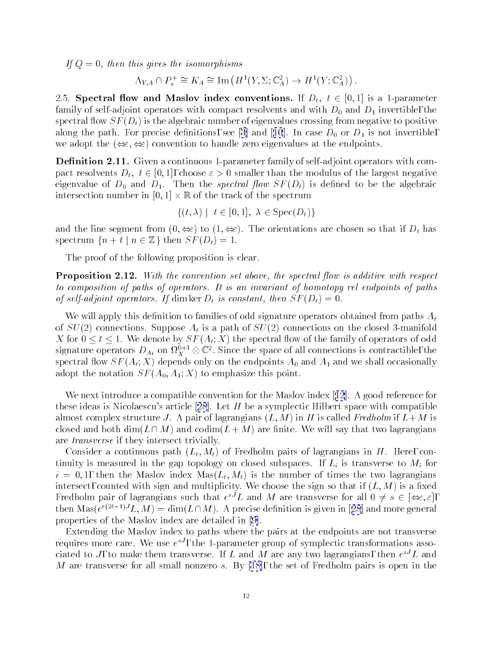<span id="page-11-0"></span>If  $Q = 0$ , then this gives the isomorphisms

$$
\Lambda_{Y,A} \cap P_a^+ \cong K_A \cong \text{Im}\left(H^1(Y,\Sigma;\mathbb{C}_A^2) \to H^1(Y;\mathbb{C}_A^2)\right).
$$

2.5. Spectral flow and Maslov index conventions. If  $D_t$ ,  $t \in [0,1]$  is a 1-parameter family of self-adjoint operators with compact resolvents and with  $D_0$  and  $D_1$  invertible, the spectral flow  $SF(D_t)$  is the algebraic number of eigenvalues crossing from negative to positive alongthe path. For precise definitions, see [\[3\]](#page-61-0) and [[10](#page-61-0)]. In case  $D_0$  or  $D_1$  is not invertible, we adopt the  $(\Leftrightarrow \Leftrightarrow)$  convention to handle zero eigenvalues at the endpoints.

**Definition 2.11.** Given a continuous 1-parameter family of self-adjoint operators with compact resolvents  $D_t$ ,  $t \in [0, 1]$ , choose  $\varepsilon > 0$  smaller than the modulus of the largest negative eigenvalue of  $D_0$  and  $D_1$ . Then the *spectral flow SF(D<sub>t</sub>)* is defined to be the algebraic intersection number in [0; 1] - <sup>R</sup> of the track of the spectrum

$$
\{(t,\lambda) \mid t \in [0,1], \lambda \in \text{Spec}(D_t)\}
$$

and the line segment from  $(0, \Leftrightarrow)$  to  $(1, \Leftrightarrow)$ . The orientations are chosen so that if  $D_t$  has spectrum  $\{n + t \mid n \in \mathbb{Z}\}\$  then  $SF(D_t) = 1$ .

The proof of the following proposition is clear.

**Proposition 2.12.** With the convention set above, the spectral flow is additive with respect to composition of paths of operators. It is an invariant of homotopy rel endpoints of paths of self-adjoint operators. If dim ker  $D_t$  is constant, then  $SF(D_t)=0$ .

We will apply this definition to families of odd signature operators obtained from paths  $A_t$ of  $SU(2)$  connections. Suppose  $A_t$  is a path of  $SU(2)$  connections on the closed 3-manifold X for  $0 \le t \le 1$ . We denote by  $SF(A_t; X)$  the spectral flow of the family of operators of odd signature operators  $D_{A_t}$  on  $\iota_{X_t}$   $\otimes$   $\mathbb{C}$  . Since the space of all connections is contractible, the spectral flow  $SF(A_t; X)$  depends only on the endpoints  $A_0$  and  $A_1$  and we shall occasionally adopt the notation  $SF(A_0, A_1; X)$  to emphasize this point.

Wenext introduce a compatible convention for the Maslov index [[12](#page-61-0)]. A good reference for theseideas is Nicolaescu's article [[28](#page-62-0)]. Let  $H$  be a symplectic Hilbert space with compatible almost complex structure J. A pair of lagrangians  $(L, M)$  in H is called Fredholm if  $L+M$  is closed and both  $\dim(L \cap M)$  and  $\operatorname{codim}(L + M)$  are finite. We will say that two lagrangians are transverse if they intersect trivially.

Consider a continuous path  $(L_t, M_t)$  of Fredholm pairs of lagrangians in H. Here, continuity is measured in the gap topology on closed subspaces. If  $L_i$  is transverse to  $M_i$  for  $i = 0, 1$ , then the Maslov index  $\text{Mas}(L_t, M_t)$  is the number of times the two lagrangians intersect, counted with sign and multiplicity. We choose the sign so that if  $(L, M)$  is a fixed Fredholm pair of lagrangians such that  $e_{-}$   $L$  and  $M$  are transverse for all  $0 \neq s_{-} \in (\bigoplus \varepsilon,\varepsilon)$ , then $\text{mass}(e^{-(\gamma-\gamma)}L, M) = \text{dim}(L)/M$ . A precise definition is given in [[28](#page-62-0)] and more general properties of the Maslov index are detailedin [\[9](#page-61-0)].

Extending the Maslov index to paths where the pairs at the endpoints are not transverse requires more care. We use  $e^{-\epsilon}$ , the 1-parameter group of symplectic transformations associated to J, to make them transverse. If  $L$  and  $M$  are any two lagrangians, then  $e^{+}$   $L$  and Mare transverse for all small nonzero s. By [\[18\]](#page-61-0), the set of Fredholm pairs is open in the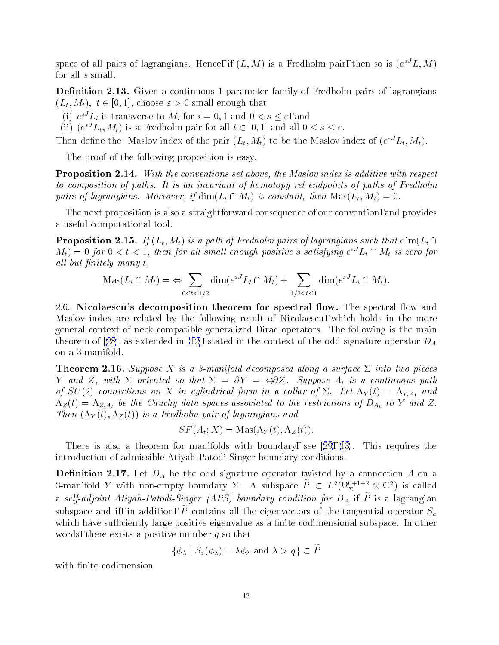<span id="page-12-0"></span>space of all pairs of lagrangians. Hence, if  $(L, M)$  is a Fredholm pair, then so is  $(e^{\pm} L, M)$ for all s small.

**Definition 2.13.** Given a continuous 1-parameter family of Fredholm pairs of lagrangians  $(L_t, M_t), t \in [0, 1],$  choose  $\varepsilon > 0$  small enough that

(1) e  $L_i$  is transverse to  $M_i$  for  $i = 0, 1$  and  $0 \le s \le \varepsilon$ , and

(ii) (e  $L_t, M_t$ ) is a Fredholm pair for all  $t \in [0, 1]$  and all  $0 \le s \le \varepsilon$ .

Then define the Maslov moex of the pair  $(L_t, M_t)$  to be the Maslov moex of  $(e^{\epsilon t} L_t, M_t)$ .

The proof of the following proposition is easy.

**Proposition 2.14.** With the conventions set above, the Maslov index is additive with respect to composition of paths. It is an invariant of homotopy rel endpoints of paths of Fredholm pairs of lagrangians. Moreover, if  $\dim(L_t \cap M_t)$  is constant, then  $\text{Mas}(L_t, M_t)=0$ .

The next proposition is also a straightforward consequence of our convention, and provides a useful computational tool.

**Proposition 2.15.** If  $(L_t, M_t)$  is a path of Fredholm pairs of lagrangians such that  $\dim(L_t \cap$  $M_t$ )  $=$  0 for 0  $<$  t  $<$  1, then for all small enough positive s-satisfying e  $L_t$  (1  $M_t$  is zero for all but finitely many t,

$$
\operatorname{Mas}(L_t \cap M_t) = \Leftrightarrow \sum_{0 < t < 1/2} \dim(e^{sJ}L_t \cap M_t) + \sum_{1/2 < t < 1} \dim(e^{sJ}L_t \cap M_t).
$$

2.6. Nicolaescu's decomposition theorem for spectral flow. The spectral flow and Maslov index are related by the following result of Nicolaescu, which holds in the more general context of neck compatible generalized Dirac operators. The following is the main theoremof [[28](#page-62-0)], as extended in [\[12](#page-61-0)], stated in the context of the odd signature operator  $D_A$ on a 3-manifold.

**Theorem 2.16.** Suppose X is a 3-manifold decomposed along a surface  $\Sigma$  into two pieces Y and Z, with  $\Sigma$  oriented so that  $\Sigma = \partial Y = \Leftrightarrow \partial Z$ . Suppose  $A_t$  is a continuous path of  $SU(2)$  connections on X in cylindrical form in a collar of  $\Sigma$ . Let  $\Lambda_Y(t)=\Lambda_{Y, A_t}$  and  $\Lambda_Z(t)=\Lambda_{Z,A_t}$  be the Cauchy data spaces associated to the restrictions of  $D_{A_t}$  to Y and Z. Then  $(\Lambda_Y(t), \Lambda_Z(t))$  is a Fredholm pair of lagrangians and

$$
SF(A_t; X) = \text{Mas}(\Lambda_Y(t), \Lambda_Z(t)).
$$

There is also a theorem for manifolds with boundary,see[[29](#page-62-0), [13](#page-61-0)]. This requires the introduction of admissible Atiyah-Patodi-Singer boundary conditions.

**Definition 2.17.** Let  $D_A$  be the odd signature operator twisted by a connection A on a 3-manifold Y with non-empty boundary 2. A subspace  $P\, \subset\, L^{\ast}(M_{\Sigma}^{n})^{n+\varepsilon}\otimes \mathbb{C}^{\ast}$  ) is called a self-adjoint Atiyah-Patodi-Singer (APS) boundary condition for  $D_A$  if  $\tilde{P}$  is a lagrangian subspace and ii, in addition, Petronialis an the eigenvectors of the tangential operator  $\mathcal{D}_a$ which have sufficiently large positive eigenvalue as a finite codimensional subspace. In other words, there exists a positive number  $q$  so that

$$
\{\phi_{\lambda} \mid S_a(\phi_{\lambda}) = \lambda \phi_{\lambda} \text{ and } \lambda > q\} \subset P
$$

with finite codimension.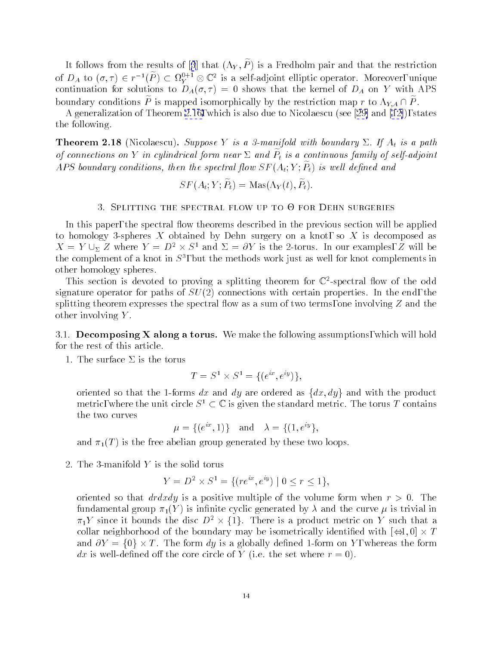<span id="page-13-0"></span>Itfollows from the results of [[3](#page-61-0)] that  $(\Lambda_Y, \tilde{P})$  is a Fredholm pair and that the restriction of  $D_A$  to  $(\sigma, \tau) \in r^{-1}(P) \subset M_Y^{\mathbb{N}^+}$   $\otimes \mathbb{C}^*$  is a self-adjoint elliptic operator. Moreover, unique continuation for solutions to  $D_A(\sigma, \tau) = 0$  shows that the kernel of  $D_A$  on Y with APS boundary conditions P is mapped isomorphically by the restriction map r to  $\Lambda_{Y,A} \cap P$ .

A generalization of Theorem [2.16,](#page-12-0) which is also due to Nicolaescu(see[[29\]](#page-62-0)and [\[12\]](#page-61-0)), states the following.

**Theorem 2.18** (Nicolaescu). Suppose Y is a 3-manifold with boundary  $\Sigma$ . If  $A_t$  is a path  $\sigma$ f connections on  $I$  in equivalitation form near  $\vartriangle$  and  $I$  f is a continuous family of self-adjoint Ar 5 boundary conditions, then the spectral flow  $ST$  (At,  $T$ ,  $T_t$ ) is well defined and

$$
SF(A_t; Y; P_t) = \text{Mas}(\Lambda_Y(t), P_t).
$$

## 3. Splitting the spectral flow up to 0 for Dehn surgeries

In this paper, the spectral flow theorems described in the previous section will be applied to homology 3-spheres X obtained by Dehn surgery on a knot, so X is decomposed as  $\Lambda = I \cup_{\Sigma} Z$  where  $I = D^* \times S^*$  and  $\Delta = OI$  is the 2-torus. In our examples, Z will be the complement of a knot in  $\beta^*$ , but the methods work just as well for knot complements in the complements of other homology spheres.

I his section is devoted to proving a splitting theorem for  $\mathbb{C}$ -spectral flow of the odd signature operator for paths of  $SU(2)$  connections with certain properties. In the end, the splitting theorem expresses the spectral flow as a sum of two terms, one involving  $Z$  and the other involving Y .

3.1. Decomposing  $X$  along a torus. We make the following assumptions, which will hold for the rest of this article.

1. The surface  $\Sigma$  is the torus

$$
T = S^1 \times S^1 = \{ (e^{ix}, e^{iy}) \},
$$

oriented so that the 1-forms dx and dy are ordered as  $\{dx, dy\}$  and with the product metric, where the unit circle  $S^1 \subset \mathbb{C}$  is given the standard metric. The torus T contains the two curves

$$
\mu = \{(e^{ix}, 1)\}\
$$
 and  $\lambda = \{(1, e^{iy}\},\)$ 

and  $\pi_1(T)$  is the free abelian group generated by these two loops.

2. The 3-manifold Y is the solid torus

$$
Y = D^2 \times S^1 = \{ (re^{ix}, e^{iy}) \mid 0 \le r \le 1 \},\
$$

oriented so that  $dr dx dy$  is a positive multiple of the volume form when  $r > 0$ . The fundamental group  $\pi_1(Y)$  is infinite cyclic generated by  $\lambda$  and the curve  $\mu$  is trivial in  $\pi_1$ r since it bounds the disc  $D^-\times\{1\}$ . There is a product metric on r such that a collar neighborhood of the boundary may be interesting in the boundary may be interesting in the  $\mathbb{1}, \mathbb{2}, \mathbb{1}, \mathbb{2}$ and  $\blacksquare$  . The form dy is a globally definition on  $\blacksquare$  , whereas the form on  $\blacksquare$ dx is well-defined off the core circle of Y (i.e. the set where  $r=0$ ).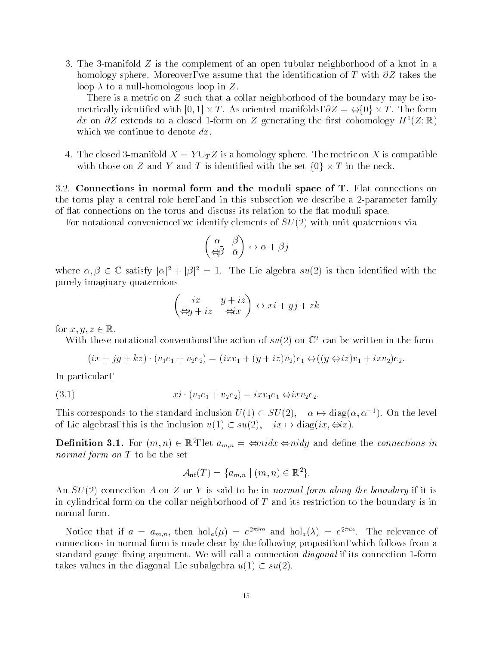<span id="page-14-0"></span>3. The 3-manifold Z is the complement of an open tubular neighborhood of a knot in a homology sphere. Moreover, we assume that the identification of T with  $\partial Z$  takes the loop  $\lambda$  to a null-homologous loop in Z.

There is a metric on  $Z$  such that a collar neighborhood of the boundary may be isometrically identified with [0; 1] - forms and manifolds, with  $\alpha$   $\alpha$  - forms and forms and forms and forms and dx on  $\partial Z$  extends to a closed 1-form on Z generating the first cohomology  $H^1(Z;\mathbb{R})$ which we continue to denote  $dx$ .

4. The closed 3-manifold  $X = Y \cup_T Z$  is a homology sphere. The metric on X is compatible with these one is in the set for the set for the set  $\alpha$  is in the set for the set for the set  $\alpha$ 

3.2. Connections in normal form and the moduli space of T. Flat connections on the torus play a central role here, and in this subsection we describe a 2-parameter family of 
at connections on the torus and discuss its relation to the 
at moduli space.

For notational convenience, we identify elements of  $SU(2)$  with unit quaternions via

$$
\begin{pmatrix} \alpha & \beta \\ \Leftrightarrow \bar{\beta} & \bar{\alpha} \end{pmatrix} \leftrightarrow \alpha + \beta j
$$

where  $\alpha, \beta \in \mathbb{C}$  satisfy  $|\alpha|^2 + |\beta|^2 = 1$ . The Lie algebra  $su(2)$  is then identified with the purely imaginary quaternions

$$
\begin{pmatrix} ix & y+iz \\ \Leftrightarrow y+iz & \Leftrightarrow x \end{pmatrix} \leftrightarrow xi + yj + zk
$$

for  $x, y, z \in \mathbb{R}$ .

With these notational conventions, the action of  $su(2)$  on  $\mathbb{C}^2$  can be written in the form

$$
(ix + jy + kz) \cdot (v_1e_1 + v_2e_2) = (ixv_1 + (y + iz)v_2)e_1 \Leftrightarrow ((y \Leftrightarrow iz)v_1 + ixv_2)e_2.
$$

In particular,

(3.1) xi (v1e1 <sup>+</sup> v2e2) = ixv1e1 ixv2e2:

This corresponds to the standard inclusion  $U(1) \subset SU(2)$ ,  $\alpha \mapsto \text{diag}(\alpha, \alpha^{-1})$ . On the level of Lie algebras, this is the inclusion  $u(1) \subset su(2), \quad ix \mapsto diag(ix, \Leftrightarrow ix).$ 

**Definition 3.1.** For  $(m,n) \in \mathbb{R}^7$ , let  $a_{m,n} = \Leftrightarrow max \Leftrightarrow n$  and define the *connections in* normal form on T to be the set

$$
\mathcal{A}_{\rm nf}(T) = \{a_{m,n} \mid (m,n) \in \mathbb{R}^2\}.
$$

An  $SU(2)$  connection A on Z or Y is said to be in normal form along the boundary if it is in cylindrical form on the collar neighborhood of  $T$  and its restriction to the boundary is in normal form.

Notice that if  $a = a_{m,n}$ , then  $\text{noi}_a(\mu) = e^{-i m a}$  and  $\text{noi}_a(\lambda) = e^{-i m a}$ . The relevance of connections in normal form is made clear by the following proposition, which follows from a standard gauge fixing argument. We will call a connection *diagonal* if its connection 1-form takes values in the diagonal Lie subalgebra  $u(1) \subset su(2)$ .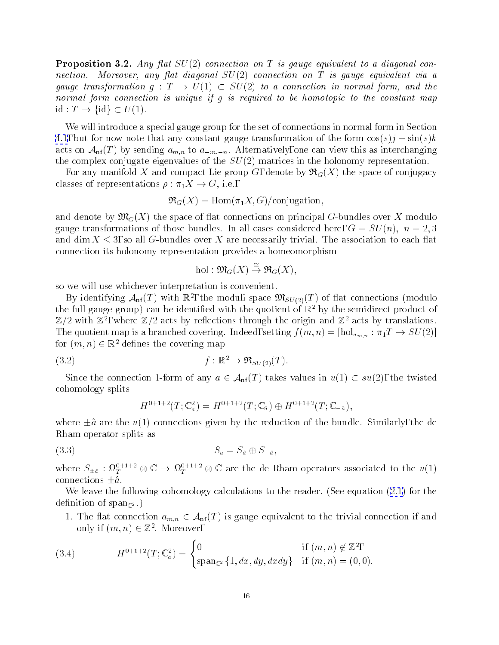<span id="page-15-0"></span>**Proposition 3.2.** Any flat  $SU(2)$  connection on T is gauge equivalent to a diagonal connection. Moreover, any flat diagonal  $SU(2)$  connection on  $T$  is gauge equivalent via a gauge transformation  $g: T \rightarrow U(1) \subset SU(2)$  to a connection in normal form, and the normal form connection is unique if g is required to be homotopic to the constant map  $id: T \to \{id\} \subset U(1).$ 

We will introduce a special gauge group for the set of connections in normal form in Section [4.1](#page-24-0), but for now note that any constant gauge transformation of the form  $\cos(s)j + \sin(s)k$ acts on  $\mathcal{A}_{\rm nf}(T)$  by sending  $a_{m,n}$  to  $a_{-m,-n}$ . Alternatively, one can view this as interchanging the complex conjugate eigenvalues of the  $SU(2)$  matrices in the holonomy representation.

For any manifold X and compact Lie group G, denote by  $\mathfrak{R}_G(X)$  the space of conjugacy classes of representations  $\rho : \pi_1 X \to G$ , i.e.,

$$
\mathfrak{R}_G(X) = \text{Hom}(\pi_1 X, G) / \text{conjugation},
$$

and denote by  $\mathfrak{M}_G(X)$  the space of flat connections on principal G-bundles over X modulo gauge transformations of those bundles. In all cases considered here,  $G = SU(n)$ ,  $n = 2, 3$ and dim  $X \leq 3$ , so all G-bundles over X are necessarily trivial. The association to each flat connection its holonomy representation provides a homeomorphism

$$
\mathrm{hol}: \mathfrak{M}_G(X) \stackrel{\cong}{\to} \mathfrak{R}_G(X),
$$

so we will use whichever interpretation is convenient.

By identifying  $A_{\rm nf}(T)$  with  $\mathbb{R}^2$ , the moduli space  $\mathcal{D}\iota_{SU(2)}(T)$  of hat connections (modulo the full gauge group) can be identified with the quotient of  $\mathbb{R}^2$  by the semidirect product of  $\mathbb{Z}/Z$  with  $\mathbb{Z}$  , where  $\mathbb{Z}/Z$  acts by reflections through the origin and  $\mathbb{Z}$  acts by translations. The quotient map is a branched covering. Indeed, setting  $f(m, n) = [\text{hol}_{a_{m,n}} : \pi_1 T \to SU(2)]$ for  $(m, n) \in \mathbb{R}^2$  defines the covering map

$$
(3.2) \t\t f: \mathbb{R}^2 \to \mathfrak{R}_{SU(2)}(T).
$$

Since the connection 1-form of any  $a \in \mathcal{A}_{\rm nf}(T)$  takes values in  $u(1) \subset su(2)$ , the twisted cohomology splits

$$
H^{0+1+2}(T; \mathbb{C}_a^2) = H^{0+1+2}(T; \mathbb{C}_a) \oplus H^{0+1+2}(T; \mathbb{C}_{-a}),
$$

where  $\pm \hat{a}$  are the u(1) connections given by the reduction of the bundle. Similarly, the de Rham operator splits as

$$
(3.3) \t\t S_a = S_{\hat{a}} \oplus S_{-\hat{a}},
$$

where  $S_{\pm\hat{a}} : \Omega_T^{r+1-\alpha} \otimes \mathbb{C} \to \Omega_T^{r+1-\alpha} \otimes \mathbb{C}$  are the de-Kham operators associated to the  $u(1)$ connections  $\pm \hat{a}$ .

We leave the following cohomology calculations to the reader. (See equation  $(2.1)$  for the definition of span<sub> $\infty$ </sub>.)

1. The flat connection  $a_{m,n} \in \mathcal{A}_{\rm nf}(T)$  is gauge equivalent to the trivial connection if and only if  $(m, n) \in \mathbb{Z}^-.$  Moreover,

(3.4) 
$$
H^{0+1+2}(T; \mathbb{C}_a^2) = \begin{cases} 0 & \text{if } (m, n) \notin \mathbb{Z}^2, \\ \text{span}_{\mathbb{C}^2} \{1, dx, dy, dx dy \} & \text{if } (m, n) = (0, 0). \end{cases}
$$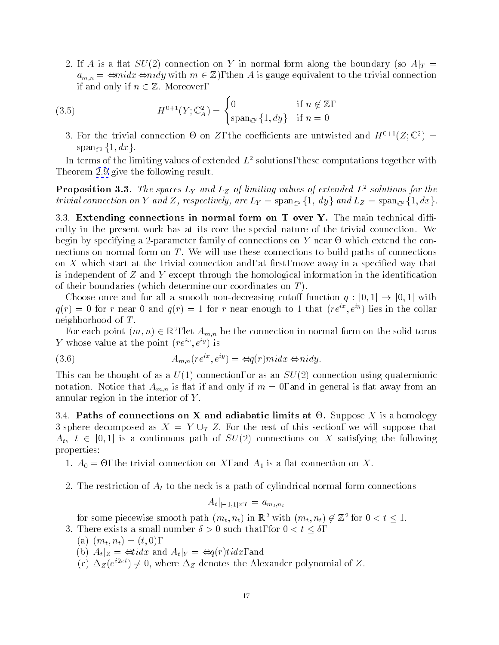<span id="page-16-0"></span>2. If A is a flat  $SU(2)$  connection on Y in normal form along the boundary (so  $A|_T =$  $a_{m,n} = \Leftrightarrow midx \Leftrightarrow nily$  with  $m \in \mathbb{Z}$ , then A is gauge equivalent to the trivial connection if and only if  $n \in \mathbb{Z}$ . Moreover,

(3.5) 
$$
H^{0+1}(Y; \mathbb{C}_A^2) = \begin{cases} 0 & \text{if } n \notin \mathbb{Z}, \\ \text{span}_{\mathbb{C}^2} \{1, dy\} & \text{if } n = 0 \end{cases}
$$

3. For the trivial connection  $\Theta$  on  $Z$ , the coefficients are untwisted and  $H^{++}(Z;\mathbb{C}^+)=0$  $span_{\mathbb{C}^2}{1, dx}.$ 

In terms of the limiting values of extended  $L^2$  solutions, these computations together with Theorem [2.9](#page-9-0) give the following result.

**Proposition 3.3.** The spaces L<sub>Y</sub> and L<sub>Z</sub> of limiting values of extended  $L^2$  solutions for the trivial connection on Y and Z, respectively, are  $L_Y = \text{span}_{\mathbb{C}^2} \{1, dy\}$  and  $L_Z = \text{span}_{\mathbb{C}^2} \{1, dx\}.$ 

3.3. Extending connections in normal form on  $T$  over  $Y$ . The main technical difficulty in the present work has at its core the special nature of the trivial connection. We  $\mathcal{L}$  and  $\mathcal{L}$  by specifying a 2-parameter for the constructions on Y near  $\mathcal{L}$  . We are the connections on normal form on  $T$ . We will use these connections to build paths of connections on  $X$  which start at the trivial connection and, at first, move away in a specified way that is independent of  $Z$  and  $Y$  except through the homological information in the identification of their boundaries (which determine our coordinates on  $T$ ).

Choose once and for all a smooth non-decreasing cutoff function  $q : [0, 1] \rightarrow [0, 1]$  with  $q(r) = 0$  for r near 0 and  $q(r) = 1$  for r near enough to 1 that  $(re^{ix}, e^{iy})$  lies in the collar neighborhood of T .

For each point  $(m,n)\in \mathbb{R}^+,$  let  $A_{m,n}$  be the connection in normal form on the solid torus Y whose value at the point  $(re^{ix}, e^{iy})$  is

(3.6) 
$$
A_{m,n}(re^{ix},e^{iy}) = \Leftrightarrow q(r)midx \Leftrightarrow nily.
$$

This can be thought of as a  $U(1)$  connection, or as an  $SU(2)$  connection using quaternionic notation. Notice that  $A_{m,n}$  is flat if and only if  $m = 0$ , and in general is flat away from an annular region in the interior of Y .

3.4. Paths of connections on X and adiabatic limits at -. Suppose X is a homology 3-sphere decomposed as  $X = Y \cup_T Z$ . For the rest of this section, we will suppose that  $A_t$ ,  $t \in [0, 1]$  is a continuous path of  $SU(2)$  connections on X satisfying the following properties:

- $1.1$  and  $1.1$  is a trivial connection on  $1.1$  is a trivial connection on  $1.1$
- 2. The restriction of  $A_t$  to the neck is a path of cylindrical normal form connections

$$
A_t|_{[-1,1]\times T} = a_{m_t,n_t}
$$

for some piecewise smooth path  $(m_t,n_t)$  in  $\mathbb{R}^+$  with  $(m_t,n_t) \notin \mathbb{Z}^+$  for  $0 \leq t \leq 1.$ 

- 3. There exists a small number  $\delta > 0$  such that, for  $0 < t < \delta$ ,
	- (a)  $(m_t, n_t) = (t, 0),$
	- (b)  $A_t|_{Z} = \Leftrightarrow \text{tid} x$  and  $A_t|_{Y} = \Leftrightarrow q(r) \text{tid} x$ , and
	- (c)  $\Delta z(e^{z-w}) \neq 0$ , where  $\Delta z$  denotes the Alexander polynomial of Z.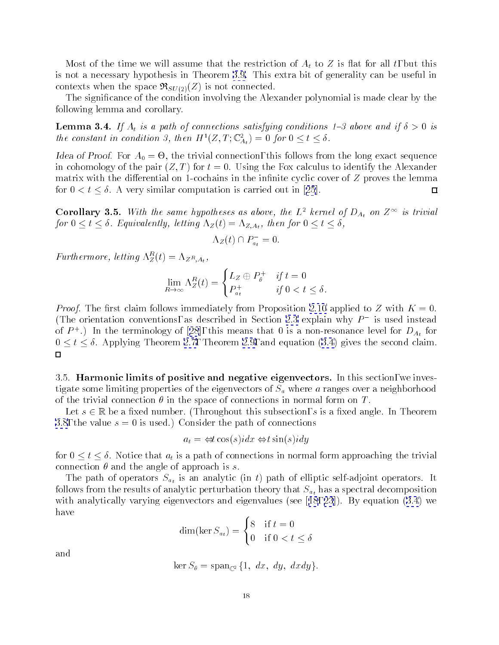<span id="page-17-0"></span>Most of the time we will assume that the restriction of  $A_t$  to Z is flat for all t, but this is not a necessary hypothesis in Theorem [3.9.](#page-19-0) This extra bit of generality can be useful in contexts when the space  $\Re_{SU(2)}(Z)$  is not connected.

The signicance of the condition involving the Alexander polynomial is made clear by the following lemma and corollary.

**Lemma 3.4.** If  $A_t$  is a path of connections satisfying conditions 1-3 above and if  $\delta > 0$  is the constant in condition 3, then  $H^-(Z, I; \mathbb{C}_{A_t}) = 0$  for  $0 \leq t \leq \delta$ .

raca or Proof. For A<sub>0</sub> = - 0, the trivial connection, this follows from the long exact sequence in cohomology of the pair  $(Z, T)$  for  $t = 0$ . Using the Fox calculus to identify the Alexander matrix with the differential on 1-cochains in the infinite cyclic cover of  $Z$  proves the lemma for $0 < t \leq \delta$ . A very similar computation is carried out in [[25](#page-61-0)].  $\Box$ 

**Corollary 3.5.** With the same hypotheses as above, the L<sup>-</sup> kernel of  $D_{A_t}$  on Z<sup>11</sup> is trivial for  $0 \le t \le \delta$ . Equivalently, letting  $\Lambda_Z(t)=\Lambda_{Z,A_t}$ , then for  $0 \le t \le \delta$ ,

$$
\Lambda_Z(t) \cap P_{a_t}^- = 0.
$$

Furthermore, letting  $\Lambda_Z^-(t) = \Lambda_{Z^R, A_t}$ ,

$$
\lim_{R \to \infty} \Lambda_Z^R(t) = \begin{cases} L_Z \oplus P_{\theta}^+ & \text{if } t = 0 \\ P_{a_t}^+ & \text{if } 0 < t \le \delta. \end{cases}
$$

*Proof.* The first claim follows immediately from Proposition [2.10](#page-10-0) applied to Z with  $K = 0$ . (The orientation conventions, as described in Section [2.3](#page-6-0) explain why  $P$  is used instead ofP  $\cdot$  ) in the terminology of [[28](#page-62-0)], this means that 0 is a non-resonance level for  $D_{A_t}$  for  $0 \le t \le \delta$ . Applying Theorem [2.7,](#page-9-0) Theorem [2.9,](#page-9-0) and equation [\(3.4](#page-15-0)) gives the second claim.  $\Box$ 

3.5. Harmonic limits of positive and negative eigenvectors. In this section, we investigate some limiting properties of the eigenvectors of  $S_a$  where a ranges over a neighborhood of the trivial connection  $\theta$  in the space of connections in normal form on T.

Let  $s \in \mathbb{R}$  be a fixed number. (Throughout this subsection, s is a fixed angle. In Theorem [3.8](#page-19-0), the value  $s = 0$  is used.) Consider the path of connections

$$
a_t = \Leftrightarrow t \cos(s) i dx \Leftrightarrow t \sin(s) i dy
$$

for  $0 \le t \le \delta$ . Notice that  $a_t$  is a path of connections in normal form approaching the trivial connection  $\theta$  and the angle of approach is s.

The path of operators  $S_{a_t}$  is an analytic (in t) path of elliptic self-adjoint operators. It follows from the results of analytic perturbation theory that  $S_{a_t}$  has a spectral decomposition with analytically varying eigenvectors and eigenvalues(see[[18](#page-61-0), [23](#page-61-0)]). By equation [\(3.4](#page-15-0)) we have

$$
\dim(\ker S_{a_t}) = \begin{cases} 8 & \text{if } t = 0\\ 0 & \text{if } 0 < t \le \delta \end{cases}
$$

and

$$
\ker S_{\theta} = \operatorname{span}_{\mathbb{C}^2} \{1, dx, dy, dx dy\}.
$$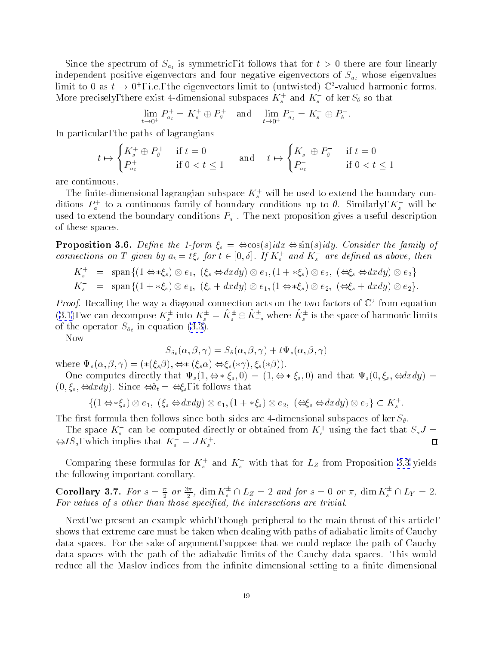<span id="page-18-0"></span>Since the spectrum of  $S_{a_t}$  is symmetric, it follows that for  $t > 0$  there are four linearly independent positive eigenvectors and four negative eigenvectors of  $S_{a_t}$  whose eigenvalues  $\lim$  to 0 as  $t \to 0^+$ , i.e., the eigenvectors limit to (untwisted)  $\mathbb{C}$  -valued harmonic forms. More precisely, there exist 4-dimensional subspaces  $K_s^+$  and  $K_s^-$  of ker  $S_\theta$  so that

$$
\lim_{t \to 0^+} P_{a_t}^+ = K_s^+ \oplus P_{\theta}^+ \quad \text{and} \quad \lim_{t \to 0^+} P_{a_t}^- = K_s^- \oplus P_{\theta}^-.
$$

In particular, the paths of lagrangians

$$
t \mapsto \begin{cases} K_s^+ \oplus P_\theta^+ & \text{if } t = 0\\ P_{a_t}^+ & \text{if } 0 < t \le 1 \end{cases} \quad \text{and} \quad t \mapsto \begin{cases} K_s^- \oplus P_\theta^- & \text{if } t = 0\\ P_{a_t}^- & \text{if } 0 < t \le 1 \end{cases}
$$

are continuous.

I he finite-dimensional lagrangian subspace  $K_s^+$  will be used to extend the boundary conditions  $F_a^+$  to a continuous family of boundary conditions up to  $v$ . Similarly,  $\Lambda_s^-$  will be used to extend the boundary conditions  $F_a$  . The next proposition gives a useful description of these spaces.

**Proposition 3.6.** Define the 1-form  $\xi_s = \Leftrightarrow \cos(s) i dx \Leftrightarrow \sin(s) i dy$ . Consider the family of connections on 1 given by  $a_t = \iota \zeta_s$  for  $\iota \in [0, o]$ . If  $K_s^+$  and  $K_s^-$  are defined as above, then

$$
K_s^+ = \text{span}\{(1 \Leftrightarrow * \xi_s) \otimes e_1, (\xi_s \Leftrightarrow dx dy) \otimes e_1, (1 + *\xi_s) \otimes e_2, (\Leftrightarrow \xi_s \Leftrightarrow dx dy) \otimes e_2\}
$$
  

$$
K_s^- = \text{span}\{(1 + *\xi_s) \otimes e_1, (\xi_s + dx dy) \otimes e_1, (1 \Leftrightarrow *\xi_s) \otimes e_2, (\Leftrightarrow \xi_s + dx dy) \otimes e_2\}.
$$

*Proof.* Recalling the way a diagonal connection acts on the two factors of  $\mathbb{C}^+$  from equation ([3.1\)](#page-14-0), we can decompose  $K_s^{\pm}$  into  $K_s^{\pm} = K_s^{\pm} \oplus K_{-s}^{\pm}$  where  $K_s^{\pm}$  is the space of harmonic limits of the operator  $S_{\hat{a}_t}$  in equation [\(3.3](#page-15-0)).

Now

$$
S_{\hat{a}_t}(\alpha,\beta,\gamma)=S_{\theta}(\alpha,\beta,\gamma)+t\Psi_s(\alpha,\beta,\gamma)
$$

where  $\Psi_s(\alpha, \beta, \gamma) = (*(\xi_s \beta), \Leftrightarrow * (\xi_s \alpha) \Leftrightarrow \xi_s(*\gamma), \xi_s(*\beta)).$ 

One computes directly that  $\Psi_s(1, \Leftrightarrow * \xi_s, 0) = (1, \Leftrightarrow * \xi_s, 0)$  and that  $\Psi_s(0, \xi_s, \Leftrightarrow dx dy) =$  $(0,\xi_s,\Leftrightarrow dx\,dy)$ . Since  $\Leftrightarrow \hat{a}_t = \Leftrightarrow \xi_s$ , it follows that

$$
\{(1 \Leftrightarrow * \xi_s) \otimes e_1, \ (\xi_s \Leftrightarrow dx dy) \otimes e_1, (1 + *\xi_s) \otimes e_2, \ (\Leftrightarrow \xi_s \Leftrightarrow dx dy) \otimes e_2\} \subset K_s^+.
$$

The first formula then follows since both sides are 4-dimensional subspaces of ker  $S_{\theta}$ .

The space  $\Lambda_s$  can be computed directly or obtained from  $\Lambda_s^+$  using the fact that  $S_aJ =$ П  $\Leftrightarrow$   $J \Delta_a$ , which implies that  $K_s = J K_s$ .

Comparing these formulas for  $K_s^+$  and  $K_s^-$  with that for  $L_Z$  from Proposition [3.3](#page-16-0) yields the following important corollary.

Corollary 3.7. For  $s = \frac{1}{2}$  or  $\frac{1}{2}$ , dim  $K_s^*$  | |  $L_Z = 2$  and for  $s = 0$  or  $\pi$ , dim  $K_s^*$  | |  $L_Y = 2$ . For values of s other than those specied, the intersections are trivial.

Next, we present an example which, though peripheral to the main thrust of this article, shows that extreme care must be taken when dealing with paths of adiabatic limits of Cauchy data spaces. For the sake of argument, suppose that we could replace the path of Cauchy data spaces with the path of the adiabatic limits of the Cauchy data spaces. This would reduce all the Maslov indices from the infinite dimensional setting to a finite dimensional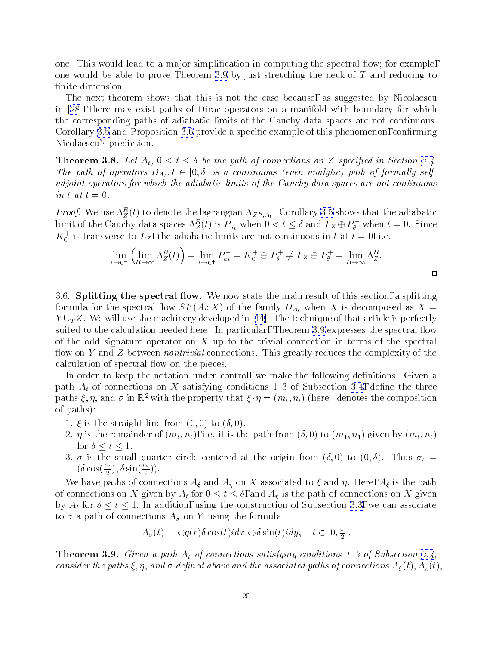<span id="page-19-0"></span>one. This would lead to a major simplification in computing the spectral flow; for example, one would be able to prove Theorem 3.9 by just stretching the neck of T and reducing to finite dimension.

The next theorem shows that this is not the case because, as suggested by Nicolaescu in [\[28](#page-62-0)], there may exist paths of Dirac operators on a manifold with boundary for which the corresponding paths of adiabatic limits of the Cauchy data spaces are not continuous. Corollary [3.5](#page-17-0) and Proposition [3.6](#page-18-0) provide a specific example of this phenomenon, confirming Nicolaescu's prediction.

**Theorem 3.8.** Let  $A_t$ ,  $0 \le t \le \delta$  be the path of connections on Z specified in Section [3.4.](#page-16-0) The path of operators  $D_{A_t}$ ,  $t \in [0, \delta]$  is a continuous (even analytic) path of formally selfadjoint operators for which the adiabatic limits of the Cauchy data spaces are not continuous in t at  $t = 0$ .

*Proof.* We use  $\Lambda_Z(t)$  to denote the lagrangian  $\Lambda_{ZR,At}$ . Corollary [3.5](#page-17-0) shows that the adiabatic limit of the Cauchy data spaces  $\Lambda_Z^>(t)$  is  $P_{a_t}^+$  when  $0 < t \leq \delta$  and  $L_Z \oplus P_{\theta}^+$  when  $t=0.$  Since  $K_0^+$  is transverse to  $L_Z$ , the adiabatic limits are not continuous in t at  $t=0,$  i.e.

$$
\lim_{t \to 0^+} \left( \lim_{R \to \infty} \Lambda_Z^R(t) \right) = \lim_{t \to 0^+} P_{a_t}^+ = K_0^+ \oplus P_{\theta}^+ \neq L_Z \oplus P_{\theta}^+ = \lim_{R \to \infty} \Lambda_Z^R.
$$

 $\Box$ 

3.6. **Splitting the spectral flow.** We now state the main result of this section, a splitting formula for the spectral flow  $SF(A_t; X)$  of the family  $D_{A_t}$  when X is decomposed as  $X =$  $Y \cup_T Z$  $Y \cup_T Z$  $Y \cup_T Z$ . We will use the machinery developed in [[14](#page-61-0)]. The technique of that article is perfectly suited to the calculation needed here. In particular, Theorem 3.9 expresses the spectral flow of the odd signature operator on X up to the trivial connection in terms of the spectral flow on Y and Z between *nontrivial* connections. This greatly reduces the complexity of the calculation of spectral flow on the pieces.

In order to keep the notation under control, we make the following definitions. Given a path  $A_t$  of connections on X satisfying conditions 1–3 of Subsection [3.4](#page-16-0), define the three paths  $\xi, \eta$ , and  $\sigma$  in  $\mathbb{R}^2$  with the property that  $\xi \cdot \eta = (m_t, n_t)$  (here  $\cdot$  denotes the composition of paths):

- 1.  $\xi$  is the straight line from  $(0,0)$  to  $(\delta,0)$ .
- 2.  $\eta$  is the remainder of  $(m_t, n_t)$ , i.e. it is the path from  $(\delta, 0)$  to  $(m_1, n_1)$  given by  $(m_t, n_t)$ for  $\delta \leq t \leq 1$ .
- 3.  $\sigma$  is the small quarter circle centered at the origin from  $(\delta, 0)$  to  $(0, \delta)$ . Thus  $\sigma_t =$  $(\theta \cos(\frac{\pi}{2}), \theta \sin(\frac{\pi}{2}))$ .

We have paths of connections  $A_{\xi}$  and  $A_{\eta}$  on X associated to  $\xi$  and  $\eta$ . Here,  $A_{\xi}$  is the path of connections on X given by  $A_t$  for  $0 \le t \le \delta$ , and  $A_\eta$  is the path of connections on X given by  $A_t$  for  $\delta \le t \le 1$ . In addition, using the construction of Subsection [3.3,](#page-16-0) we can associate to  $\sigma$  a path of connections  $A_{\sigma}$  on Y using the formula

$$
A_{\sigma}(t) = \Leftrightarrow q(r)\delta \cos(t) i dx \Leftrightarrow \delta \sin(t) i dy, \quad t \in [0, \frac{\pi}{2}].
$$

**Theorem 3.9.** Given a path  $A_t$  of connections satisfying conditions 1-3 of Subsection [3.4,](#page-16-0) consider the paths  $\xi, \eta$ , and  $\sigma$  defined above and the associated paths of connections  $A_{\xi}(t), A_{\eta}(t),$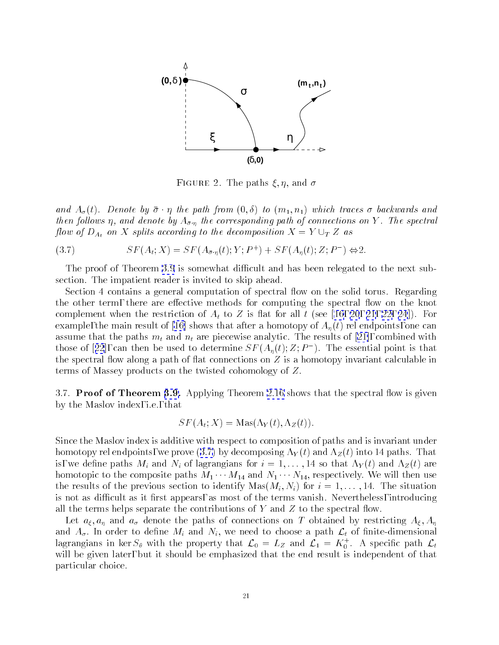<span id="page-20-0"></span>

 $r$  igure 2. The paths  $\zeta, \eta$ , and  $\sigma$ 

and  $A_{\sigma}(t)$ . Denote by  $\bar{\sigma} \cdot \eta$  the path from  $(0,\delta)$  to  $(m_1,n_1)$  which traces  $\sigma$  backwards and then follows  $\eta$ , and denote by  $A_{\bar{\sigma},\eta}$  the corresponding path of connections on Y. The spectral flow of  $D_{A_t}$  on X splits according to the decomposition  $X = Y \cup_T Z$  as

$$
(3.7) \qquad SF(A_t; X) = SF(A_{\bar{\sigma}\cdot\eta}(t); Y; P^+) + SF(A_{\eta}(t); Z; P^-) \Leftrightarrow 2.
$$

The proof of Theorem [3.9](#page-19-0) is somewhat difficult and has been relegated to the next subsection. The impatient reader is invited to skip ahead.

Section 4 contains a general computation of spectral flow on the solid torus. Regarding the other term, there are effective methods for computing the spectral flow on the knot complement when the restriction of  $A_t$  to Z is flat for all t (see [\[16, 20](#page-61-0), [21](#page-61-0), [22, 24](#page-61-0)]). For example,the main result of [\[16\]](#page-61-0) shows that after a homotopy of  $A_n(t)$  rel endpoints, one can assumethat the paths  $m_t$  and  $n_t$  are piecewise analytic. The results of [\[21\]](#page-61-0), combined with thoseof [[22](#page-61-0)], can then be used to determine  $5F(A_n(t); Z; P_-)$ . The essential point is that the spectral flow along a path of flat connections on  $Z$  is a homotopy invariant calculable in terms of Massey products on the twisted cohomology of Z.

3.7. Proof of Theorem [3.9.](#page-19-0) Applying Theorem [2.16](#page-12-0) shows that the spectral flow is given by the Maslov index, i.e., that

$$
SF(A_t; X) = \text{Mas}(\Lambda_Y(t), \Lambda_Z(t)).
$$

Since the Maslov index is additive with respect to composition of paths and is invariant under homotopy rel endpoints, we prove (3.7) by decomposing  $\Lambda_Y(t)$  and  $\Lambda_Z(t)$  into 14 paths. That is, we define paths  $M_i$  and  $N_i$  of lagrangians for  $i = 1, \ldots, 14$  so that  $\Lambda_Y(t)$  and  $\Lambda_Z(t)$  are homotopic to the composite paths  $M_1 \cdots M_{14}$  and  $N_1 \cdots N_{14}$ , respectively. We will then use the results of the previous section to identify  $\text{Mas}(M_i, N_i)$  for  $i = 1, \ldots, 14$ . The situation is not as difficult as it first appears, as most of the terms vanish. Nevertheless, introducing all the terms helps separate the contributions of Y and Z to the spectral flow.

Let  $a_{\xi}, a_{\eta}$  and  $a_{\sigma}$  denote the paths of connections on T obtained by restricting  $A_{\xi}, A_{\eta}$ and  $A_{\sigma}$ . In order to define  $M_i$  and  $N_i$ , we need to choose a path  $\mathcal{L}_t$  of finite-dimensional lagrangians in ker  $S_\theta$  with the property that  ${\cal L}_0\,=\,L_Z$  and  ${\cal L}_1\,=\,\Lambda_0^+$  . A specific path  ${\cal L}_t$ will be given later, but it should be emphasized that the end result is independent of that particular choice.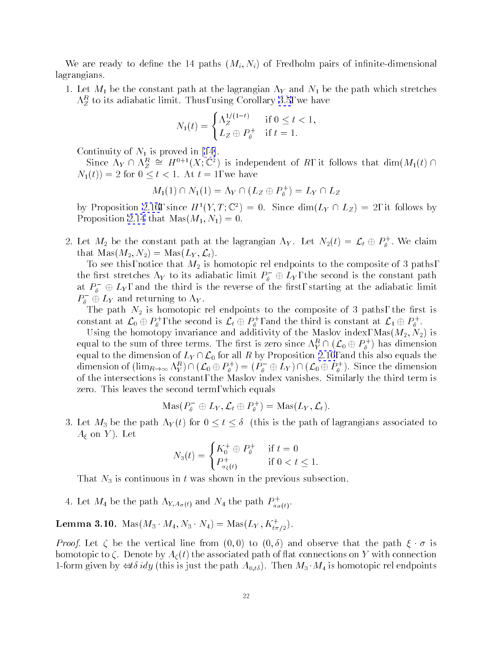<span id="page-21-0"></span>We are ready to define the 14 paths  $(M_i, N_i)$  of Fredholm pairs of infinite-dimensional lagrangians.

1. Let  $M_1$  be the constant path at the lagrangian  $\Lambda_Y$  and  $N_1$  be the path which stretches  $\Lambda_Z$  to its adiabatic limit. Thus, using Corollary 5.5, we have

$$
N_1(t) = \begin{cases} \Lambda_Z^{1/(1-t)} & \text{if } 0 \le t < 1, \\ L_Z \oplus P_\theta^+ & \text{if } t = 1. \end{cases}
$$

Continuityof  $N_1$  is proved in [\[14\]](#page-61-0).

Since  $\Lambda_Y \sqcup \Lambda_Z^{\perp} \equiv H^{\perp}(\Lambda; \mathbb{C}^{\perp})$  is independent of  $R$ , it follows that dim $(M_1(t) \sqcup$  $N_1(t)$  = 2 for  $0 \le t < 1$ . At  $t = 1$ , we have

$$
M_1(1) \cap N_1(1) = \Lambda_Y \cap (L_Z \oplus P_\theta^+) = L_Y \cap L_Z
$$

by Proposition [2.10](#page-10-0), since  $H^1(Y, T; \mathbb{C}^2) = 0$ . Since  $\dim(L_Y \cap L_Z) = 2$ , it follows by Proposition [2.14](#page-12-0) that  $\text{Mas}(M_1, N_1)=0.$ 

2. Let  $M_2$  be the constant path at the lagrangian  $\Lambda_Y$ . Let  $N_2(t) = \mathcal{L}_t \oplus P_4$ . We claim that  $\operatorname{Mas}(M_2,N_2) = \operatorname{Mas}(L_Y,{\mathcal L}_t).$ 

To see this, notice that  $M_2$  is homotopic rel endpoints to the composite of 3 paths, the first stretches  $\Lambda_Y$  to its adiabatic limit  $P_\theta^-\,\oplus\,L_Y^{}$ , the second is the constant path at  $\varGamma_\theta^-\oplus L_Y^{},$  and the third is the reverse of the first, starting at the adiabatic limit  $\mathit{P}_\theta\; \oplus\mathit{Ly}$  and returning to  $\Lambda_Y.$ 

The path  $N_2$  is homotopic rel endpoints to the composite of 3 paths, the first is constant at  ${\cal L}_0\oplus P_{\theta}$  , the second is  ${\cal L}_t\oplus P_{\theta}$  , and the third is constant at  ${\cal L}_1\oplus P_{\theta}$  .

 $U$ sing the distribution invariance and additivity of the Maslov index, Mass $M$  is the Mass (M2) is  $M$ equal to the sum of three terms. The first is zero since  $\Lambda_Y^{**} \sqcup (\mathcal{L}_0 \oplus F_\theta^*)$  has dimension equal to the dimension of  $L_Y \cap \mathcal{L}_0$  for all R by Proposition [2.10](#page-10-0), and this also equals the dimension of  $(\lim_{R\to\infty}\Lambda_Y^*)\cap (\mathcal{L}_0\oplus P_{\theta}^+)\ = (P_{\theta}^-\oplus L_Y)\cap (\mathcal{L}_0\oplus P_{\theta}^+)$ . Since the dimension of the intersections is constant, the Maslov index vanishes. Similarly the third term is zero. This leaves the second term, which equals

$$
\operatorname{Mas}(P_\theta^-\oplus L_Y,{\mathcal L}_t\oplus P_\theta^+)=\operatorname{Mas}(L_Y,{\mathcal L}_t).
$$

3. Let  $M_3$  be the path  $\Lambda_Y(t)$  for  $0 \le t \le \delta$  (this is the path of lagrangians associated to  $A_{\xi}$  on Y). Let

$$
N_3(t) = \begin{cases} K_0^+ \oplus P_\theta^+ & \text{if } t = 0\\ P_{a_\xi(t)}^+ & \text{if } 0 < t \le 1. \end{cases}
$$

That  $N_3$  is continuous in t was shown in the previous subsection.

4. Let  $M_4$  be the path  $\Lambda_{Y,A_\sigma(t)}$  and  $N_4$  the path  $P^+_{a_\sigma(t)}.$ 

**Lemma 3.10.** Mas( $M_3 \cdot M_4, N_3 \cdot N_4$ ) = Mas( $LY, K_{t\pi/2}$ ).

*Proof.* Let  $\zeta$  be the vertical line from  $(0,0)$  to  $(0,\delta)$  and observe that the path  $\xi \cdot \sigma$  is homotopic to  $\zeta$ . Denote by  $A_{\zeta}(t)$  the associated path of flat connections on Y with connection 1-form given by  $\iff \text{if } y$  (this is just the path  $A_{0,t\delta}$ ). Then  $M_3 \cdot M_4$  is homotopic rel endpoints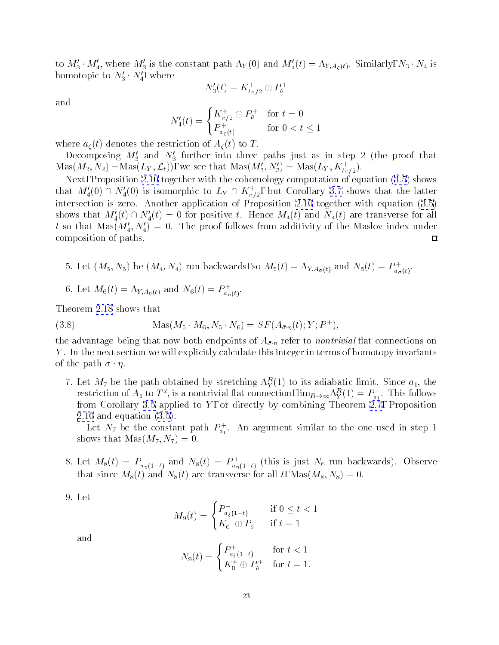<span id="page-22-0"></span>to  $M'_3 \cdot M'_4$ , where  $M'_3$  is the constant path  $\Lambda_Y(0)$  and  $M'_4(t)=\Lambda_{Y, A_\zeta(t)}$ . Similarly,  $N_3 \cdot N_4$  is homotopic to  $N_3' \cdot N_4'$ , where

$$
N_3'(t) = K_{t\pi/2}^+ \oplus P_\theta^+
$$

and

$$
N_4'(t) = \begin{cases} K_{\pi/2}^+ \oplus P_\theta^+ & \text{for } t = 0\\ P_{a_\zeta(t)}^+ & \text{for } 0 < t \le 1 \end{cases}
$$

where  $a_{\zeta}(t)$  denotes the restriction of  $A_{\zeta}(t)$  to T.

Decomposing  $M_3'$  and  $N_3'$  further into three paths just as in step 2 (the proof that  $\text{Mas}(M_2, N_2) = \text{Mas}(L_Y, \mathcal{L}_t)$ , we see that  $\text{Mas}(M_3, N_3) = \text{Mas}(L_Y, K_{t\pi/2}).$ 

Next, Proposition [2.10](#page-10-0) together with the cohomology computation of equation [\(3.5\)](#page-16-0) shows that  $M_4(0) \cap N_4(0)$  is isomorphic to  $L_Y \cap K_{\pi/2}^+$ , but Corollary [3.7](#page-18-0) shows that the latter intersection is zero. Another application of Proposition [2.10](#page-10-0) together with equation([3.5\)](#page-16-0) shows that  $M_4'(t) \cap N_4'(t) = 0$  for positive t. Hence  $M_4(t)$  and  $N_4(t)$  are transverse for all t so that  $\text{Mas}(M_4', N_4') = 0$ . The proof follows from additivity of the Maslov index under composition of paths.  $\Box$ 

5. Let  $(M_5, N_5)$  be  $(M_4, N_4)$  run backwards, so  $M_5(t) = \Lambda_{Y, A_{\bar{\sigma}}(t)}$  and  $N_5(t) = P_{a_{\bar{\sigma}}(t)}$ .

a (t)

6. Let  $M_6(t) = \Lambda_{Y, A_\eta(t)}$  and  $N_6(t) = P_{a_n(t)}^+$ .

Theorem [2.18](#page-13-0) shows that

(3.8) 
$$
Mas(M_5 \cdot M_6, N_5 \cdot N_6) = SF(A_{\bar{\sigma} \cdot \eta}(t); Y; P^+),
$$

the advantage being that now both endpoints of  $A_{\bar{\sigma}\cdot\eta}$  refer to *nontrivial* flat connections on Y . In the next section we will explicitly calculate this integer in terms of homotopy invariants of the path  $\bar{\sigma} \cdot \eta$ .

*t*. Let  $M_7$  be the path obtained by stretching  $\Lambda_Y(1)$  to its adiabatic limit. Since  $a_1$ , the restriction of  $A_1$  to  $I$ , is a nontrivial hat connection,  $\lim_{R\to\infty} \Lambda_Y^*(1) = F_{a_1}$ . This follows from Corollary [3.5](#page-17-0) applied to  $Y$ , or directly by combining Theorem [2.7,](#page-9-0) Proposition [2.10](#page-10-0) and equation [\(3.5](#page-16-0)).

Let  $N_7$  be the constant path  $P_{a_1}^+$ . An argument similar to the one used in step 1 shows that  $\text{Mas}(M_7, N_7)=0.$ 

- 8. Let  $M_8(t) = P_{a_n(1-t)}$  and  $N_8(t) = P_{a_n(1-t)}$  (this is just  $N_6$  run backwards). Observe that since  $M_8(t)$  and  $N_8(t)$  are transverse for all t,  $\text{Mas}(M_8, N_8)=0$ .
- 9. Let

$$
M_9(t) = \begin{cases} P^-_{a_\xi(1-t)} & \text{if } 0 \le t < 1\\ K_0^- \oplus P_\theta^- & \text{if } t = 1 \end{cases}
$$

and

$$
N_9(t) = \begin{cases} P_{a_{\xi}(1-t)}^+ & \text{for } t < 1\\ K_0^+ \oplus P_{\theta}^+ & \text{for } t = 1. \end{cases}
$$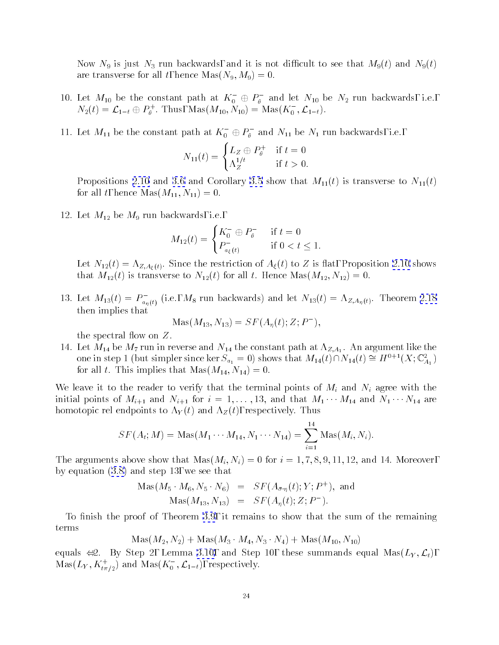Now  $N_9$  is just  $N_3$  run backwards, and it is not difficult to see that  $M_9(t)$  and  $N_9(t)$ are transverse for all t, hence  $Mas(N_9, M_9)=0.$ 

- 10. Let  $M_{10}$  be the constant path at  $\Lambda_0$   $\,\oplus\, P_\theta \,$  and let  $N_{10}$  be  $N_2$  run backwards, i.e.,  $N_2(t) = L_{1-t} \oplus P_{\theta}$ . I hus, Mas( $M_{10}, N_{10}$ ) = Mas( $R_{0}, L_{1-t}$ ).
- 11. Let  $M_{11}$  be the constant path at  $K_0 \oplus F_\theta$  and  $N_{11}$  be  $N_1$  run backwards, i.e.,

$$
N_{11}(t) = \begin{cases} L_Z \oplus P_{\theta}^+ & \text{if } t = 0\\ \Lambda_Z^{1/t} & \text{if } t > 0. \end{cases}
$$

Propositions [2.10](#page-10-0)and [3.6](#page-18-0) and Corollary [3.5](#page-17-0) show that  $M_{11}(t)$  is transverse to  $N_{11}(t)$ for all t, hence  $\text{Mas}(M_{11}, N_{11})=0.$ 

12. Let  $M_{12}$  be  $M_9$  run backwards, i.e.,

$$
M_{12}(t) = \begin{cases} K_0^- \oplus P_{\theta}^- & \text{if } t = 0\\ P_{a_{\xi}(t)}^- & \text{if } 0 < t \le 1. \end{cases}
$$

Let  $N_{12}(t) = \Lambda_{Z,A_{\xi}(t)}$ . Since the restriction of  $A_{\xi}(t)$  to Z is flat, Proposition [2.10](#page-10-0) shows that  $M_{12}(t)$  is transverse to  $N_{12}(t)$  for all t. Hence  $\text{Mas}(M_{12}, N_{12})=0$ .

13. Let  $M_{13}(t) = P_{a_n(t)}$  (i.e.,  $M_8$  run backwards) and let  $N_{13}(t) = \Lambda_{Z,A_n(t)}$ . Theorem [2.18](#page-13-0) then implies that

$$
Mas(M_{13}, N_{13}) = SF(A_{\eta}(t); Z; P^{-}),
$$

the spectral flow on  $Z$ .

14. Let  $M_1$  be  $M_1$  the constant path at  $\mu_i$   $\mu_j$  and  $\mu_j$ one in step 1 (but simpler since ker  $S_{a_1} = 0$ ) shows that  $M_{14}(t) \sqcup N_{14}(t) = H^{++}(X; \mathbb{C}^{\times}_{A_1})$ for all t. This implies that  $Mas(M_{14}, N_{14})=0.$ 

We leave it to the reader to verify that the terminal points of  $M_i$  and  $N_i$  agree with the initial points of  $M_{i+1}$  and  $N_{i+1}$  for  $i = 1, \ldots, 13$ , and that  $M_1 \cdots M_{14}$  and  $N_1 \cdots N_{14}$  are homotopic rel endpoints to  $\Lambda_Y(t)$  and  $\Lambda_Z(t)$ , respectively. Thus

$$
SF(A_t; M) = \text{Mas}(M_1 \cdots M_{14}, N_1 \cdots N_{14}) = \sum_{i=1}^{14} \text{Mas}(M_i, N_i).
$$

The arguments above show that  $\text{Mas}(M_i, N_i) = 0$  for  $i = 1, 7, 8, 9, 11, 12,$  and 14. Moreover, by equation [\(3.8\)](#page-22-0) and step 13, we see that

$$
Mas(M_5 \cdot M_6, N_5 \cdot N_6) = SF(A_{\bar{\sigma} \cdot \eta}(t); Y; P^+), and
$$
  

$$
Mas(M_{13}, N_{13}) = SF(A_{\eta}(t); Z; P^-).
$$

To finish the proof of Theorem [3.9](#page-19-0), it remains to show that the sum of the remaining terms

 $\n *Mas*( $M_2, N_2$ ) +  $Mas(M_3 \cdot M_4, N_3 \cdot N_4)$  +  $Mas(M_{10}, N_{10})$$ 

equals  $\Leftrightarrow 2$ . By Step 2, Lemma [3.10,](#page-21-0) and Step 10, these summands equal Mas $(L_Y, \mathcal{L}_t)$ ,  $\mathrm{Mas}(L_Y, \mathrm{\Lambda}_{t\pi/2})$  and  $\mathrm{Mas}(\mathrm{\Lambda}_0^-,\mathrm{\Lambda}_{1-t}),$  respectively.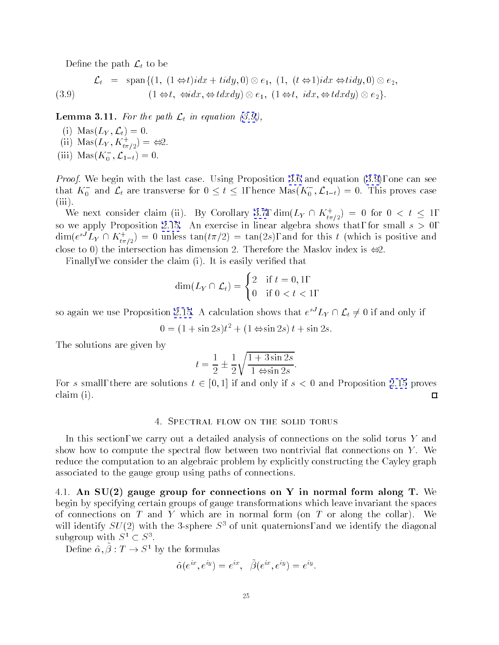<span id="page-24-0"></span>Define the path  $\mathcal{L}_t$  to be

(3.9) 
$$
\mathcal{L}_t = \text{span}\{(1, (1 \Leftrightarrow t)idx + tidy, 0) \otimes e_1, (1, (t \Leftrightarrow 1)idx \Leftrightarrow tidy, 0) \otimes e_2, (3.9) \qquad (1 \Leftrightarrow t, \Leftrightarrow idx, \Leftrightarrow tdxdy) \otimes e_1, (1 \Leftrightarrow t, idx, \Leftrightarrow tdxdy) \otimes e_2\}.
$$

**Lemma 3.11.** For the path  $\mathcal{L}_t$  in equation (3.9),

- (i)  $\text{Mas}(L_Y, \mathcal{L}_t)=0.$
- (ii) Mas( $L_Y, \Lambda_{t_{\pi/2}}$ ) =  $\Leftrightarrow$  2.
- (iii) Mas( $\Lambda_0$ ,  $\mathcal{L}_{1-t}$ ) = 0.

Proof. We begin with the last case. Using Proposition [3.6](#page-18-0) and equation (3.9), one can see that  $K_0$  and  $\mathcal{L}_t$  are transverse for  $0 \leq t \leq 1,$  hence  $\mathrm{Mas}(\mathcal{K}_0\, , \mathcal{L}_{1-t}) = 0.$  This proves case  $(iii)$ .

We next consider claim (ii). By Corollary [3.7](#page-18-0),  $\dim(L_Y \cap K_{t\pi/2}) = 0$  for  $0 \lt t \leq 1$ , so we apply Proposition [2.15](#page-12-0). An exercise in linear algebra shows that, for small  $s > 0$ ,  $\dim(e^{2\pi}L_Y \cap K_{t\pi/2}) = 0$  unless  $\tan(t\pi/2) = \tan(2s)$ , and for this t (which is positive and close to 0) the intersection has dimension 2. Therefore the Maslov index is  $\iff$ 2.

Finally, we consider the claim (i). It is easily verified that

$$
\dim(L_Y \cap \mathcal{L}_t) = \begin{cases} 2 & \text{if } t = 0, 1, \\ 0 & \text{if } 0 < t < 1, \end{cases}
$$

so again we use Proposition [2.15.](#page-12-0) A calculation shows that  $e^ L_Y$   $\sqcap$   $\mathcal{L}_t$   $\neq$  0 if and only if

$$
0 = (1 + \sin 2s)t^2 + (1 \Leftrightarrow \sin 2s)t + \sin 2s.
$$

The solutions are given by

$$
t = \frac{1}{2} \pm \frac{1}{2} \sqrt{\frac{1 + 3\sin 2s}{1 \Leftrightarrow \sin 2s}}.
$$

For s small, there are solutions  $t \in [0, 1]$  if and only if  $s < 0$  and Proposition [2.15](#page-12-0) proves claim (i).  $\Box$ 

# 4. Spectral flow on the solid torus

In this section, we carry out a detailed analysis of connections on the solid torus Y and show how to compute the spectral flow between two nontrivial flat connections on  $Y$ . We reduce the computation to an algebraic problem by explicitly constructing the Cayley graph associated to the gauge group using paths of connections.

4.1. An  $SU(2)$  gauge group for connections on Y in normal form along T. We begin by specifying certain groups of gauge transformations which leave invariant the spaces of connections on  $T$  and  $Y$  which are in normal form (on  $T$  or along the collar). We will identify  $SU(2)$  with the 3-sphere  $S<sup>3</sup>$  of unit quaternions, and we identify the diagonal subgroup with  $S^1 \subset S^3$ .

Define  $\tilde{\alpha}, \tilde{\beta}: T \to S^1$  by the formulas

$$
\tilde{\alpha}(e^{ix},e^{iy})=e^{ix},\;\;\tilde{\beta}(e^{ix},e^{iy})=e^{iy}.
$$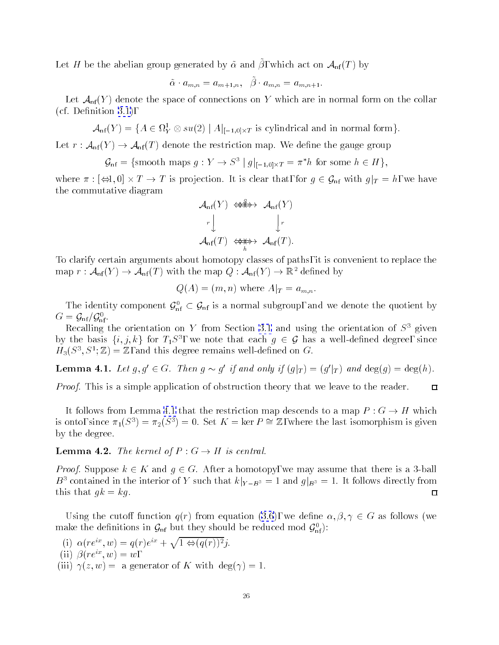<span id="page-25-0"></span>Let  $H$  be the abelian group generated by  $\alpha$  and  $\rho$ , which act on  $\mathcal{A}_{\rm nf}(T)$  by

$$
\tilde{\alpha} \cdot a_{m,n} = a_{m+1,n}, \quad \tilde{\beta} \cdot a_{m,n} = a_{m,n+1}.
$$

Let  $\mathcal{A}_{\rm nf}(Y)$  denote the space of connections on Y which are in normal form on the collar  $(cf. Definition 3.1),$  $(cf. Definition 3.1),$  $(cf. Definition 3.1),$ 

 ${\cal A}_{\rm nf}(Y) = \{ A \in \Omega^{\rm r}_Y \otimes su(2) \mid A|_{[-1,0] \times T} \text{ is cylindrical and in normal form} \}.$ 

Let  $r: \mathcal{A}_{\rm nf}(Y) \to \mathcal{A}_{\rm nf}(T)$  denote the restriction map. We define the gauge group

 $\mathcal{G}_{\text{nf}} = \{\text{smooth maps } g : Y \to S^{\top} | g|_{[-1,0] \times T} = \pi \text{ for some } h \in H \},\$ 

where it is proposed to the strip product that the form that  $\eta$  is  $\eta$  is clear that, we have the strip of the commutative diagram

$$
\mathcal{A}_{\rm nf}(Y) \iff \mathcal{A}_{\rm nf}(Y)
$$
\n
$$
\downarrow \qquad \qquad \downarrow r
$$
\n
$$
\mathcal{A}_{\rm nf}(T) \iff \mathcal{A}_{\rm nf}(T).
$$

To clarify certain arguments about homotopy classes of paths, it is convenient to replace the map  $r: \mathcal{A}_{\rm nf}(Y) \to \mathcal{A}_{\rm nf}(T)$  with the map  $Q: \mathcal{A}_{\rm nf}(Y) \to \mathbb{R}^2$  defined by

$$
Q(A) = (m, n) \text{ where } A|_{T} = a_{m,n}.
$$

The identity component  $\mathcal{G}_{\text{nf}} \subset \mathcal{G}_{\text{nf}}$  is a normal subgroup, and we denote the quotient by  $G = \mathcal{G}_{\rm nf} / \mathcal{G}_{\rm nf}^0$ . nf .

Recalling the orientation on Y from Section [3.1](#page-13-0) and using the orientation of  $S^1$  given by the basis  $\{i, j, \kappa\}$  for  $T_1S^2$ , we note that each  $g \in \mathcal{G}$  has a well-defined degree, since  $H_3(S^-, S^+; \mathbb{Z}) = \mathbb{Z}$ , and this degree remains well-defined on  $G$ .

**Lemma 4.1.** Let  $g, g \in G$ . Then  $g \sim g$  y and only y  $(g|_T) \equiv (g|_T)$  and  $\deg(g) \equiv \deg(h)$ .

*Proof.* This is a simple application of obstruction theory that we leave to the reader.

It follows from Lemma 4.1 that the restriction map descends to a map  $P: G \to H$  which is onto, since  $\pi_1(S^3) = \pi_2(S^3) = 0$ . Set  $K = \text{ker } P \cong \mathbb{Z}$ , where the last isomorphism is given by the degree.

**Lemma 4.2.** The kernel of  $P: G \to H$  is central.

*Proof.* Suppose  $k \in K$  and  $g \in G$ . After a homotopy, we may assume that there is a 3-ball  $B^3$  contained in the interior of Y such that  $k|_{Y-B^3} = 1$  and  $g|_{B^3} = 1$ . It follows directly from this that  $gk = kg$ .  $\Box$ 

Using the cutoff function  $q(r)$  from equation [\(3.6](#page-16-0)), we define  $\alpha, \beta, \gamma \in G$  as follows (we make the definitions in  $\mathcal{G}_{\rm nf}$  but they should be reduced mod  $\mathcal{G}_{\rm nf}$  ):

(i)  $\alpha(re^{ix}, w) = q(r)e^{ix} + \sqrt{1 \Leftrightarrow (q(r))^2}i.$ (ii)  $\beta(re^{ix}, w) = w$ , (iii)  $\gamma(z, w) =$  a generator of K with deg( $\gamma$ ) = 1.  $\Box$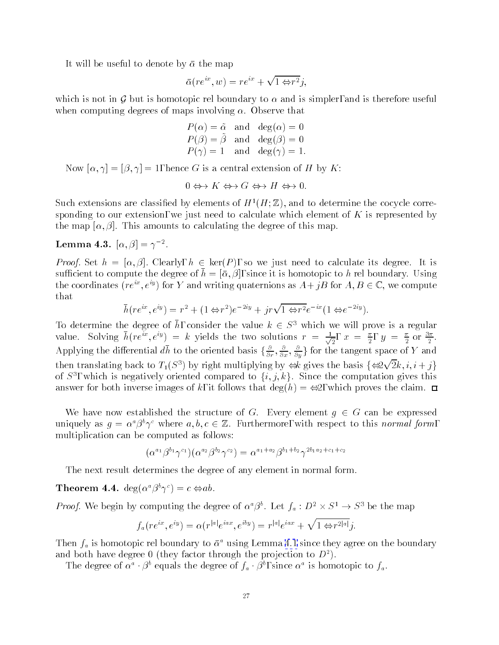<span id="page-26-0"></span>It will be useful to denote by  $\bar{\alpha}$  the map

$$
\bar{\alpha}(re^{ix}, w) = re^{ix} + \sqrt{1 \Leftrightarrow r^2}j,
$$

which is not in G but is homotopic rel boundary to  $\alpha$  and is simpler, and is therefore useful when computing degrees of maps involving  $\alpha$ . Observe that

$$
P(\alpha) = \tilde{\alpha} \text{ and } \deg(\alpha) = 0
$$
  
 
$$
P(\beta) = \tilde{\beta} \text{ and } \deg(\beta) = 0
$$
  
 
$$
P(\gamma) = 1 \text{ and } \deg(\gamma) = 1.
$$

Now  $[\alpha, \gamma] = [\beta, \gamma] = 1$ , hence G is a central extension of H by K:

$$
0 \Leftrightarrow K \Leftrightarrow G \Leftrightarrow H \Leftrightarrow 0.
$$

Such extensions are classified by elements of  $H^1(H;\mathbb{Z})$ , and to determine the cocycle corresponding to our extension, we just need to calculate which element of  $K$  is represented by the map  $[\alpha, \beta]$ . This amounts to calculating the degree of this map.

# Lemma 4.3.  $|\alpha, \beta| = \gamma$  .

*Proof.* Set  $h = [\alpha, \beta]$ . Clearly,  $h \in \text{ker}(P)$ , so we just need to calculate its degree. It is sufficient to compute the degree of  $\bar{h} = [\bar{\alpha}, \beta]$ , since it is homotopic to h rel boundary. Using the coordinates  $(re^{ix}, e^{iy})$  for Y and writing quaternions as  $A+jB$  for  $A, B \in \mathbb{C}$ , we compute that

$$
\bar{h}(re^{ix}, e^{iy}) = r^2 + (1 \Leftrightarrow r^2)e^{-2iy} + jr\sqrt{1 \Leftrightarrow r^2}e^{-ix}(1 \Leftrightarrow e^{-2iy}).
$$

To determine the degree of h, consider the value  $\kappa \in \mathcal{S}^+$  which we will prove is a regular value. Solving  $h(re^{iz},e^{iy}) = k$  yields the two solutions  $r = \frac{1}{\sqrt{2}}, x$  $\frac{1}{2}$ ,  $x = \frac{1}{2}$ ,  $y = \frac{1}{2}$  or  $\frac{1}{2}$ . Applying the differential *ah* to the oriented basis  $\{\frac{\partial}{\partial r}, \frac{\partial}{\partial x}, \frac{\partial}{\partial y}\}$  for the tangent space of Y and then translating back to  $T_1(S^3)$  by right multiplying by  $\iff$  gives the basis  $\{\Leftrightarrow 2\sqrt{2}k, i, i+j\}$ of  $S$ , which is negatively oriented compared to  $\{i,j,k\}$ . Since the computation gives this answer for both inverse images of k, it follows that  $deg(h) = \Leftrightarrow 2$ , which proves the claim.  $\Box$ 

We have now established the structure of G. Every element  $q \in G$  can be expressed uniquely as  $g = \alpha^a \beta^b \gamma^c$  where  $a, b, c \in \mathbb{Z}$ . Furthermore, with respect to this normal form, multiplication can be computed as follows:

$$
(\alpha^{a_1}\beta^{b_1}\gamma^{c_1})(\alpha^{a_2}\beta^{b_2}\gamma^{c_2}) = \alpha^{a_1+a_2}\beta^{b_1+b_2}\gamma^{2b_1a_2+c_1+c_2}
$$

The next result determines the degree of any element in normal form.

**Theorem 4.4.** deg( $\alpha^a \beta^b \gamma^c$ ) =  $c \Leftrightarrow ab$ .

*Proof.* We begin by computing the degree of  $\alpha \, \beta$ . Let  $f_a : D \times S \rightarrow S$  be the map

$$
f_a(re^{ix},e^{iy}) = \alpha(r^{|a|}e^{iax},e^{iby}) = r^{|a|}e^{iax} + \sqrt{1 \Leftrightarrow r^{2|a|}}j.
$$

Then  $f_a$  is homotopic rel boundary to  $\bar{\alpha}^a$  using Lemma [4.1](#page-25-0) since they agree on the boundary and both have degree 0 (they factor through the projection to  $D^2$ ).

The degree of  $\alpha \to \beta$  equals the degree of  $f_a + \beta$ , since  $\alpha$  is homotopic to  $f_a$ .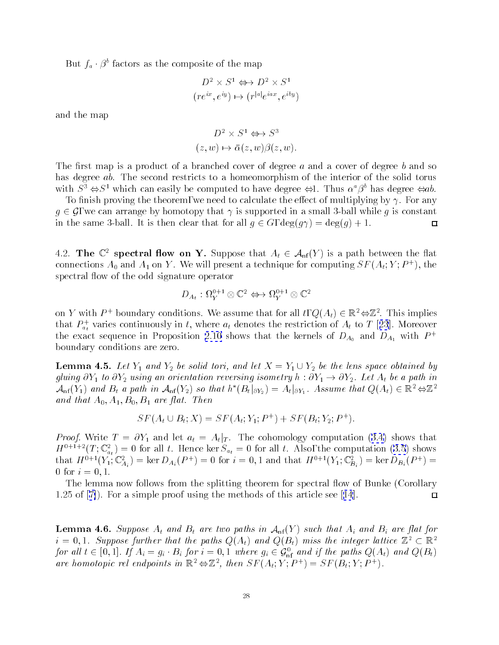<span id="page-27-0"></span>But  $f_a \cdot \beta$  factors as the composite of the map

$$
D^2 \times S^1 \Leftrightarrow D^2 \times S^1
$$

$$
(re^{ix}, e^{iy}) \mapsto (r^{|a|}e^{iax}, e^{iby})
$$

and the map

$$
D^2 \times S^1 \Leftrightarrow S^3
$$
  
 $(z, w) \mapsto \bar{\alpha}(z, w)\beta(z, w).$ 

The first map is a product of a branched cover of degree a and a cover of degree b and so has degree ab. The second restricts to a homeomorphism of the interior of the solid torus with  $S^3 \Leftrightarrow S^1$  which can easily be computed to have degree  $\Leftrightarrow 1$ . Thus  $\alpha^a \beta^b$  has degree  $\Leftrightarrow ab$ .

To finish proving the theorem, we need to calculate the effect of multiplying by  $\gamma$ . For any  $g \in \mathcal{G}$ , we can arrange by homotopy that  $\gamma$  is supported in a small 3-ball while g is constant in the same 3-ball. It is then clear that for all  $g \in G$ ,  $\deg(g\gamma) = \deg(g) + 1$ .  $\Box$ 

4.2. The  $\mathbb{C}^2$  spectral flow on Y. Suppose that  $A_t \in \mathcal{A}_{\rm nf}(Y)$  is a path between the flat connections  $A_0$  and  $A_1$  on Y . We will present a technique for computing  $S_F$  ( $A_t;Y;F^+$  ), the spectral flow of the odd signature operator

$$
D_{A_t} : \Omega_Y^{0+1} \otimes \mathbb{C}^2 \Leftrightarrow \Omega_Y^{0+1} \otimes \mathbb{C}^2
$$

on Y with P + boundary conditions. We assume that for all  $t$ ,  $Q(A_t) \in \mathbb{R}^+ \oplus \mathbb{Z}^+$ . This implies that  $P_{a_t}^+$  varies continuously in t, where  $a_t$  denotes the restriction of  $A_t$  to T [25]. Moreover the exact sequence in Proposition [2.10](#page-10-0) shows that the kernels of  $D_{A_0}$  and  $D_{A_1}$  with  $P^+$ boundary conditions are zero.

**Lemma 4.5.** Let  $Y_1$  and  $Y_2$  be solid tori, and let  $X = Y_1 \cup Y_2$  be the lens space obtained by gluing  $\partial Y_1$  to  $\partial Y_2$  using an orientation reversing isometry  $h : \partial Y_1 \to \partial Y_2$ . Let  $A_t$  be a path in  ${\cal A}_{\rm nf}(Y_1)$  and  $B_t$  a pain in  ${\cal A}_{\rm nf}(Y_2)$  so indi n  $(B_t|_{\partial Y_2} ) = A_t|_{\partial Y_1}$ . Assume indi $Q(A_t) \in \mathbb{R}^+ \Leftrightarrow \mathbb{Z}^+$ and that  $A_0, A_1, B_0, B_1$  are flat. Then

$$
SF(A_t \cup B_t; X) = SF(A_t; Y_1; P^+) + SF(B_t; Y_2; P^+).
$$

*Proof.*Write  $T = \partial Y_1$  and let  $a_t = A_t|_T$ . The cohomology computation ([3.4\)](#page-15-0) shows that  $H^{(1,2,1)}$  (T ;  $\mathbb{C}_{a_t}$  ) = 0 for all t. Hence ker  $S_{a_t}$  = 0 for all t. Also, the computation [\(3.5](#page-16-0)) shows that  $H^{-1}([Y_1;\mathbb{C}_{A_i})]=\ker D_{A_i}(P^+) = 0$  for  $i = 0,1$  and that  $H^{-1}([Y_1;\mathbb{C}_{B_i})]=\ker D_{B_i}(P^+) = 0$ 0 for  $i = 0, 1$ .

The lemma now follows from the splitting theorem for spectral flow of Bunke (Corollary 1.25of[[7\]](#page-61-0)). For a simple proof using the methods of this articlesee[[14](#page-61-0)].  $\Box$ 

**Lemma 4.6.** Suppose  $A_t$  and  $B_t$  are two paths in  $A_{nf}(Y)$  such that  $A_i$  and  $B_i$  are flat for  $i = 0, 1$ . Suppose further that the paths  $Q(A_t)$  and  $Q(B_t)$  miss the integer lattice  $\mathbb{Z}^2 \subset \mathbb{R}^2$ for all  $l \in [0,1]$ . If  $A_i = g_i \cdot D_i$  for  $i = 0,1$  where  $g_i \in \mathcal{G}_{\rm nf}$  and if the paths  $Q(A_t)$  and  $Q(D_t)$ are nomotopic ret enapoints in  $\mathbb{R}^+ \Leftrightarrow \mathbb{Z}^-,$  then  $SF(A_t;Y;P^+) = SF(D_t;Y;P^+).$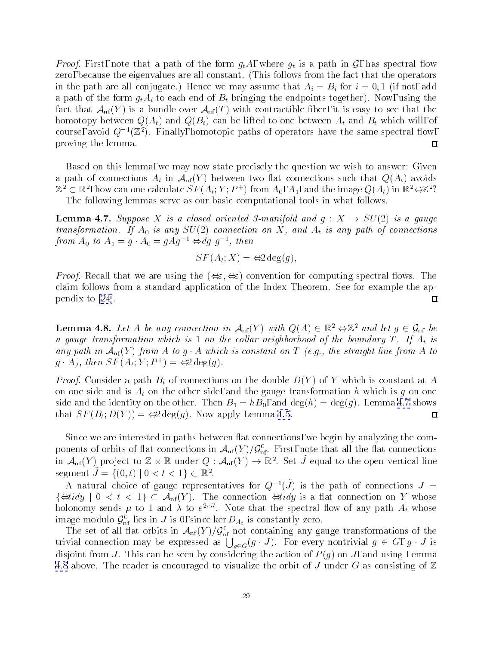<span id="page-28-0"></span>*Proof.* First, note that a path of the form  $g_t A$ , where  $g_t$  is a path in  $\mathcal{G}$ , has spectral flow zero, because the eigenvalues are all constant. (This follows from the fact that the operators in the path are all conjugate.) Hence we may assume that  $A_i = B_i$  for  $i = 0, 1$  (if not, add a path of the form  $g_t A_i$  to each end of  $B_t$  bringing the endpoints together). Now, using the fact that  $\mathcal{A}_{\rm nf}(Y)$  is a bundle over  $\mathcal{A}_{\rm nf}(T)$  with contractible fiber, it is easy to see that the homotopy between  $Q(A_t)$  and  $Q(B_t)$  can be lifted to one between  $A_t$  and  $B_t$  which will, of course, avoid  $Q^{-1}(\mathbb{Z}^2)$ . Finally, homotopic paths of operators have the same spectral flow, proving the lemma.  $\Box$ 

Based on this lemma, we may now state precisely the question we wish to answer: Given a path of connections  $A_t$  in  $A_{\rm nf}(Y)$  between two flat connections such that  $Q(A_t)$  avoids  $\mathbb{Z}_2 \subset \mathbb{R}$  , now can one calculate  $\Im F(A_t;T;F^+)$  from  $A_0, A_1,$  and the image  $Q(A_t)$  in  $\mathbb{R} \Leftrightarrow \mathbb{Z}$  : The following lemmas serve as our basic computational tools in what follows.

**Lemma 4.7.** Suppose X is a closed oriented 3-manifold and  $g: X \rightarrow SU(2)$  is a gauge transformation. If  $A_0$  is any  $SU(2)$  connection on X, and  $A_t$  is any path of connections from  $A_0$  to  $A_1 = g \cdot A_0 = g A g^{-1} \Leftrightarrow a g \cdot g^{-1}$ , then

$$
SF(A_t; X) = \Leftrightarrow 2 \deg(g),
$$

*Proof.* Recall that we are using the  $(\Leftrightarrow \xi, \Leftrightarrow \xi)$  convention for computing spectral flows. The claim follows from a standard application of the Index Theorem. See for example the appendixto [\[24](#page-61-0)].  $\Box$ 

**Lemma 4.8.** Let A be any connection in  $\mathcal{A}_{\text{nf}}(Y)$  with  $Q(A) \in \mathbb{R}^2 \Leftrightarrow \mathbb{Z}^2$  and let  $g \in \mathcal{G}_{\text{nf}}$  be a gauge transformation which is 1 on the collar neighborhood of the boundary T. If  $A_t$  is any path in  $\mathcal{A}_{\rm nf}(Y)$  from A to g  $\cdot$  A which is constant on T (e.g., the straight line from A to  $g \cdot A$ ), then  $\Im F(A_t; Y; F^+) = \Im Z \deg(g)$ .

*Proof.* Consider a path  $B_t$  of connections on the double  $D(Y)$  of Y which is constant at A on one side and is  $A_t$  on the other side, and the gauge transformation h which is g on one side and the identity on the other. Then  $B_1 = hB_0$ , and  $deg(h) = deg(g)$ . Lemma 4.7 shows that  $SF(B_t; D(Y)) = \Leftrightarrow 2 \deg(g)$ . Now apply Lemma [4.5.](#page-27-0)  $\Box$ 

Since we are interested in paths between flat connections, we begin by analyzing the components of orbits of flat connections in  ${\cal A}_{\rm nf}$  (Y  ${\cal Y}{\cal F}_{\rm nf}$ . First, note that all the flat connections in  ${\cal A}_{\rm nf}(Y)$  project to  $\mathbb Z\times\mathbb K$  under  $Q:{\cal A}_{\rm nf}(Y)\to\mathbb K^+$  . Set J equal to the open vertical line segment  $J = \{ (0, t) \mid 0 \leq t \leq 1 \} \subset \mathbb{R}^n$ .

A natural choice of gauge representatives for  $Q^{-1}(J)$  is the path of connections  $J$   $=$  $\{\text{grad } g \mid 0 \leq t \leq 1\} \subset \mathcal{A}_{\rm nf}(Y)$ . The connection  $\text{grad } g$  is a flat connection on Y whose holonomy sends  $\mu$  to 1 and  $\lambda$  to  $e^{-\gamma\gamma}$ . Note that the spectral flow of any path  $A_t$  whose image modulo  $\mathcal{G}_{\rm nf}$  lies in J is 0, since ker  $D_{A_t}$  is constantly zero.

The set of an inat orbits in  ${\cal A}_{\rm nf}$  (Y  ${\cal Y}_{\rm nf}$  not containing any gauge transformations of the trivial connection may be expressed as  $\bigcup_{g\in G}(g\cdot J)$ . For every nontrivial  $g\in G$ ,  $g\cdot J$  is disjoint from J. This can be seen by considering the action of  $P(g)$  on J, and using Lemma 4.8 above. The reader is encouraged to visualize the orbit of J under G as consisting of  $\mathbb Z$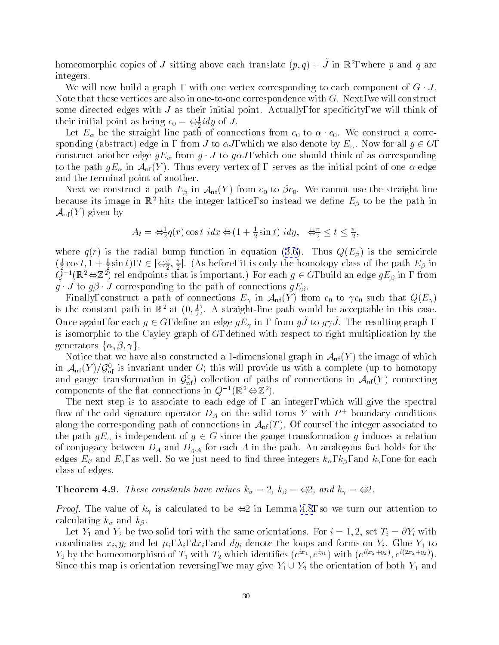<span id="page-29-0"></span>homeomorphic copies of J sitting above each translate  $(p, q) + J$  in  $\mathbb{R}^7$ , where p and q are integers.

We will now build a graph, with one vertex corresponding to each component of  $G \cdot J$ . Note that these vertices are also in one-to-one correspondence with  $G$ . Next, we will construct some directed edges with  $J$  as their initial point. Actually, for specificity, we will think of their initial point as being  $c_0 = \Leftrightarrow_{\overline{2}} i a y$  of  $J$ .

Let  $E_{\alpha}$  be the straight line path of connections from  $c_0$  to  $\alpha \cdot c_0$ . We construct a corresponding (abstract) edge in, from J to  $\alpha J$ , which we also denote by  $E_{\alpha}$ . Now for all  $g \in G$ , construct another edge  $gE_{\alpha}$  from  $g \cdot J$  to  $g \alpha J$ , which one should think of as corresponding to the path  $gE_{\alpha}$  in  $\mathcal{A}_{\rm nf}(Y)$ . Thus every vertex of, serves as the initial point of one  $\alpha$ -edge and the terminal point of another.

Next we construct a path  $E_\beta$  in  $\mathcal{A}_{\rm nf}(Y)$  from  $c_0$  to  $\beta c_0$ . We cannot use the straight line because its image in  $\mathbb{R}^2$  hits the integer lattice, so instead we define  $E_\beta$  to be the path in  $\mathcal{A}_{\rm nf}(Y)$  given by

$$
A_t = \Leftrightarrow \frac{1}{2} q(r) \cos t \, i dx \Leftrightarrow (1 + \frac{1}{2} \sin t) \, i dy, \quad \Leftrightarrow \frac{\pi}{2} \le t \le \frac{\pi}{2},
$$

where  $q(r)$  is the radial bump function in equation [\(3.6](#page-16-0)). Thus  $Q(E_\beta)$  is the semicircle  $(\frac{1}{2}\cos t, 1 + \frac{1}{2}\sin t), t \in [\frac{1}{2}, \frac{1}{2}]$ . (As before, it is only the homotopy class of the path  $E_\beta$  in  $Q^{-1}(\mathbb{R}^2 \Leftrightarrow \mathbb{Z}^2)$  rel endpoints that is important.) For each  $g \in G$ , build an edge  $gE_\beta$  in, from  $g \cdot J$  to  $g\beta \cdot J$  corresponding to the path of connections  $gE_{\beta}$ .

Finally, construct a path of connections  $E_{\gamma}$  in  $\mathcal{A}_{\rm nf}(Y)$  from  $c_0$  to  $\gamma c_0$  such that  $Q(E_{\gamma})$ is the constant path in  $\mathbb{K}^+$  at  $(0, \frac{1}{2})$ . A straight-line path would be acceptable in this case. Once again, for each  $g \in G$ , define an edge  $g_{E_2}$  in , thom gJ~to  $g_{\gamma}$ . The resulting graph is isomorphic to the Cayley graph of  $G$ , defined with respect to right multiplication by the generators  $\{\alpha, \beta, \gamma\}.$ 

Notice that we have also constructed a 1-dimensional graph in  $\mathcal{A}_{\rm nf}(Y)$  the image of which in  ${\cal A}_{\rm nf}$  (Y )/  ${\cal G}_{\rm nf}$  is invariant under  $G$ ; this will provide us with a complete (up to homotopy and gauge transformation in  $\mathcal{G}_{\rm nf}$ ) collection of paths of connections in  $\mathcal{A}_{\rm nf}(Y)$  connecting components of the flat connections in  $Q^{-1}(\mathbb{R}^2 \Leftrightarrow \mathbb{Z}^2)$ .

The next step is to associate to each edge of, an integer, which will give the spectral How of the odd signature operator  $D_A$  on the solid torus Y with  $P$  + boundary conditions along the corresponding path of connections in  $\mathcal{A}_{\rm nf}(T)$ . Of course, the integer associated to the path  $gE_{\alpha}$  is independent of  $g \in G$  since the gauge transformation g induces a relation of conjugacy between  $D_A$  and  $D_{g,A}$  for each A in the path. An analogous fact holds for the edges  $E_\beta$  and  $E_\gamma$ , as well. So we just need to find three integers  $k_\alpha, k_\beta$ , and  $k_\gamma$ , one for each class of edges.

**Theorem 4.9.** These constants have values  $k_{\alpha} = 2$ ,  $k_{\beta} = \Leftrightarrow 2$ , and  $k_{\gamma} = \Leftrightarrow 2$ .

*Proof.* The value of  $k_{\gamma}$  is calculated to be  $\iff$  in Lemma [4.8](#page-28-0), so we turn our attention to calculating  $k_{\alpha}$  and  $k_{\beta}$ .

Let  $Y_1$  and  $Y_2$  be two solid tori with the same orientations. For  $i = 1, 2$ , set  $T_i = \partial Y_i$  with coordinates  $x_i, y_i$  and let  $\mu_i, \lambda_i, dx_i$ , and  $dy_i$  denote the loops and forms on  $Y_i$ . Glue  $Y_1$  to  $r_2$  by the nomeomorphism of  $r_1$  with  $r_2$  which identifies  $(e^{z_1}, e^{z_2}, e^{z_3})$  with  $(e^{z_1z_2+z_2z}, e^{z_1z_2z_3z_2})$ . Since this map is orientation reversing, we may give  $Y_1 \cup Y_2$  the orientation of both  $Y_1$  and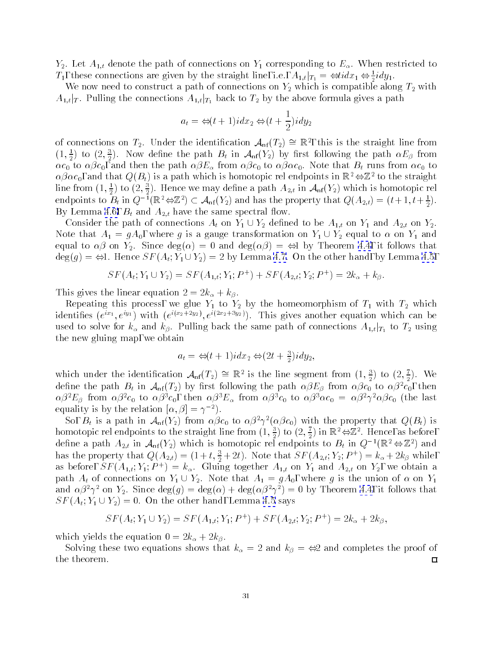$Y_2$ . Let  $A_{1,t}$  denote the path of connections on  $Y_1$  corresponding to  $E_\alpha$ . When restricted to  $T_1$ , these connections are given by the straight line, i.e.,  $A_{1,t}|_{T_1} = \bigoplus_{i=1}^{t} a x_1 \bigoplus_{j=1}^{t} a y_j$ .

We now need to construct a path of connections on  $Y_2$  which is compatible along  $T_2$  with  $A_{1,t}|_T$ . Pulling the connections  $A_{1,t}|_{T_1}$  back to  $T_2$  by the above formula gives a path

$$
a_t = \Leftrightarrow (t+1)idx_2 \Leftrightarrow (t+\frac{1}{2})idy_2
$$

of connections on  $T_2$ . Under the identification  $\mathcal{A}_{\rm nf}(T_2) = \mathbb{R}$ , this is the straight line from  $(1,\frac{1}{2})$  to  $(2,\frac{1}{2})$ . Now define the path  $B_t$  in  ${\cal A}_{\rm nf}(Y_2)$  by first following the path  $\alpha E_{\beta}$  from  $\alpha c_0$  to  $\alpha \beta c_0$ , and then the path  $\alpha \beta E_\alpha$  from  $\alpha \beta c_0$  to  $\alpha \beta \alpha c_0$ . Note that  $B_t$  runs from  $\alpha c_0$  to  $\alpha\beta\alpha c_0$ , and that  $Q(B_t)$  is a path which is homotopic rel endpoints in  $\mathbb{R}^2 \Leftrightarrow \mathbb{Z}^2$  to the straight line from  $(1,\frac{1}{2})$  to  $(2,\frac{1}{2})$ . Hence we may define a path  $A_{2,t}$  in  ${\mathcal A}_{\rm nf}(Y_2)$  which is homotopic rel endpoints to  $B_t$  in  $Q^{-1}(\mathbb{K}^*\oplus \mathbb{Z}^*)\subset \mathcal{A}_{\rm nf}(Y_2)$  and has the property that  $Q(A_{2,t})=(t+1, t+\frac{1}{2}).$ By Lemma [4.6,](#page-27-0)  $B_t$  and  $A_{2,t}$  have the same spectral flow.

Consider the path of connections  $A_t$  on  $Y_1 \cup Y_2$  defined to be  $A_{1,t}$  on  $Y_1$  and  $A_{2,t}$  on  $Y_2$ . Note that  $A_1 = gA_0$ , where g is a gauge transformation on  $Y_1 \cup Y_2$  equal to  $\alpha$  on  $Y_1$  and equal to  $\alpha\beta$  on  $Y_2$ . Since  $\deg(\alpha) = 0$  and  $\deg(\alpha\beta) = \Leftrightarrow$  by Theorem [4.4,](#page-26-0) it follows that  $deg(g) = \Leftrightarrow$ 1. Hence  $SF (A_t; Y_1 \cup Y_2)=2$  by Lemma [4.7](#page-28-0). On the other hand, by Lemma [4.5](#page-27-0),

$$
SF(A_t; Y_1 \cup Y_2) = SF(A_{1,t}; Y_1; P^+) + SF(A_{2,t}; Y_2; P^+) = 2k_{\alpha} + k_{\beta}.
$$

This gives the linear equation  $2 = 2k_{\alpha} + k_{\beta}$ .<br>Repeating this process, we glue  $Y_1$  to  $Y_2$  by the homeomorphism of  $T_1$  with  $T_2$  which identifies  $(e^{i\pi x}, e^{i\theta x})$  with  $(e^{i\sqrt{2}x+2\theta x}, e^{i\sqrt{2}x+2\theta x})$ . This gives another equation which can be used to solve for  $k_{\alpha}$  and  $k_{\beta}$ . Pulling back the same path of connections  $A_{1,t}|_{T_1}$  to  $T_2$  using the new gluing map, we obtain

$$
a_t = \Leftrightarrow (t+1)idx_2 \Leftrightarrow (2t+\frac{3}{2})idy_2,
$$

which under the identification  $\mathcal{A}_{\rm nf}(T_2) \cong \mathbb{R}^2$  is the line segment from  $(1, \frac{2}{2})$  to  $(Z, \frac{1}{2})$ . We define the path  $D_t$  in  ${\cal A}_{\rm nf}(T_2)$  by first following the path  $\alpha \beta E_{\beta}$  from  $\alpha \beta c_0$  to  $\alpha \beta^- c_0$ , then  $\alpha$ p- $E_{\beta}$  from  $\alpha$ p- $c_0$  to  $\alpha$ p- $c_0$ , then  $\alpha$ p- $E_{\alpha}$  from  $\alpha$ p- $c_0$  to  $\alpha$ p- $\alpha$ c<sub>0</sub> =  $\alpha$ p- $\gamma$ - $\alpha$ p $c_0$  (the fast equality is by the relation  $[\alpha, \beta] = \gamma^{-2}$ .

So,  $B_t$  is a path in  ${\cal A}_{\rm nf}(Y_2)$  from  $\alpha\beta c_0$  to  $\alpha\beta^*\gamma^*(\alpha\beta c_0)$  with the property that  $Q(B_t)$  is homotopic rel endpoints to the straight line from  $(1,\frac{1}{2})$  to  $(2,\frac{1}{2})$  in  $\mathbb{K}^* \Leftrightarrow \mathbb{Z}^*$ . Hence, as before, define a path  $A_{2,t}$  in  $\mathcal{A}_{\rm nf}(Y_2)$  which is homotopic rel endpoints to  $B_t$  in  $Q^{-1}(\mathbb{R}^2 \Leftrightarrow \mathbb{Z}^2)$  and has the property that  $Q(A_{2,t}) = (1+t, \frac{1}{2}+2t)$ . Note that  $SF(A_{2,t}; Y_2; P^+) = \kappa_\alpha + 2\kappa_\beta$  while, as before,  $ST(A_{1:t}; Y_1; P^+) = \kappa_\alpha$ . Giuing together  $A_{1:t}$  on  $Y_1$  and  $A_{2:t}$  on  $Y_2$ , we obtain a path  $A_t$  of connections on  $Y_1 \cup Y_2$ . Note that  $A_1 = gA_0$ , where g is the union of  $\alpha$  on  $Y_1$ and  $\alpha\beta^2\gamma^2$  on  $Y_2$ . Since  $\deg(g) = \deg(\alpha) + \deg(\alpha\beta^2\gamma^2) = 0$  by Theorem [4.4,](#page-26-0) it follows that  $SF(A_t; Y_1 \cup Y_2) = 0$ . On the other hand, Lemma [4.5](#page-27-0) says

$$
SF(At; Y1 \cup Y2) = SF(A1,t; Y1; P+) + SF(A2,t; Y2; P+) = 2k\alpha + 2k\beta,
$$

which yields the equation  $0 = 2k_{\alpha} + 2k_{\beta}$ .

Solving these two equations shows that  $k_{\alpha} = 2$  and  $k_{\beta} = \Leftrightarrow 2$  and completes the proof of the theorem.  $\Box$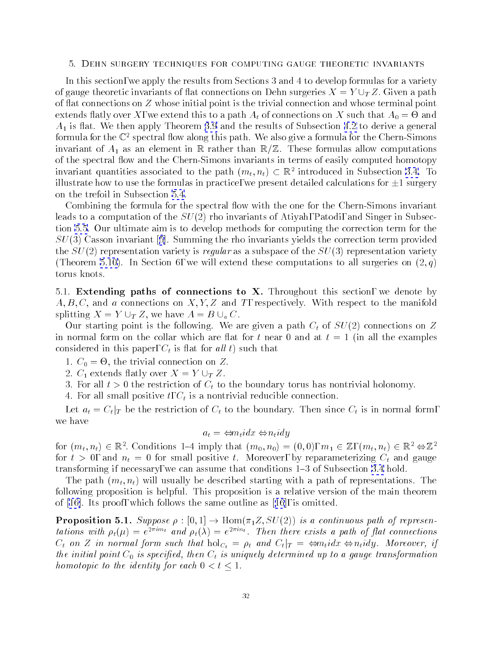### <span id="page-31-0"></span>5. Dehn surgery techniques for computing gauge theoretic invariants

In this section, we apply the results from Sections 3 and 4 to develop formulas for a variety of gauge theoretic invariants of flat connections on Dehn surgeries  $X = Y \cup_T Z$ . Given a path of 
at connections on Z whose initial point is the trivial connection and whose terminal point extends to a path At of connections on  $\mathbf{v}$  and  $\mathbf{v}$  and  $\mathbf{v}$  and  $\mathbf{v}$  and  $\mathbf{v}$  and  $\mathbf{v}$  and  $\mathbf{v}$  and  $\mathbf{v}$  and  $\mathbf{v}$  and  $\mathbf{v}$  and  $\mathbf{v}$  and  $\mathbf{v}$  and  $\mathbf{v}$  and  $\mathbf{v}$  and  $A_1$  is flat. We then apply Theorem [3.9](#page-19-0) and the results of Subsection [4.2](#page-27-0) to derive a general formula for the  $\mathbb{C}^2$  spectral flow along this path. We also give a formula for the Chern-Simons invariant of  $A_1$  as an element in R rather than  $\mathbb{R}/\mathbb{Z}$ . These formulas allow computations of the spectral flow and the Chern-Simons invariants in terms of easily computed homotopy invariant quantities associated to the path  $(m_t, n_t) \subset \mathbb{R}^+$  introduced in Subsection [3.4](#page-16-0). To illustrate how to use the formulas in practice, we present detailed calculations for  $\pm 1$  surgery on the trefoil in Subsection [5.4](#page-36-0).

Combining the formula for the spectral flow with the one for the Chern-Simons invariant leads to a computation of the  $SU(2)$  rho invariants of Atiyah, Patodi, and Singer in Subsection [5.5](#page-39-0). Our ultimate aim is to develop methods for computing the correction term for the  $SU(3)$ Casson invariant [[5](#page-61-0)]. Summing the rho invariants yields the correction term provided the  $SU(2)$  representation variety is regular as a subspace of the  $SU(3)$  representation variety (Theorem [5.10\)](#page-41-0). In Section 6, we will extend these computations to all surgeries on  $(2, q)$ torus knots.

5.1. Extending paths of connections to  $X$ . Throughout this section, we denote by  $A, B, C$ , and a connections on  $X, Y, Z$  and T, respectively. With respect to the manifold splitting  $X = Y \cup_T Z$ , we have  $A = B \cup_a C$ .

Our starting point is the following. We are given a path  $C_t$  of  $SU(2)$  connections on Z in normal form on the collar which are flat for t near 0 and at  $t = 1$  (in all the examples considered in this paper,  $C_t$  is flat for all t) such that

 $\sim$  0. Connection on  $\sim$  -

2.  $C_1$  extends flatly over  $X = Y \cup_T Z$ .

- 3. For all  $t > 0$  the restriction of  $C_t$  to the boundary torus has nontrivial holonomy.
- 4. For all small positive  $t, C_t$  is a nontrivial reducible connection.

Let  $a_t = C_t |_{T}$  be the restriction of  $C_t$  to the boundary. Then since  $C_t$  is in normal form, we have

$$
a_t = \Leftrightarrow m_t idx \Leftrightarrow n_t idy
$$

for  $(m_t, n_t) \in \mathbb{R}^+$ . Conditions 1-4 imply that  $(m_0, n_0) = (0, 0), m_1 \in \mathbb{Z}$ ,  $(m_t, n_t) \in \mathbb{R}^+ \Leftrightarrow \mathbb{Z}^+$ for  $t > 0$ , and  $n_t = 0$  for small positive t. Moreover, by reparameterizing  $C_t$  and gauge transforming if necessary, we can assume that conditions 1{3 of Subsection [3.4](#page-16-0) hold.

The path  $(m_t, n_t)$  will usually be described starting with a path of representations. The following proposition is helpful. This proposition is a relative version of the main theorem of [\[16\]](#page-61-0). Its proof, which follows the same outlineas[[16](#page-61-0)], is omitted.

**Proposition 5.1.** Suppose  $\rho : [0,1] \to \text{Hom}(\pi_1 Z, SU(2))$  is a continuous path of representations with  $\rho_t(\mu) = e^{-i\pi i \tau}$  and  $\rho_t(\lambda) = e^{-i\pi i \tau}$ . Then there exists a path of flat connections  $C_t$  on Z in normal form such that  $hol_{C_t} = \rho_t$  and  $C_t|_T = \Leftrightarrow m_tidx \Leftrightarrow n_tidy$ . Moreover, if the initial point  $C_0$  is specified, then  $C_t$  is uniquely determined up to a gauge transformation homotopic to the identity for each  $0 < t \leq 1$ .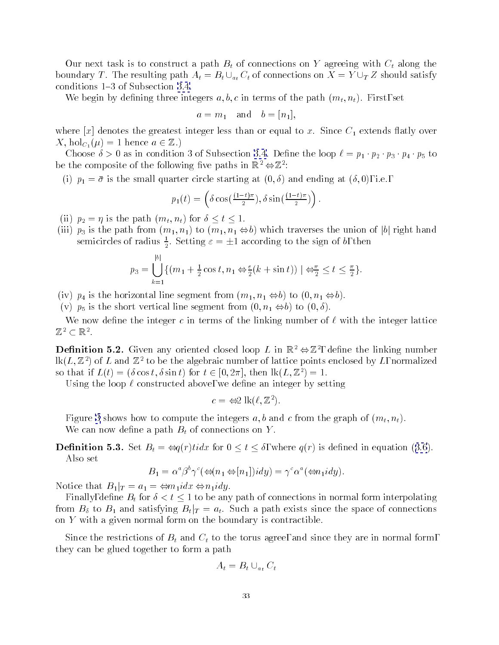<span id="page-32-0"></span>Our next task is to construct a path  $B_t$  of connections on Y agreeing with  $C_t$  along the boundary T. The resulting path  $A_t = B_t \cup_{a_t} C_t$  of connections on  $X = Y \cup_T Z$  should satisfy conditions  $1-3$  of Subsection [3.4.](#page-16-0)

We begin by defining three integers  $a, b, c$  in terms of the path  $(m_t, n_t)$ . First, set

$$
a = m_1 \quad \text{and} \quad b = [n_1],
$$

where  $[x]$  denotes the greatest integer less than or equal to x. Since  $C_1$  extends flatly over  $X, \, hol_{C_1}(\mu) = 1$  hence  $a \in \mathbb{Z}$ .)

Choose  $\delta > 0$  as in condition 3 of Subsection [3.4.](#page-16-0) Define the loop  $\ell = p_1 \cdot p_2 \cdot p_3 \cdot p_4 \cdot p_5$  to be the composite of the following ve paths in R2 Z2 :

(i)  $p_1 = \bar{\sigma}$  is the small quarter circle starting at  $(0, \delta)$  and ending at  $(\delta, 0)$ , i.e.,

$$
p_1(t) = \left(\delta \cos\left(\frac{(1-t)\pi}{2}\right), \delta \sin\left(\frac{(1-t)\pi}{2}\right)\right).
$$

(ii)  $p_2 = \eta$  is the path  $(m_t, n_t)$  for  $\delta \le t \le 1$ .

<u>2002 - Jan James Barnett, ameri</u>kansk kon

(iii)  $p_3$  is the path from  $(m_1, n_1)$  to  $(m_1, n_1 \Leftrightarrow b)$  which traverses the union of  $|b|$  right hand semicircles of radius  $\frac{1}{5}$ . Setting  $\varepsilon = \pm 1$  according to the sign of b, then

$$
p_3 = \bigcup_{k=1}^{|b|} \{ (m_1 + \frac{1}{2}\cos t, n_1 \Leftrightarrow \frac{\varepsilon}{2}(k + \sin t)) \mid \Leftrightarrow \frac{\pi}{2} \le t \le \frac{\pi}{2} \}.
$$

(iv)  $p_4$  is the horizontal line segment from  $(m_1, n_1 \Leftrightarrow b)$  to  $(0, n_1 \Leftrightarrow b)$ .

(v)  $p_5$  is the short vertical line segment from  $(0, n_1 \Leftrightarrow b)$  to  $(0, \delta)$ .

We now define the integer c in terms of the linking number of  $\ell$  with the integer lattice /2 C IN .

**Definition 5.2.** Given any oriented closed loop L in  $\mathbb{R}^2 \Leftrightarrow \mathbb{Z}^2$ , define the linking number  $lk(L, \mathbb{Z}^2)$  of L and  $\mathbb{Z}^2$  to be the algebraic number of lattice points enclosed by L, normalized so that if  $L(t)=(\delta \cos t, \delta \sin t)$  for  $t \in [0, 2\pi]$ , then  $\text{lk}(L, \mathbb{Z}^2) = 1$ .

Using the loop  $\ell$  constructed above, we define an integer by setting

$$
c = \Leftrightarrow 2 \operatorname{lk}(\ell, \mathbb{Z}^2).
$$

Figure [3](#page-33-0) shows how to compute the integers a, b and c from the graph of  $(m_t, n_t)$ . We can now define a path  $B_t$  of connections on Y.

**Definition5.3.** Set  $B_t = \Leftrightarrow q(r) t idx$  for  $0 \le t \le \delta$ , where  $q(r)$  is defined in equation ([3.6](#page-16-0)). Also set

$$
B_1 = \alpha^a \beta^b \gamma^c (\Leftrightarrow (n_1 \Leftrightarrow [n_1]) idy) = \gamma^c \alpha^a (\Leftrightarrow n_1 idy).
$$

Notice that  $B_1|_T = a_1 = \Leftrightarrow m_1 i dx \Leftrightarrow n_1 i dy$ .

Finally, define  $B_t$  for  $\delta < t < 1$  to be any path of connections in normal form interpolating from  $B_{\delta}$  to  $B_1$  and satisfying  $B_t|_T = a_t$ . Such a path exists since the space of connections on  $Y$  with a given normal form on the boundary is contractible.

Since the restrictions of  $B_t$  and  $C_t$  to the torus agree, and since they are in normal form, they can be glued together to form a path

$$
A_t = B_t \cup_{a_t} C_t
$$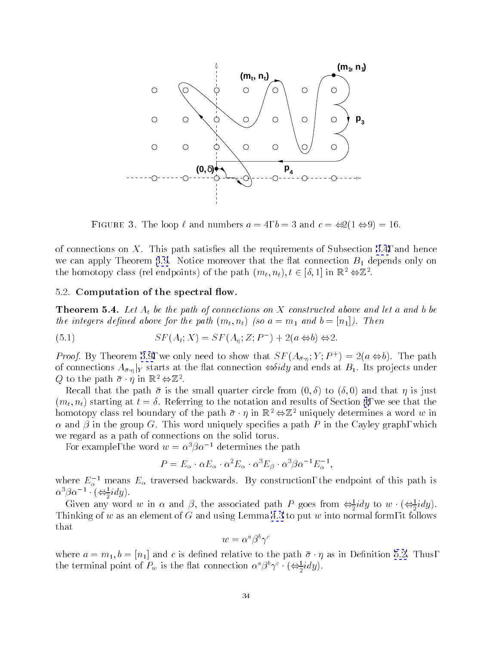<span id="page-33-0"></span>

**FIGURE 3.** The loop  $\ell$  and numbers  $a = 4$ ,  $b = 3$  and  $c = \Leftrightarrow z(1 \Leftrightarrow y) = 10$ .

of connections on  $X$ . This path satisfies all the requirements of Subsection [3.4,](#page-16-0) and hence we can apply Theorem [3.9](#page-19-0). Notice moreover that the flat connection  $B_1$  depends only on the homotopy class (ref endpoints) of the path  $(m_t, n_t), t \in [0, 1]$  in  $\mathbb{R}^+ \ominus \mathbb{Z}^+$ .

# 5.2. Computation of the spectral flow.

**Theorem 5.4.** Let  $A_t$  be the path of connections on X constructed above and let a and b be the integers defined above for the path  $(m_t, n_t)$  (so  $a = m_1$  and  $b = [n_1]$ ). Then

(5.1) 
$$
SF(A_t; X) = SF(A_\eta; Z; P^-) + 2(a \Leftrightarrow b) \Leftrightarrow 2.
$$

*Proof.* By Theorem 5.9, we only need to show that  $ST(A_{\bar{\sigma},n};T;F^+) = Z(a \Leftrightarrow b)$ . The path of connections  $A_{\bar{\sigma} \cdot \eta}|_Y$  starts at the flat connection  $\Leftrightarrow \delta idy$  and ends at  $B_1$ . Its projects under  $Q$  to the path  $\sigma \cdot \eta$  in  $\mathbb{R}^2 \ominus \mathbb{Z}^2$ .

Recall that the path  $\bar{\sigma}$  is the small quarter circle from  $(0,\delta)$  to  $(\delta,0)$  and that  $\eta$  is just  $(m_t, n_t)$  starting at  $t = \delta$ . Referring to the notation and results of Section [4](#page-24-0), we see that the homotopy class rel boundary of the path  $\bar{\sigma} \cdot \eta$  in  $\mathbb{R}^2 \Leftrightarrow \mathbb{Z}^2$  uniquely determines a word w in  $\alpha$  and  $\beta$  in the group G. This word uniquely specifies a path P in the Cayley graph, which we regard as a path of connections on the solid torus.

For example, the word  $w = \alpha^3 \beta \alpha^{-1}$  determines the path

$$
P = E_{\alpha} \cdot \alpha E_{\alpha} \cdot \alpha^2 E_{\alpha} \cdot \alpha^3 E_{\beta} \cdot \alpha^3 \beta \alpha^{-1} E_{\alpha}^{-1},
$$

where  $E_\alpha^{-1}$  means  $E_\alpha$  traversed backwards. By construction, the endpoint of this path is  $\alpha$   $\beta$   $\alpha$   $\rightarrow$   $\left(\bigoplus_{i=1}^{n} a_i y_i\right)$ .

Given any word w in  $\alpha$  and  $\beta$ , the associated path P goes from  $\Leftrightarrow$   $\frac{1}{2}$  idy to w  $(\Leftrightarrow \frac{1}{2}$  idy). Thinking of was assumed of  $\mathbb{R}^n$  . This is followed using Lemma [4.3](#page-26-0) to put w into normal form, it follows  $\mathbb{R}^n$ that

$$
w=\alpha^a\beta^b\gamma^c
$$

where  $a = m_1, b = [n_1]$  and c is defined relative to the path  $\bar{\sigma} \cdot \eta$  as in Definition [5.2.](#page-32-0) Thus, the terminal point of  $P_w$  is the flat connection  $\alpha^{\circ} \rho^{\circ} \gamma^{\circ} \cdot (\Leftrightarrow \exists u y)$ .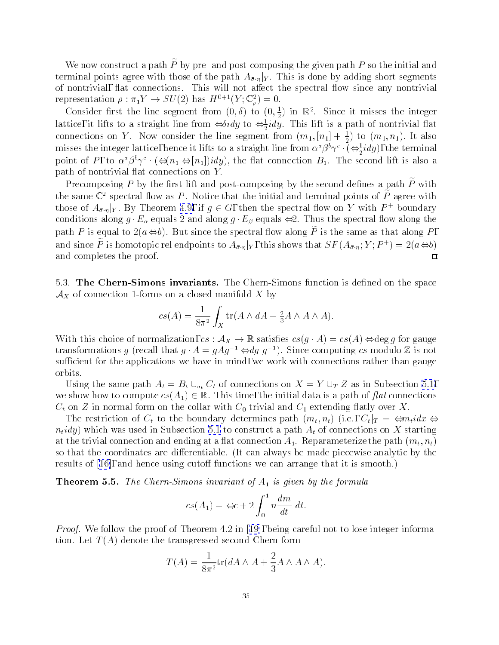<span id="page-34-0"></span>We now construct a path  $P$  by pre- and post-composing the given path  $P$  so the initial and terminal points agree with those of the path  $A_{\bar{\sigma},\eta}|_Y$ . This is done by adding short segments of nontrivial, flat connections. This will not affect the spectral flow since any nontrivial representation  $\rho : \pi_1 Y \to SU(2)$  has  $H^{-1} (Y; \mathbb{C}^7) = 0$ .

Consider first the line segment from  $(0,\delta)$  to  $(0,\frac{1}{2})$  in  $\mathbb{K}^2$ . Since it misses the integer lattice, it lifts to a straight line from  $\Leftrightarrow$   $\partial u$  to  $\Leftrightarrow$  and in this lift is a path of nontrivial flat connections on Y. Now consider the line segment from  $(m_1, [n_1] + \frac{1}{2})$  to  $(m_1, n_1)$ . It also misses the integer lattice, hence it lifts to a straight line from  $\alpha^*\beta^*\gamma^*$  ( $\Leftrightarrow$   $\overline{\alpha}uy$ ), the terminal point of P, to  $\alpha^a \beta^b \gamma^c \cdot (\Leftrightarrow (n_1 \Leftrightarrow [n_1]) idy)$ , the flat connection  $B_1$ . The second lift is also a  $path of nontrivial flat connections on  $Y$ .$ 

Precomposing  $P$  by the first lift and post-composing by the second defines a path  $\overline{P}$  with the same  $\mathbb{C}^2$  spectral flow as P. Notice that the initial and terminal points of  $\widetilde{P}$  agree with those of  $A_{\bar{\sigma}.\eta}|_{Y}$ . By Theorem [4.9,](#page-29-0) if  $g\in G,$  then the spectral flow on Y with  $P$  + boundary conditions along  $g \cdot E_\alpha$  equals 2 and along  $g \cdot E_\beta$  equals  $\Leftrightarrow$ 2. Thus the spectral flow along the path P is equal to  $2(a \Leftrightarrow b)$ . But since the spectral flow along P is the same as that along P, and since P is homotopic relendpoints to  $A_{\bar{\sigma}\cdot\eta}|_Y,$  this shows that  $SF$  ( $A_{\bar{\sigma}\cdot\eta};T$  ;  $P^+$  )  $=$   $Z(a\Longleftrightarrow 0)$ and completes the proof.  $\Box$ 

5.3. The Chern-Simons invariants. The Chern-Simons function is defined on the space  $\mathcal{A}_X$  of connection 1-forms on a closed manifold  $X$  by

$$
cs(A) = \frac{1}{8\pi^2} \int_X \text{tr}(A \wedge dA + \frac{2}{3}A \wedge A \wedge A).
$$

With this choice of normalization,  $cs : \mathcal{A}_X \to \mathbb{R}$  satisfies  $cs(g \cdot A) = cs(A) \Leftrightarrow deg g$  for gauge transformations g (recall that  $q \cdot A = qAq^{-1} \Leftrightarrow dq q^{-1}$ ). Since computing cs modulo Z is not sufficient for the applications we have in mind, we work with connections rather than gauge orbits.

Using the same path  $A_t = B_t \cup_{a_t} C_t$  of connections on  $X = Y \cup_T Z$  as in Subsection [5.1](#page-31-0), we show how to compute  $cs(A_1) \in \mathbb{R}$ . This time, the initial data is a path of flat connections  $C_t$  on Z in normal form on the collar with  $C_0$  trivial and  $C_1$  extending flatly over X.

The restriction of  $C_t$  to the boundary determines path  $(m_t, n_t)$  (i.e.,  $C_t|_T = \Leftrightarrow m_t$ idx  $\Leftrightarrow$  $n_tidy$ ) which was used in Subsection [5.1](#page-31-0) to construct a path  $A_t$  of connections on X starting at the trivial connection and ending at a flat connection  $A_1$ . Reparameterize the path  $(m_t, n_t)$ so that the coordinates are differentiable. (It can always be made piecewise analytic by the resultsof  $(16)$ , and hence using cutoff functions we can arrange that it is smooth.)

**Theorem 5.5.** The Chern-Simons invariant of  $A_1$  is given by the formula

$$
cs(A_1) = \Leftrightarrow c + 2 \int_0^1 n \frac{dm}{dt} dt.
$$

*Proof.*We follow the proof of Theorem 4.2 in [[19\]](#page-61-0), being careful not to lose integer information. Let  $T(A)$  denote the transgressed second Chern form

$$
T(A) = \frac{1}{8\pi^2} \text{tr}(dA \wedge A + \frac{2}{3}A \wedge A \wedge A).
$$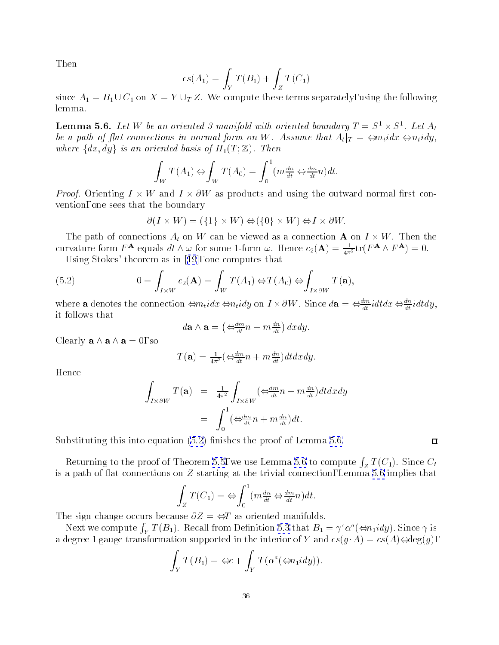<span id="page-35-0"></span>Then

$$
cs(A_1) = \int_Y T(B_1) + \int_Z T(C_1)
$$

since  $A_1 = B_1 \cup C_1$  on  $X = Y \cup_T Z$ . We compute these terms separately, using the following lemma.

**Lemma 5.6.** Let  $W$  be an oriented 3-manifold with oriented boundary  $I = S^{\top} \times S^{\top}$ . Let  $A_t$ be a path of flat connections in normal form on W. Assume that  $A_t|_T = \Leftrightarrow m_t idx \Leftrightarrow n_t idy$ , where  $\{dx, dy\}$  is an oriented basis of  $H_1(T; \mathbb{Z})$ . Then

$$
\int_W T(A_1) \Leftrightarrow \int_W T(A_0) = \int_0^1 (m \frac{dn}{dt} \Leftrightarrow \frac{dm}{dt} n) dt.
$$

Proof. Orienting I - W and I - @W as products and using the outward normal rst convention, one sees that the boundary

$$
\partial(I \times W) = (\{1\} \times W) \Leftrightarrow (\{0\} \times W) \Leftrightarrow I \times \partial W.
$$

The path of connections At on <sup>W</sup> can be viewed as a connection <sup>A</sup> on <sup>I</sup> - W. Then the curvature form  $F^{\bf A}$  equals  $dt\wedge\omega$  for some 1-form  $\omega$ . Hence  $c_2({\bf A})=\frac{1}{4\pi^2}{\rm tr}(F^{\bf A}\wedge F^{\bf A})=0.$ 

Using Stokes' theorem asin[[19](#page-61-0)], one computes that

(5.2) 
$$
0 = \int_{I \times W} c_2(\mathbf{A}) = \int_W T(A_1) \Leftrightarrow T(A_0) \Leftrightarrow \int_{I \times \partial W} T(\mathbf{a}),
$$

where a denotes the connection  $\Leftrightarrow n_t u x \Leftrightarrow n_t u y$  on  $I \times O W$ . Since  $\alpha a = \Leftrightarrow \frac{d}{dt} u u x \Leftrightarrow \frac{d}{dt} u u y$ , it follows that

$$
d\mathbf{a} \wedge \mathbf{a} = \left( \Leftrightarrow_{d} \frac{dm}{dt} n + m \frac{dn}{dt} \right) dxdy.
$$

Clearly  $\mathbf{a} \wedge \mathbf{a} \wedge \mathbf{a} = 0$ , so

$$
T(\mathbf{a}) = \frac{1}{4\pi^2} \left( \frac{d^2m}{dt} n + m \frac{dn}{dt} \right) dt dx dy.
$$

Hence

$$
\int_{I \times \partial W} T(\mathbf{a}) = \frac{1}{4\pi^2} \int_{I \times \partial W} (\Leftrightarrow_{\frac{dm}{dt}}^{\frac{dm}{dt}} n + m \frac{dn}{dt}) dt dx dy
$$

$$
= \int_0^1 (\Leftrightarrow_{\frac{dm}{dt}}^{\frac{dm}{dt}} n + m \frac{dn}{dt}) dt.
$$

Substituting this into equation  $(5.2)$  finishes the proof of Lemma 5.6.

Returning to the proof of Theorem [5.5](#page-34-0), we use Lemma 5.6 to compute  $\int_Z T(C_1)$ . Since  $C_t$ is a path of flat connections on  $Z$  starting at the trivial connection, Lemma 5.6 implies that

$$
\int_Z T(C_1) \, dx \Leftrightarrow \int_0^1 \left( m \frac{dn}{dt} \Leftrightarrow \frac{dm}{dt} n \right) dt.
$$

The sign change occurs because  $\partial Z = \Leftrightarrow T$  as oriented manifolds.

Next we compute  $\int_Y T(B_1)$ . Recall from Definition [5.3](#page-32-0) that  $B_1 = \gamma^c \alpha^a (\Leftrightarrow n_1 idy)$ . Since  $\gamma$  is a degree 1 gauge transformation supported in the interior of Y and  $cs(g \cdot A) = cs(A) \Leftrightarrow deg(g)$ ,

$$
\int_Y T(B_1) = \Leftrightarrow c + \int_Y T(\alpha^a(\Leftrightarrow n_1 idy)).
$$

 $\Box$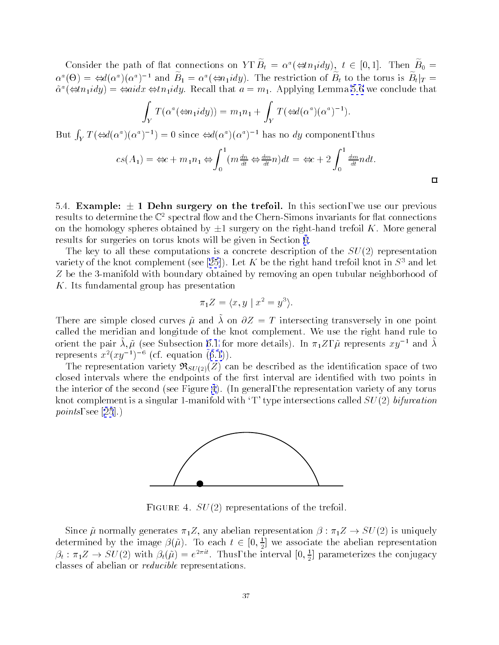<span id="page-36-0"></span>Consider the path of flat connections on  $Y$ ,  $B_t = \alpha$  ( $\Leftrightarrow n_1 u a y$ ),  $t \in [0,1]$ . Then  $B_0 =$  $\alpha^-(\Theta) = \Leftrightarrow a(\alpha^*)(\alpha^+)$  and  $D_1 = \alpha^*(\Leftrightarrow n_1iay)$ . The restriction of  $D_t$  to the torus is  $D_t|_T = \Delta$  $\alpha^*(\text{S}n_1)$  and  $\text{S}n_1$  and  $\alpha$  are conclude that a set  $a = m_1$ . Applying Lemma [5.6](#page-35-0) we conclude that

$$
\int_Y T(\alpha^a(\Leftrightarrow n_1 idy)) = m_1 n_1 + \int_Y T(\Leftrightarrow d(\alpha^a)(\alpha^a)^{-1}).
$$

But  $\int_Y T (\Leftrightarrow d(\alpha^a)(\alpha^a)^{-1}) = 0$  since  $\Leftrightarrow d(\alpha^a)(\alpha^a)^{-1}$  has no dy component, thus

$$
cs(A_1) = \Leftrightarrow c + m_1 n_1 \Leftrightarrow \int_0^1 (m \frac{dn}{dt} \Leftrightarrow \frac{dm}{dt} n) dt = \Leftrightarrow c + 2 \int_0^1 \frac{dm}{dt} n dt.
$$

 $\Box$ 

5.4. Example:  $\pm$  1 Dehn surgery on the trefoil. In this section, we use our previous results to determine the  $\mathbb{C}^2$  spectral flow and the Chern-Simons invariants for flat connections on the homology spheres obtained by  $\pm 1$  surgery on the right-hand trefoil K. More general results for surgeries on torus knots will be given in Section [6](#page-42-0).

The key to all these computations is a concrete description of the  $SU(2)$  representation varietyof the knot complement (see [\[25\]](#page-61-0)). Let K be the right hand trefoil knot in  $S<sup>3</sup>$  and let Z be the 3-manifold with boundary obtained by removing an open tubular neighborhood of K. Its fundamental group has presentation

$$
\pi_1 Z = \langle x, y \mid x^2 = y^3 \rangle.
$$

There are simple closed curves  $\mu$  and  $\lambda$  on  $\sigma Z = T$  intersecting transversely in one point called the meridian and longitude of the knot complement. We use the right hand rule to orient the pair  $\lambda, \mu$  (see Subsection [6.1](#page-43-0) for more details). In  $\pi_1 \mathcal{L}, \ \mu$  represents  $xy$  and  $\lambda$ represents $x^2(xy^{-1})^{-6}$  (cf. equation ([6.1](#page-44-0))).

The representation variety  $\Re_{SU(2)}(Z)$  can be described as the identification space of two closed intervals where the endpoints of the first interval are identified with two points in the interior of the second (see Figure 4). (In general, the representation variety of any torus knot complement is a singular 1-manifold with 'T' type intersections called  $SU(2)$  bifurcation *points*,see [[25](#page-61-0)].)



FIGURE 4.  $SU(2)$  representations of the trefoil.

Since  $\tilde{\mu}$  normally generates  $\pi_1 Z$ , any abelian representation  $\beta : \pi_1 Z \to SU(2)$  is uniquely determined by the image  $\beta(\mu).$  To each  $t\in [0,\frac{1}{2}]$  we associate the abelian representation  $p_t: \pi_1 \mathcal{Z} \to SU(2)$  with  $p_t(\mu) = e^{-\pi \mathcal{Z}}$ . Thus, the interval  $[0, \frac{1}{2}]$  parameterizes the conjugacy classes of abelian or reducible representations.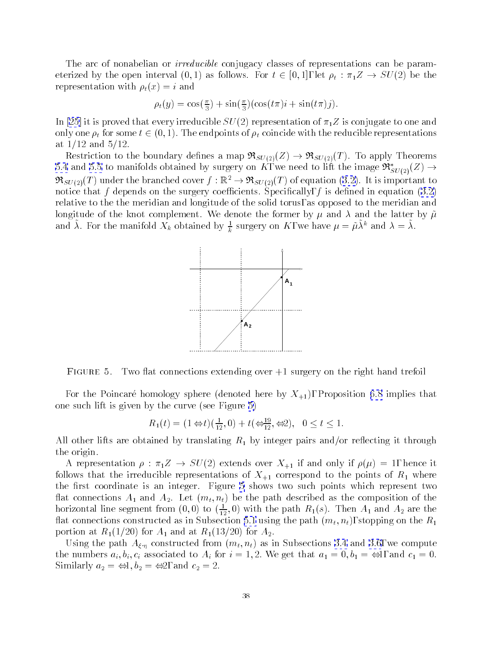The arc of nonabelian or *irreducible* conjugacy classes of representations can be parameterized by the open interval  $(0, 1)$  as follows. For  $t \in [0, 1]$ , let  $\rho_t : \pi_1 Z \to SU(2)$  be the representation with  $\rho_t(x) = i$  and

$$
\rho_t(y) = \cos\left(\frac{\pi}{3}\right) + \sin\left(\frac{\pi}{3}\right)\left(\cos\left(t\pi\right)i + \sin\left(t\pi\right)j\right).
$$

In [\[25](#page-61-0)] it is proved that every irreducible  $SU(2)$  representation of  $\pi_1 Z$  is conjugate to one and only one  $\rho_t$  for some  $t \in (0, 1)$ . The endpoints of  $\rho_t$  coincide with the reducible representations at  $1/12$  and  $5/12$ .

Restriction to the boundary defines a map  $\Re_{SU(2)}(Z) \to \Re_{SU(2)}(T)$ . To apply Theorems [5.4](#page-33-0)and [5.5](#page-34-0) to manifolds obtained by surgery on K, we need to lift the image  $\mathfrak{R}^*_{SU(2)}(Z) \rightarrow$  $\Re_{SU(2)}(T)$ under the branched cover  $f : \mathbb{R}^2 \to \Re_{SU(2)}(T)$  of equation ([3.2\)](#page-15-0). It is important to noticethat f depends on the surgery coefficients. Specifically, f is defined in equation  $(3.2)$  $(3.2)$ relative to the the meridian and longitude of the solid torus, as opposed to the meridian and longitude of the knot complement. We denote the former by  $\mu$  and  $\lambda$  and the latter by  $\tilde{\mu}$ and  $\lambda$ . For the manifold  $\Lambda_k$  obtained by  $\frac{1}{k}$  surgery on  $\Lambda$ , we have  $\mu = \mu \lambda^*$  and  $\lambda = \lambda$ .



Figure 5. Two 
at connections extending over +1 surgery on the right hand trefoil

For the Poincaré homology sphere (denoted here by  $X_{+1}$ ), Proposition [6.8](#page-50-0) implies that one such lift is given by the curve (see Figure 5)

$$
R_1(t) = (1 \Leftrightarrow t)(\frac{1}{12}, 0) + t(\Leftrightarrow \frac{19}{12}, \Leftrightarrow 2), \ \ 0 \le t \le 1.
$$

All other lifts are obtained by translating  $R_1$  by integer pairs and/or reflecting it through the origin.

A representation  $\rho : \pi_1 Z \to SU(2)$  extends over  $X_{+1}$  if and only if  $\rho(\mu) = 1$ , hence it follows that the irreducible representations of  $X_{+1}$  correspond to the points of  $R_1$  where the first coordinate is an integer. Figure 5 shows two such points which represent two flat connections  $A_1$  and  $A_2$ . Let  $(m_t, n_t)$  be the path described as the composition of the horizontal line segment from  $(0,0)$  to  $(\frac{1}{12},0)$  with the path  $R_1(s)$ . Then  $A_1$  and  $A_2$  are the flat connections constructed as in Subsection [5.1](#page-31-0) using the path  $(m_t, n_t)$ , stopping on the  $R_1$ portion at  $R_1(1/20)$  for  $A_1$  and at  $R_1(13/20)$  for  $A_2$ .

Usingthe path  $A_{\xi,\eta}$  constructed from  $(m_t,n_t)$  as in Subsections [3.4](#page-16-0) and [3.6](#page-19-0), we compute the numbers  $a_i, b_i, c_i$  associated to  $A_i$  for  $i = 1, 2$ . We get that  $a_1 = 0, b_1 = \Leftrightarrow 1$ , and  $c_1 = 0$ . Similarly  $a_2 = \Leftrightarrow 1, b_2 = \Leftrightarrow 2$ , and  $c_2 = 2$ .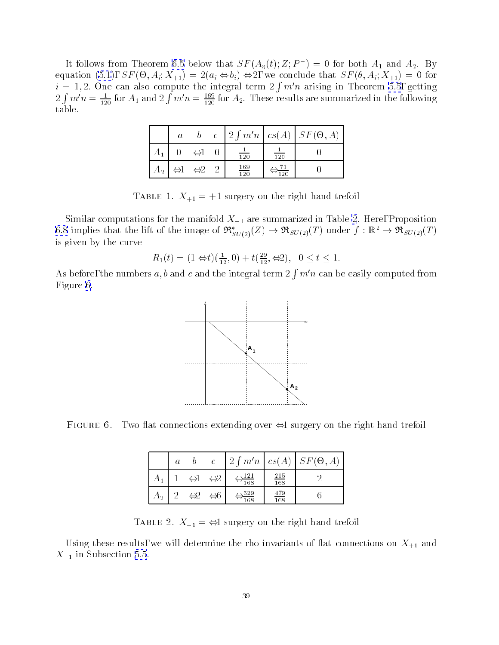It follows from Theorem [6.5](#page-46-0) below that  $S F(A_n(t); Z; P_-) = 0$  for both  $A_1$  and  $A_2$ . By equation (see ), SF (-1), SF (-1), SF (-1), SF (-1), SF (-2), SF (-2), SF (-2), SF (-2), SF (-2), SF (-2), SF (-2), SF (-2), SF (-2), SF (-2), SF (-2), SF (-2), SF (-2), SF (-2), SF (-2), SF (-2), SF (-2), SF (-2), SF (-2  $i = 1, 2$ . One can also compute the integral term  $2 \int m'n$  arising in Theorem [5.5](#page-34-0), getting \_\_\_  $\int m'n = \frac{1}{120}$  for  $A_1$  and  $2 \int m'n = \frac{169}{120}$  for  $A_2$ . These results are summarized in the following table.

|                | $\boldsymbol{a}$ |                     |                   |                  | $b \quad c \mid 2 \int m'n \mid cs(A) \mid SF(\Theta, A)$ |
|----------------|------------------|---------------------|-------------------|------------------|-----------------------------------------------------------|
| A <sub>1</sub> |                  | $\Leftrightarrow$ l | $\frac{1}{120}$   | $\overline{120}$ |                                                           |
| A <sub>2</sub> |                  | $\Leftrightarrow$ 2 | $\frac{169}{120}$ |                  |                                                           |

**Table 1.**  $A_{+1} = +1$  surgery on the right hand trefoll

Similar computations for the manifold  $X_{-1}$  are summarized in Table 2. Here, Proposition [6.8](#page-50-0) implies that the lift of the image of  $\mathfrak{R}^*_{SU(2)}(Z) \to \mathfrak{R}_{SU(2)}(T)$  under  $f : \mathbb{R}^2 \to \mathfrak{R}_{SU(2)}(T)$ is given by the curve

$$
R_1(t) = (1 \Leftrightarrow t)(\frac{1}{12}, 0) + t(\frac{29}{12}, \Leftrightarrow 2), \quad 0 \le t \le 1.
$$

As before, the numbers a, b and c and the integral term  $2 \int m'n$  can be easily computed from Figure 6.



 $\Gamma$ igure 0. Two hat connections extending over  $\Leftrightarrow$ i surgery on the right hand treioli

|     | $\mathfrak a$ |                     | $\mathcal{C}$       | $\frac{1}{2} \int m'n \,   \, cs(A)  $ |                   | $\exists F(\Theta, A)$ |
|-----|---------------|---------------------|---------------------|----------------------------------------|-------------------|------------------------|
|     |               | $\Leftrightarrow$ l | $\Leftrightarrow$   | $\overline{168}$                       | $\frac{215}{168}$ |                        |
| 412 |               | $\Leftrightarrow$   | $\Leftrightarrow$ 6 | 529<br>168                             | $\frac{479}{168}$ |                        |

**TABLE 2.**  $A_{-1} = \ominus 1$  surgery on the right hand trefoli

Using these results, we will determine the rho invariants of flat connections on  $X_{+1}$  and  $X_{-1}$  in Subsection [5.5](#page-39-0).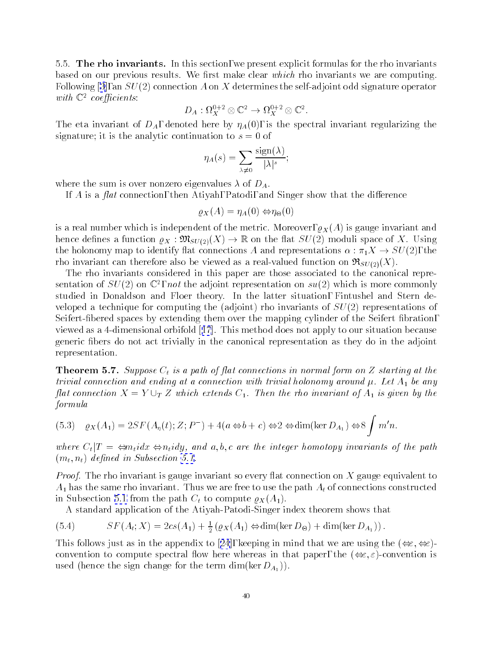<span id="page-39-0"></span>5.5. The rho invariants. In this section, we present explicit formulas for the rho invariants based on our previous results. We first make clear which rho invariants we are computing. Following [\[3\]](#page-61-0), an  $SU(2)$  connection A on X determines the self-adjoint odd signature operator with  $\mathbb{C}^2$  coefficients:

$$
D_A: \Omega_X^{0+2} \otimes \mathbb{C}^2 \to \Omega_X^{0+2} \otimes \mathbb{C}^2.
$$

The eta invariant of  $D_A$ , denoted here by  $\eta_A(0)$ , is the spectral invariant regularizing the signature; it is the analytic continuation to  $s = 0$  of

$$
\eta_A(s) = \sum_{\lambda \neq 0} \frac{\text{sign}(\lambda)}{|\lambda|^s};
$$

where the sum is over nonzero eigenvalues  $\lambda$  of  $D_A$ .

If A is a flat connection, then Atiyah, Patodi, and Singer show that the difference

$$
\varrho_X(A) = \eta_A(0) \Leftrightarrow \eta_{\Theta}(0)
$$

is a real number which is independent of the metric. Moreover,  $\varrho_X(A)$  is gauge invariant and hence defines a function  $\varrho_X : \mathfrak{M}_{SU(2)}(X) \to \mathbb{R}$  on the flat  $SU(2)$  moduli space of X. Using the holonomy map to identify flat connections A and representations  $\alpha : \pi_1 X \to SU(2)$ , the rho invariant can therefore also be viewed as a real-valued function on  $\Re_{SU(2)}(X)$ .

The rho invariants considered in this paper are those associated to the canonical representation of  $SU(2)$  on  $\mathbb{C}^+$ , not the adjoint representation on  $su(2)$  which is more commonly studied in Donaldson and Floer theory. In the latter situation, Fintushel and Stern developed a technique for computing the (adjoint) rho invariants of  $SU(2)$  representations of Seifert-fibered spaces by extending them over the mapping cylinder of the Seifert fibration, viewed as a 4-dimensional orbifold[[17](#page-61-0)]. This method does not apply to our situation because generic bers do not act trivially in the canonical representation as they do in the adjoint representation.

**Theorem 5.7.** Suppose  $C_t$  is a path of flat connections in normal form on Z starting at the trivial connection and ending at a connection with trivial holonomy around  $\mu$ . Let  $A_1$  be any flat connection  $X = Y \cup_T Z$  which extends  $C_1$ . Then the rho invariant of  $A_1$  is given by the formula

$$
(5.3) \quad \varrho_X(A_1) = 2SF(A_\eta(t); Z; P^-) + 4(a \Leftrightarrow b + c) \Leftrightarrow 2 \Leftrightarrow \dim(\ker D_{A_1}) \Leftrightarrow 8 \int m'n.
$$

where  $C_t|T| = \leftarrow \Leftrightarrow n_t$ idx  $\Leftrightarrow n_t$ idy, and a,b,c are the integer homotopy invariants of the path  $(m_t, n_t)$  defined in Subsection [5.1](#page-31-0).

*Proof.* The rho invariant is gauge invariant so every flat connection on X gauge equivalent to  $A_1$  has the same rho invariant. Thus we are free to use the path  $A_t$  of connections constructed in Subsection [5.1](#page-31-0) from the path  $C_t$  to compute  $\varrho_X(A_1)$ .

A standard application of the Atiyah-Patodi-Singer index theorem shows that

(5.4) 
$$
SF(A_t; X) = 2cs(A_1) + \frac{1}{2} (\varrho_X(A_1) \Leftrightarrow \dim(\ker D_{\Theta}) + \dim(\ker D_{A_1})).
$$

Thisfollows just as in the appendix to [[24](#page-61-0)], keeping in mind that we are using the  $(\Leftrightarrow \Leftrightarrow)$ convention to compute spectral flow here whereas in that paper, the  $(\Leftrightarrow \varepsilon,\varepsilon)$ -convention is used (hence the sign change for the term dim(ker  $D_{A_1}$ )).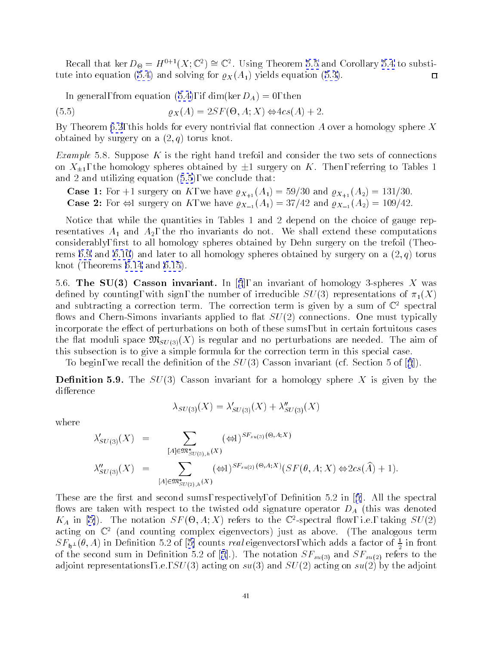<span id="page-40-0"></span>Recall that ker  $D_{\Theta} = H^{++}(A; \mathbb{C}^+) = \mathbb{C}^+$ . Using Theorem [5.5](#page-34-0) and Corollary [5.4](#page-33-0) to substi-tute into equation [\(5.4](#page-39-0))and solving for  $\varrho_X(A_1)$  yields equation ([5.3\)](#page-39-0).  $\Box$ 

Ingeneral, from equation ([5.4\)](#page-39-0), if  $\dim(\ker D_A) = 0$ , then

(5.5) 
$$
\varrho_X(A) = 2SF(\Theta, A; X) \Leftrightarrow 4cs(A) + 2.
$$

By Theorem [6.2](#page-45-0), this holds for every nontrivial flat connection A over a homology sphere X obtained by surgery on a  $(2, q)$  torus knot.

*Example* 5.8. Suppose  $K$  is the right hand trefoil and consider the two sets of connections on  $X_{+1}$ , the homology spheres obtained by  $\pm 1$  surgery on K. Then, referring to Tables 1 and 2 and utilizing equation (5.5), we conclude that:

**Case 1:** For +1 surgery on K, we have  $\varrho_{X_{+1}}(A_1) = 59/30$  and  $\varrho_{X_{+1}}(A_2) = 131/30$ . **Case 2:** For  $\Leftrightarrow$ 1 surgery on K, we have  $\varrho_{X-1}(A_1) = 37/42$  and  $\varrho_{X-1}(A_2) = 109/42$ .

Notice that while the quantities in Tables 1 and 2 depend on the choice of gauge representatives  $A_1$  and  $A_2$ , the rho invariants do not. We shall extend these computations considerably, first to all homology spheres obtained by Dehn surgery on the trefoil (Theo-rems [6.9](#page-51-0)and [6.10](#page-52-0)) and later to all homology spheres obtained by surgery on a  $(2, q)$  torus knot (Theorems [6.14](#page-57-0)and [6.15](#page-58-0)).

5.6.The SU(3) Casson invariant. In [[5](#page-61-0)], an invariant of homology 3-spheres X was defined by counting, with sign, the number of irreducible  $SU(3)$  representations of  $\pi_1(X)$ and subtracting a correction term. The correction term is given by a sum of  $\mathbb{C}^2$  spectral flows and Chern-Simons invariants applied to flat  $SU(2)$  connections. One must typically incorporate the effect of perturbations on both of these sums, but in certain fortuitous cases the flat moduli space  $\mathfrak{M}_{SU(3)}(X)$  is regular and no perturbations are needed. The aim of this subsection is to give a simple formula for the correction term in this special case.

Tobegin, we recall the definition of the  $SU(3)$  Casson invariant (cf. Section [5](#page-61-0) of [5]).

**Definition 5.9.** The  $SU(3)$  Casson invariant for a homology sphere X is given by the difference

$$
\lambda_{SU(3)}(X) = \lambda'_{SU(3)}(X) + \lambda''_{SU(3)}(X)
$$

where

$$
\lambda'_{SU(3)}(X) = \sum_{[A] \in \mathfrak{M}_{SU(3),h}^*(X)} (\Leftrightarrow 1)^{SF_{su(3)}(\Theta, A;X)} \n\lambda''_{SU(3)}(X) = \sum_{[A] \in \mathfrak{M}_{SU(2),h}^*(X)} (\Leftrightarrow 1)^{SF_{su(2)}(\Theta, A;X)} (SF(\theta, A; X) \Leftrightarrow 2cs(\widehat{A}) + 1).
$$

Theseare the first and second sums, respectively, of Definition [5](#page-61-0).2 in  $[5]$ . All the spectral flows are taken with respect to the twisted odd signature operator  $D_A$  (this was denoted  $K_A$  in [\[5\]](#page-61-0)). The notation  $ST(\mathcal{O}, A; \Lambda)$  refers to the C-spectral flow, i.e., taking  $SU(2)$ acting on <sup>C</sup> <sup>2</sup> (and counting complex eigenvectors) just as above. (The analogous term  $SL_{h+1}(\theta, A)$  $SL_{h+1}(\theta, A)$  $SL_{h+1}(\theta, A)$  in Definition 5.2 of [[5\]](#page-61-0) counts *real* eigenvectors, which adds a factor of  $\frac{1}{2}$  in front  $\begin{array}{ccc} \hline \text{1} & \text{1} & \text{1} & \text{1} & \text{1} & \text{1} & \text{1} & \text{1} & \text{1} & \text{1} & \text{1} & \text{1} & \text{1} & \text{1} & \text{1} & \text{1} & \text{1} & \text{1} & \text{1} & \text{1} & \text{1} & \text{1} & \text{1} & \text{1} & \text{1} & \text{1} & \text{1} & \text{1} & \text{1} & \text{1} & \text{1} & \text{1} & \text{1} & \text{1} & \text{1} &$  $\begin{array}{ccc} \hline \text{1} & \text{1} & \text{1} & \text{1} & \text{1} & \text{1} & \text{1} & \text{1} & \text{1} & \text{1} & \text{1} & \text{1} & \text{1} & \text{1} & \text{1} & \text{1} & \text{1} & \text{1} & \text{1} & \text{1} & \text{1} & \text{1} & \text{1} & \text{1} & \text{1} & \text{1} & \text{1} & \text{1} & \text{1} & \text{1} & \text{1} & \text{1} & \text{1} & \text{1} & \text{1} &$  $\begin{array}{ccc} \hline \text{1} & \text{1} & \text{1} & \text{1} & \text{1} & \text{1} & \text{1} & \text{1} & \text{1} & \text{1} & \text{1} & \text{1} & \text{1} & \text{1} & \text{1} & \text{1} & \text{1} & \text{1} & \text{1} & \text{1} & \text{1} & \text{1} & \text{1} & \text{1} & \text{1} & \text{1} & \text{1} & \text{1} & \text{1} & \text{1} & \text{1} & \text{1} & \text{1} & \text{1} & \text{1} &$ adjoint representations, i.e.,  $SU(3)$  acting on su(3) and  $SU(2)$  acting on su(2) by the adjoint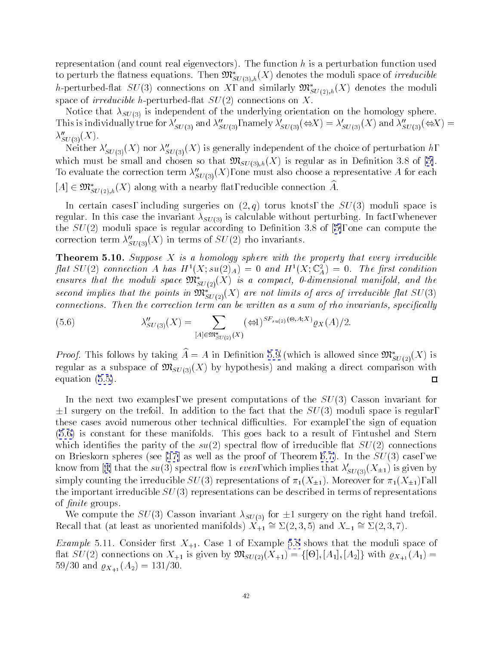<span id="page-41-0"></span>representation (and count real eigenvectors). The function h is a perturbation function used to perturb the flatness equations. Then  $\mathfrak{M}^*_{SU(3),h}(X)$  denotes the moduli space of *irreducible* h-perturbed-flat  $SU(3)$  connections on X, and similarly  $\mathfrak{M}^*_{SU(2),h}(X)$  denotes the moduli space of *irreducible* h-perturbed-flat  $SU(2)$  connections on X.

Notice that  $\lambda_{SU(3)}$  is independent of the underlying orientation on the homology sphere. This is individually true for  $\lambda'_{SU(3)}$  and  $\lambda''_{SU(3)}$ , namely  $\lambda'_{SU(3)}(\Leftrightarrow X) = \lambda'_{SU(3)}(X)$  and  $\lambda''_{SU(3)}(\Leftrightarrow X) =$  $\lambda''_{SU(3)}(X)$ .

Neither  $\lambda'_{SU(3)}(X)$  nor  $\lambda''_{SU(3)}(X)$  is generally independent of the choice of perturbation h, whichmust be small and chosen so that  $\mathfrak{M}_{SU(3),h}(X)$  is regular as in Definition 3.8 of [\[5\]](#page-61-0). To evaluate the correction term  $\lambda''_{SU(3)}(X)$ , one must also choose a representative A for each  $[A] \in \mathfrak{M}_{SU(2),h}^*(X)$  along with a nearby flat, reducible connection  $\widehat{A}$ .

In certain cases, including surgeries on  $(2,q)$  torus knots, the  $SU(3)$  moduli space is regular. In this case the invariant  $\lambda_{SU(3)}$  is calculable without perturbing. In fact, whenever the $SU(2)$  moduli space is regular according to Definition 3.8 of [[5\]](#page-61-0), one can compute the correction term  $\lambda''_{SU(3)}(X)$  in terms of  $SU(2)$  rho invariants.

**Theorem 5.10.** Suppose  $X$  is a homology sphere with the property that every irreducible fiat SU(2) connection A has  $H^-(A; su(2)_A) = 0$  and  $H^-(A; \mathbb{C}_A) = 0$ . The first condition ensures that the moduli space  $\mathfrak{M}^*_{SU(2)}(X)$  is a compact, 0-dimensional manifold, and the second implies that the points in  $\mathfrak{M}^*_{SU(2)}(X)$  are not limits of arcs of irreducible flat  $SU(3)$ connections. Then the correction term can be written as a sum of rho invariants, specifically

(5.6) 
$$
\lambda''_{SU(3)}(X) = \sum_{[A] \in \mathfrak{M}^*_{SU(2)}(X)} (\Leftrightarrow 1)^{SF_{su(2)}(\Theta, A;X)} \varrho_X(A)/2.
$$

*Proof.* This follows by taking  $\hat{A} = A$  in Definition [5.9](#page-40-0) (which is allowed since  $\mathfrak{M}_{SU(2)}^{*}(X)$  is regular as a subspace of  $\mathfrak{M}_{SU(3)}(X)$  by hypothesis) and making a direct comparison with equation([5.5\)](#page-40-0).  $\Box$ 

In the next two examples, we present computations of the  $SU(3)$  Casson invariant for  $\pm 1$  surgery on the trefoil. In addition to the fact that the  $SU(3)$  moduli space is regular, these cases avoid numerous other technical difficulties. For example, the sign of equation (5.6) is constant for these manifolds. This goes back to a result of Fintushel and Stern which identifies the parity of the  $su(2)$  spectral flow of irreducible flat  $SU(2)$  connections onBrieskorn spheres (see [\[17](#page-61-0)] as well as the proof of Theorem [6.7\)](#page-48-0). In the  $SU(3)$  case, we knowfrom [[4](#page-61-0)] that the su(3) spectral flow is even, which implies that  $\lambda'_{SU(3)}(X_{\pm 1})$  is given by simply counting the irreducible  $SU(3)$  representations of  $\pi_1(X_{\pm 1})$ . Moreover for  $\pi_1(X_{\pm 1})$ , all the important irreducible  $SU(3)$  representations can be described in terms of representations of *finite* groups.

We compute the  $SU(3)$  Casson invariant  $\lambda_{SU(3)}$  for  $\pm 1$  surgery on the right hand trefoil. Recall that (at least as unoriented manifolds)  $X_{+1} \cong \Sigma(2,3,5)$  and  $X_{-1} \cong \Sigma(2,3,7)$ .

*Example* 5.11. Consider first  $X_{+1}$ . Case 1 of Example [5.8](#page-40-0) shows that the moduli space of at  $S\subset \{-\}$  is the substitution on  $\mathbb{Z}+1$  is given by MSU(2)(X+1)  $\mathbb{Z}+1$ ) = f[-2])  $\mathbb{Z}+1$  (A+1 (A+1 (A1)  $\mathbb{Z}+1$ 59/30 and  $\varrho_{X_{+1}}(A_2) = 131/30.$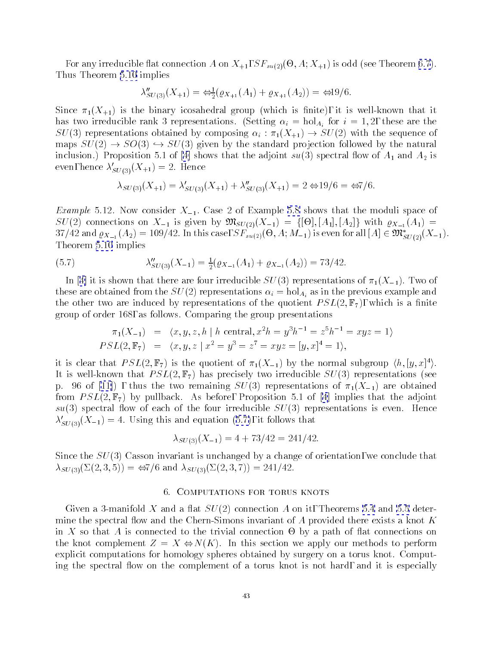<span id="page-42-0"></span>, any interesting and  $\tau$  and  $\tau$  and  $\tau$  and  $\tau$  and  $\tau$  are  $\tau$  and  $\tau$ Thus Theorem [5.10](#page-41-0) implies

$$
\lambda''_{SU(3)}(X_{+1}) = \Leftrightarrow_{2}^{1} (\varrho_{X_{+1}}(A_{1}) + \varrho_{X_{+1}}(A_{2})) = \Leftrightarrow 19/6.
$$

Since  $\pi_1(X_{+1})$  is the binary icosahedral group (which is finite), it is well-known that it has two irreducible rank 3 representations. (Setting  $\alpha_i = \text{hol}_{A_i}$  for  $i = 1, 2$ , these are the  $SU(3)$  representations obtained by composing  $\alpha_i : \pi_1(X_{+1}) \to SU(2)$  with the sequence of maps  $SU(2) \rightarrow SO(3) \rightarrow SU(3)$  given by the standard projection followed by the natural inclusion.)Proposition 5.1 of [\[4](#page-61-0)] shows that the adjoint  $su(3)$  spectral flow of  $A_1$  and  $A_2$  is even, hence  $\lambda'_{SU(3)}(X_{+1}) = 2$ . Hence

$$
\lambda_{SU(3)}(X_{+1}) = \lambda'_{SU(3)}(X_{+1}) + \lambda''_{SU(3)}(X_{+1}) = 2 \Leftrightarrow 19/6 = \Leftrightarrow 7/6.
$$

*Example* 5.12. Now consider  $X_{-1}$ . Case 2 of Example [5.8](#page-40-0) shows that the moduli space of  $S \subset \{ - \}$  connections on  $z = 1$  is given by MSU(2)(X1)  $= 1$  )  $\{ - \}$  [[-4]][-4]]  $\{ - \}$  [A=[(-4)  $\{ - \}$  $37/42$  and  $\varrho_{X_{-1}}(A_2) = 109/42$ . In this case,  $5F_{su(2)}(\Theta, A; M_{-1})$  is even for all  $[A] \in \mathfrak{M}_{SU(2)}(A_{-1}).$ Theorem [5.10](#page-41-0) implies

(5.7) 
$$
\lambda''_{SU(3)}(X_{-1}) = \frac{1}{2}(\varrho_{X_{-1}}(A_1) + \varrho_{X_{-1}}(A_2)) = 73/42.
$$

In[[4\]](#page-61-0) it is shown that there are four irreducible  $SU(3)$  representations of  $\pi_1(X_{-1})$ . Two of these are obtained from the  $SU(2)$  representations  $\alpha_i = \text{hol}_{A_i}$  as in the previous example and the other two are induced by representations of the quotient  $PSL(2, \mathbb{F}_7)$ , which is a finite group of order 168, as follows. Comparing the group presentations

$$
\pi_1(X_{-1}) = \langle x, y, z, h | h \text{ central}, x^2 h = y^3 h^{-1} = z^5 h^{-1} = xyz = 1 \rangle
$$
  
\n
$$
PSL(2, \mathbb{F}_7) = \langle x, y, z | x^2 = y^3 = z^7 = xyz = [y, x]^4 = 1 \rangle,
$$

it is clear that  $PSL(2, \mathbb{F}_7)$  is the quotient of  $\pi_1(X_{-1})$  by the normal subgroup  $\langle h, [y, x]^4 \rangle$ . It is well-known that  $PSL(2, \mathbb{F}_7)$  has precisely two irreducible  $SU(3)$  representations (see p.96 of [\[11\]](#page-61-0)), thus the two remaining  $SU(3)$  representations of  $\pi_1(X_{-1})$  are obtained from $PSL(2, \mathbb{F}_7)$  by pullback. As before, Proposition 5.1 of [\[4](#page-61-0)] implies that the adjoint  $su(3)$  spectral flow of each of the four irreducible  $SU(3)$  representations is even. Hence  $\lambda'_{SU(3)}(X_{-1}) = 4.$  Using this and equation (5.7), it follows that

$$
\lambda_{SU(3)}(X_{-1}) = 4 + 73/42 = 241/42.
$$

Since the  $SU(3)$  Casson invariant is unchanged by a change of orientation, we conclude that  $\lambda_{SU(3)}(\Sigma(2,3,5)) = \frac{\omega}{76}$  and  $\lambda_{SU(3)}(\Sigma(2,3,7)) = 241/42$ .

# 6. COMPUTATIONS FOR TORUS KNOTS

Givena 3-manifold X and a flat  $SU(2)$  connection A on it, Theorems [5.4](#page-33-0) and [5.5](#page-34-0) determine the spectral flow and the Chern-Simons invariant of  $A$  provided there exists a knot  $K$ in  $\mathcal{M}$  so that A is connected to the trivial connection  $\mathcal{M}$ the knot complement  $Z = X \Leftrightarrow N(K)$ . In this section we apply our methods to perform explicit computations for homology spheres obtained by surgery on a torus knot. Computing the spectral flow on the complement of a torus knot is not hard, and it is especially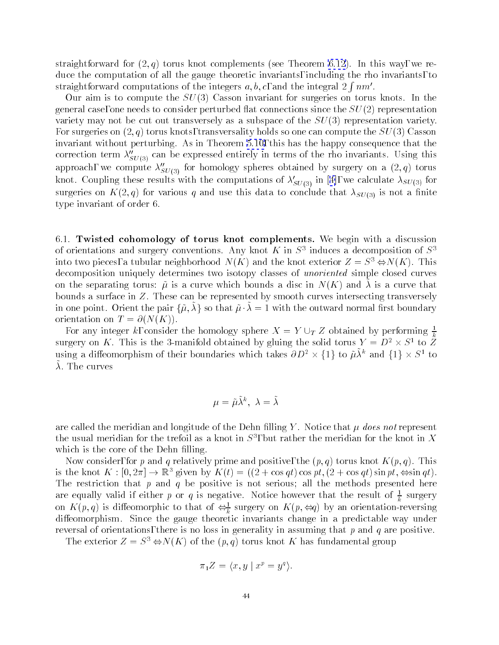<span id="page-43-0"></span>straightforward for  $(2,q)$  torus knot complements (see Theorem [6.12](#page-54-0)). In this way, we reduce the computation of all the gauge theoretic invariants, including the rho invariants, to straightforward computations of the integers  $a, b, c$ , and the integral  $2 \text{ fmm}^{\prime}$ .

Our aim is to compute the  $SU(3)$  Casson invariant for surgeries on torus knots. In the general case, one needs to consider perturbed flat connections since the  $SU(2)$  representation variety may not be cut out transversely as a subspace of the  $SU(3)$  representation variety. For surgeries on  $(2, q)$  torus knots, transversality holds so one can compute the  $SU(3)$  Casson invariant without perturbing. As in Theorem [5.10,](#page-41-0) this has the happy consequence that the correction term  $\lambda''_{SU(3)}$  can be expressed entirely in terms of the rho invariants. Using this approach, we compute  $\lambda''_{SU(3)}$  for homology spheres obtained by surgery on a  $(2, q)$  torus knot.Coupling these results with the computations of  $\lambda'_{SU(3)}$  in [[4\]](#page-61-0), we calculate  $\lambda_{SU(3)}$  for surgeries on  $K(2,q)$  for various q and use this data to conclude that  $\lambda_{SU(3)}$  is not a finite type invariant of order 6.

6.1. Twisted cohomology of torus knot complements. We begin with a discussion of orientations and surgery conventions. Any knot  $K$  in  $S^1$  induces a decomposition of  $S^1$ into two pieces, a tubular neighborhood  $N(K)$  and the knot exterior  $Z = S^3 \Leftrightarrow N(K)$ . This decomposition uniquely determines two isotopy classes of *unoriented* simple closed curves on the separating torus.  $\mu$  is a curve which bounds a ulse in  $N(\mathbf{K})$  and  $\lambda$  is a curve that bounds a surface in Z. These can be represented by smooth curves intersecting transversely in one point. Orient the pair  $\{\tilde{\mu}, \lambda\}$  so that  $\tilde{\mu} \cdot \lambda = 1$  with the outward normal first boundary orientation on  $T = \partial(N(K))$ .

For any integer k, consider the homology sphere  $X = Y \cup_T Z$  obtained by performing  $\frac{1}{k}$ surgery on K. This is the 3-manifold obtained by gluing the solid torus  $Y = D^2 \times S^1$  to Z using a diffeomorphism of their boundaries which takes  $\partial D^+ \times \{1\}$  to  $\mu A^+$  and  $\{1\} \times D^-$  to  $\lambda$ . The curves

$$
\mu=\tilde{\mu}\tilde{\lambda}^k,\,\,\lambda=\tilde{\lambda}
$$

are called the meridian and longitude of the Dehn filling Y. Notice that  $\mu$  does not represent the usual meridian for the trefoil as a knot in  $S^1$ , but rather the meridian for the knot in  $\Lambda$ which is the core of the Dehn filling.

Now consider, for p and q relatively prime and positive, the  $(p, q)$  torus knot  $K(p, q)$ . This is the knot  $K : [0, 2\pi] \to \mathbb{R}^3$  given by  $K(t) = ((2 + \cos qt) \cos pt, (2 + \cos qt) \sin pt, \Leftrightarrow \sin qt).$ The restriction that  $p$  and  $q$  be positive is not serious; all the methods presented here are equally valid if either  $p$  or  $q$  is negative. Notice however that the result or  $\frac{1}{k}$  surgery on  $\Lambda(p,q)$  is diffeomorphic to that of  $\Leftrightarrow_{\overline{k}}$  surgery on  $\Lambda(p,\Leftarrow q)$  by an orientation-reversing dieomorphism. Since the gauge theoretic invariants change in a predictable way under reversal of orientations, there is no loss in generality in assuming that  $p$  and  $q$  are positive.

The exterior  $Z = S^3 \Leftrightarrow N(K)$  of the  $(p, q)$  torus knot K has fundamental group

$$
\pi_1 Z = \langle x, y \mid x^p = y^q \rangle.
$$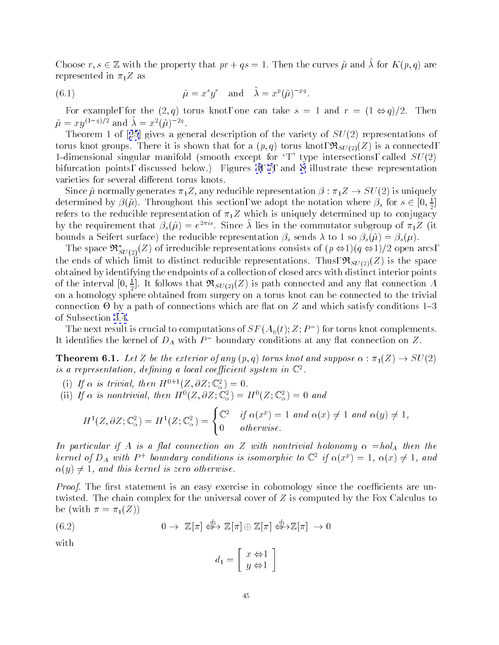<span id="page-44-0"></span>Choose  $r, s \in \mathbb{Z}$  with the property that  $p_1 + q_2 = 1$ . Then the curves  $\mu$  and  $\lambda$  for  $K(p, q)$  are represented in  $\pi_1 Z$  as

(6.1) 
$$
\tilde{\mu} = x^s y^r \quad \text{and} \quad \tilde{\lambda} = x^p (\tilde{\mu})^{-pq}.
$$

For example, for the  $(2,q)$  torus knot, one can take  $s = 1$  and  $r = (1 \Leftrightarrow q)/2$ . Then  $\tilde{\mu} = x y^{(1-q)/2}$  and  $\tilde{\lambda} = x^2 (\tilde{\mu})^{-2q}$ .

Theorem1 of [[25](#page-61-0)] gives a general description of the variety of  $SU(2)$  representations of torus knot groups. There it is shown that for a  $(p,q)$  torus knot,  $\Re_{SU(2)}(Z)$  is a connected, 1-dimensional singular manifold (smooth except for  $T'$  type intersections, called  $SU(2)$ ) bifurcation points, discussed below.) Figures[4,](#page-36-0) [7](#page-47-0),and [8](#page-48-0) illustrate these representation varieties for several different torus knots.

Since  $\tilde{\mu}$  normally generates  $\pi_1 Z$ , any reducible representation  $\beta : \pi_1 Z \to SU(2)$  is uniquely determined by  $\rho(\mu)$ . Throughout this section, we adopt the notation where  $\rho_s$  for  $s\in [0,\frac12]$ refers to the reducible representation of  $\pi_1 Z$  which is uniquely determined up to conjugacy by the requirement that  $\rho_s(\mu) = e^{-\lambda}$ . Since  $\lambda$  hes in the commutator subgroup of  $\pi_1\mathcal{L}$  (it bounds a Seifert surface) the reducible representation  $\beta_s$  sends  $\lambda$  to 1 so  $\beta_s(\tilde{\mu}) = \beta_s(\mu)$ .

The space  $\mathfrak{R}^*_{SU(2)}(Z)$  of irreducible representations consists of  $(p \Leftrightarrow 1)(q \Leftrightarrow 1)/2$  open arcs, the ends of which limit to distinct reducible representations. Thus,  $\Re_{SU(2)}(Z)$  is the space obtained by identifying the endpoints of a collection of closed arcs with distinct interior points of the interval  $[0,\frac{1}{2}]$ . It follows that  $\mathfrak{R}_{SU(2)}(Z)$  is path connected and any flat connection  $A$ on a homology sphere obtained from surgery on a torus known  $\mathcal{U}(\mathbf{A})$ connection - by a path of connections which are at one connections which satisfy conditions in  $\mathbf{3}$ of Subsection [3.4](#page-16-0).

The next result is crucial to computations of  $ST(A_n(t); Z; P_-)$  for torus knot complements. It identifies the kernel of  $D_A$  with  $P$  – boundary conditions at any flat connection on  $Z$ .

**Theorem 6.1.** Let Z be the exterior of any  $(p,q)$  torus knot and suppose  $\alpha : \pi_1(Z) \to SU(2)$ is a representation, aenning a tocal coefficient system in  $\mathbb{C}^{\times}$ .

- (i) If  $\alpha$  is trivial, then  $H^{0+1}(Z, \partial Z; \mathbb{C}^2) = 0$ .
- (ii) If  $\alpha$  is nontrivial, then  $H^0(Z, \partial Z; \mathbb{C}^2_\alpha) = H^0(Z; \mathbb{C}^2_\alpha) = 0$  and

$$
H^1(Z, \partial Z; \mathbb{C}^2_\alpha) = H^1(Z; \mathbb{C}^2_\alpha) = \begin{cases} \mathbb{C}^2 & \text{if } \alpha(x^p) = 1 \text{ and } \alpha(x) \neq 1 \text{ and } \alpha(y) \neq 1, \\ 0 & \text{otherwise.} \end{cases}
$$

In particular if A is a flat connection on Z with nontrivial holonomy  $\alpha = hol<sub>A</sub>$  then the kernet of  $D_A$  with  $P$  + boundary conditions is isomorphic to  $\cup$  -tff  $\alpha(x^i) = 1, \ \alpha(x) \neq 1, \$  and  $\alpha(y) \neq 1$ , and this kernel is zero otherwise.

*Proof.* The first statement is an easy exercise in cohomology since the coefficients are untwisted. The chain complex for the universal cover of Z is computed by the Fox Calculus to be (with  $\pi = \pi_1(Z)$ )

(6.2) 
$$
0 \to \mathbb{Z}[\pi] \stackrel{d_2}{\iff} \mathbb{Z}[\pi] \oplus \mathbb{Z}[\pi] \stackrel{d_1}{\iff} \mathbb{Z}[\pi] \to 0
$$

with

$$
d_1 = \left[ \begin{array}{c} x \Leftrightarrow 1 \\ y \Leftrightarrow 1 \end{array} \right]
$$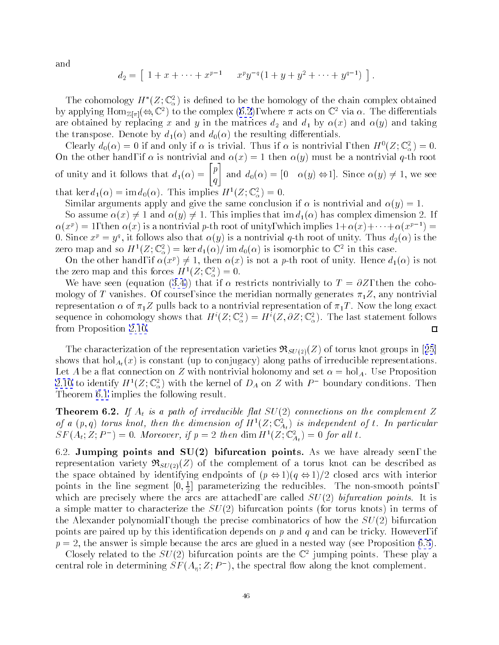<span id="page-45-0"></span>and

$$
d_2 = [ 1 + x + \cdots + x^{p-1} \quad x^p y^{-q} (1 + y + y^2 + \cdots + y^{q-1}) ].
$$

The cohomology  $H^*(Z; \mathbb{C}^2_\alpha)$  is defined to be the homology of the chain complex obtained by applying  $\text{Hom}_{\mathbb{Z}[\pi]}(\Leftrightarrow,\mathbb{C}^2)$  to the complex  $(6.2)$ , where  $\pi$  acts on  $\mathbb{C}^2$  via  $\alpha$ . The differentials are obtained by replacing x and y in the matrices  $d_2$  and  $d_1$  by  $\alpha(x)$  and  $\alpha(y)$  and taking the transpose. Denote by  $d_1(\alpha)$  and  $d_0(\alpha)$  the resulting differentials.

Clearly  $d_0(\alpha) = 0$  if and only if  $\alpha$  is trivial. Thus if  $\alpha$  is nontrivial, then  $H^0(Z; \mathbb{C}^2_\alpha) = 0$ .  $\begin{bmatrix} 1 & 1 \end{bmatrix}$  is non-trivial and (y) must be a non-trivial q-th root root  $\begin{bmatrix} 1 & 1 \end{bmatrix}$ of unity and it follows that  $d_1(\alpha) = \begin{bmatrix} p \end{bmatrix}$  and  $q \mid \qquad \qquad \text{or} \qquad \qquad \text{or} \qquad \qquad \text{or} \qquad \qquad \text{or} \qquad \text{or} \qquad \text{or} \qquad \text{or} \qquad \text{or} \qquad \text{or} \qquad \text{or} \qquad \text{or} \qquad \text{or} \qquad \text{or} \qquad \text{or} \qquad \text{or} \qquad \text{or} \qquad \text{or} \qquad \text{or} \qquad \text{or} \qquad \text{or} \qquad \text{or} \qquad \text{or} \qquad \text{or} \qquad \text{or} \qquad \text{or} \qquad \text$ that ker  $d_1(\alpha) = \text{Im } d_0(\alpha)$ . This implies  $H^-(Z; \mathbb{C}^{\mathbb{Z}}_{\alpha}) = 0$ .

Similar arguments apply and give the same conclusion if  $\alpha$  is nontrivial and  $\alpha(y)=1$ . So assume  $\alpha(x) \neq 1$  and  $\alpha(y) \neq 1$ . This implies that im  $d_1(\alpha)$  has complex dimension 2. If  $\alpha(x^p) = 1$ , then  $\alpha(x)$  is a nontrivial p-th root of unity, which implies  $1+\alpha(x)+\cdots+\alpha(x^{p-1}) =$ 0. Since  $x^i = y^i$ , it follows also that  $\alpha(y)$  is a nontrivial q-th root of unity. Thus  $a_2(\alpha)$  is the zero map and so  $H^1(Z; \mathbb{C}^\times_\alpha) = \ker a_1(\alpha) / \operatorname{im} a_0(\alpha)$  is isomorphic to  $\mathbb{C}^\times$  in this case.

On the other hand, if  $\alpha(x^p) \neq 1$ , then  $\alpha(x)$  is not a p-th root of unity. Hence  $d_1(\alpha)$  is not the zero map and this forces  $H^1(Z; \mathbb{C}^2_\alpha) = 0.$ 

Wehave seen (equation ([3.4\)](#page-15-0)) that if  $\alpha$  restricts nontrivially to  $T = \partial Z$ , then the cohomology of T vanishes. Of course, since the meridian normally generates  $\pi_1 Z$ , any nontrivial representation  $\alpha$  of  $\pi_1 Z$  pulls back to a nontrivial representation of  $\pi_1 T$ . Now the long exact sequence in cohomology shows that  $H^{i}(Z; \mathbb{C}_{\alpha}^2) = H^{i}(Z, \partial Z; \mathbb{C}_{\alpha}^2)$ . The last statement follows from Proposition [2.10.](#page-10-0)  $\Box$ 

Thecharacterization of the representation varieties  $\Re_{SU(2)}(Z)$  of torus knot groups in [[25](#page-61-0)] shows that  $hol_{A_t}(x)$  is constant (up to conjugacy) along paths of irreducible representations. Let A be a flat connection on Z with nontrivial holonomy and set  $\alpha = \text{hol}_A$ . Use Proposition [2.10](#page-10-0) to identify  $H^1(Z; \mathbb{C}^{\times}_\alpha)$  with the kernel of  $D_A$  on Z with P spoundary conditions. Then Theorem [6.1](#page-44-0) implies the following result.

**Theorem 6.2.** If  $A_t$  is a path of irreducible flat  $SU(2)$  connections on the complement Z of a  $(p, q)$  torus knot, then the dimension of  $H^-(Z; \mathbb{C}^A_{A_t})$  is independent of t. In particular  $S F(A_t; Z; P_-) = 0.$  Moreover, if  $p = Z$  then dim  $H^-(Z; \mathbb{C}_{A_t}) = 0$  for all i.

6.2. Jumping points and  $SU(2)$  bifurcation points. As we have already seen, the representation variety  $\Re_{SU(2)}(Z)$  of the complement of a torus knot can be described as the space obtained by identifying endpoints of  $(p \Leftrightarrow 1)(q \Leftrightarrow 1)/2$  closed arcs with interior points in the line segment  $[0, \frac{1}{2}]$  parameterizing the reducibles. The non-smooth points, which are precisely where the arcs are attached, are called  $SU(2)$  bifurcation points. It is a simple matter to characterize the  $SU(2)$  bifurcation points (for torus knots) in terms of the Alexander polynomial, though the precise combinatorics of how the  $SU(2)$  bifurcation points are paired up by this identification depends on  $p$  and  $q$  and can be tricky. However, if  $p = 2$ , the answer is simple because the arcs are glued in a nested way (see Proposition [6.5](#page-46-0)).

Closely related to the  $SU(2)$  bifurcation points are the C 2 jumping points. These play a central role in determining  $ST(A_n;Z;P_{-}),$  the spectral flow along the knot complement.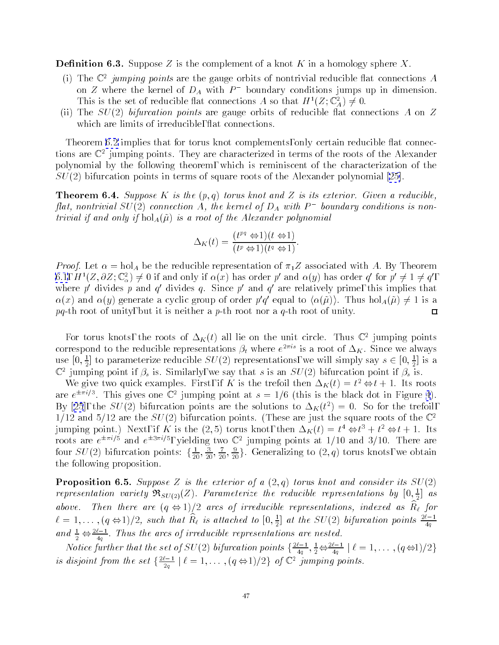<span id="page-46-0"></span>**Definition 6.3.** Suppose Z is the complement of a knot K in a homology sphere X.

- (1) The  $\mathbb{C}^2$  *fumping points* are the gauge orbits of nontrivial reducible hat connections  $A$ on  $Z$  where the kernel of  $D_A$  with  $P$  - boundary conditions jumps up in dimension. I ms is the set of reducible hat connections A so that  $H^-(Z; \mathbb{C}^{\mathbb{Z}}_A) \neq 0$ .
- (ii) The  $SU(2)$  bifurcation points are gauge orbits of reducible flat connections A on Z which are limits of irreducible, flat connections.

Theorem [6.2](#page-45-0) implies that for torus knot complements, only certain reducible flat connections are  $\mathbb{C}^+$  jumping points. They are characterized in terms of the roots of the Alexander polynomial by the following theorem, which is reminiscent of the characterization of the  $SU(2)$  bifurcation points in terms of square roots of the Alexander polynomial [\[25\]](#page-61-0).

**Theorem 6.4.** Suppose K is the  $(p,q)$  torus knot and Z is its exterior. Given a reducible, flat, nontrivial  $SU(2)$  connection  $A,$  the kernel of  $D_A$  with  $P$  -boundary conditions is nontrivial if and only if  $hol_A(\tilde{\mu})$  is a root of the Alexander polynomial

$$
\Delta_K(t) = \frac{(t^{pq} \Leftrightarrow 1)(t \Leftrightarrow 1)}{(t^p \Leftrightarrow 1)(t^q \Leftrightarrow 1)}.
$$

*Proof.* Let  $\alpha = \text{hol}_A$  be the reducible representation of  $\pi_1 Z$  associated with A. By Theorem 0.1,  $H^{-1}(Z, \partial Z; \cup_{\alpha}^{\infty}) \neq 0$  if and only if  $\alpha(x)$  has order po and  $\alpha(y)$  has order qollor  $p \neq 1 \neq q$ , where politicial position  $q$  divides  $q$ . Since polarido  $q$  are relatively prime, this implies that  $\alpha(x)$  and  $\alpha(y)$  generate a cyclic group of order pq equal to  $(\alpha(\mu))$ . Thus hol $_A(\mu) \neq \bot$  is a  $pq$ -th root of unity, but it is neither a p-th root nor a q-th root of unity.  $\Box$ 

For torus knots, the roots of  $\Delta_K(t)$  all lie on the unit circle. Thus  $\mathbb{C}^*$  jumping points correspond to the reducible representations  $\rho_t$  where  $e^{-\gamma \tau}$  is a root of  $\Delta_K$ . Since we always use  $[0, \frac{1}{2}]$  to parameterize reducible  $SU(2)$  representations, we will simply say  $s \in [0, \frac{1}{2}]$  is a  $\mathbb{C}^2$  jumping point if  $\beta_s$  is. Similarly, we say that s is an  $SU(2)$  bifurcation point if  $\beta_s$  is.

We give two quick examples. First, if  $K$  is the trefoll then  $\Delta_K(t) = t^2 \Leftrightarrow t + 1$ . Its roots are  $e^{\pm\pi/7}$ . This gives one  $\mathbb{C}^+$  fumping point at  $s = 1/6$  (this is the black dot in Figure [4](#page-36-0)). By[[25](#page-61-0)], the  $SU(2)$  bifurcation points are the solutions to  $\Delta_K(t^*) = 0$ . So for the trefoil,  $1/12$  and  $5/12$  are the  $SU(2)$  bifurcation points. (These are just the square roots of the  $\mathbb{C}^2$ jumping point.) Next, if  $K$  is the  $(Z, \vartheta)$  torus knot, then  $\Delta_K(t) = t^* \Leftrightarrow t^* + t^* \Leftrightarrow t + 1$ . Its roots are  $e^ \rightarrow$  and  $e^ \rightarrow$  , yielding two C  $\mid$  umping points at 1/10 and 5/10. There are four  $SU(2)$  bifurcation points:  $\{\frac{1}{20},\frac{1}{20},\frac{1}{20}\}$ . Generalizing to  $(2,q)$  torus knots, we obtain the following proposition.

**Proposition 6.5.** Suppose Z is the exterior of a  $(2,q)$  torus knot and consider its  $SU(2)$ representation variety  $\mathfrak{R}_{SU(2)}(\mathbb{Z})$ . Parameterize the reducible representations by  $[0,\frac{\pi}{2}]$  as above. Then there are  $(q\leftrightarrow 1)/2$  arcs of irreducible representations, indexed as  $Rf$  for  $\ell = 1, \ldots, (q \Leftrightarrow 1)/2$ , such that  $R_\ell$  is attached to  $[0, \frac{1}{2}]$  at the SU(2) bifurcation points  $\frac{1}{4q}$ and  $\frac{1}{2} \Leftrightarrow \frac{1}{4q}$ . Inus the arcs of irreducible representations are nested.

*Notice further that the set of SU(2) bifurcation points*  $\frac{2}{1}$ ,  $\frac{2}{5}$  $\frac{1}{4q}, \frac{1}{2} \Longleftrightarrow \frac{1}{4q}$  |  $\ell = 1, \ldots, (q \Longleftrightarrow 1)/2$  } is atsjoint from the set  $\frac{2\pi}{2}$  is  $\overline{z_q}$  |  $\ell = 1, \ldots, (q \ominus 1)/2$  of  $\cup$  jumping points.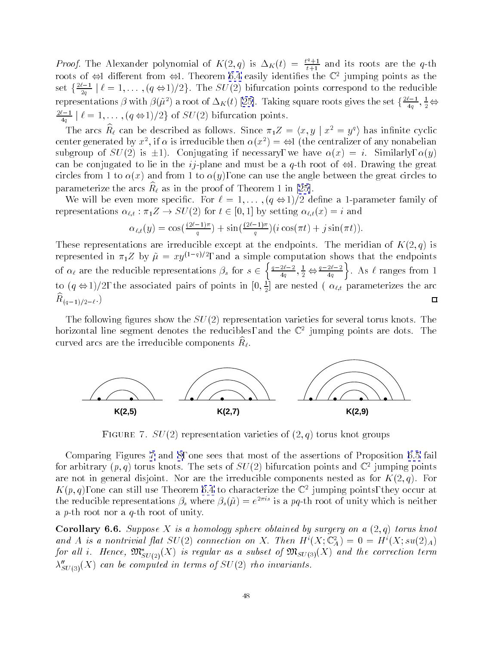<span id="page-47-0"></span>*Proof.* The Alexander polynomial of  $K(2,q)$  is  $\Delta_K(t) = \frac{t^2+1}{t+1}$  and its roots are the q-th roots of  $\Leftrightarrow$  different from  $\Leftrightarrow$ 1. Theorem 0.4 easily identifies the  $\mathbb C$  -fumping points as the set f $\frac{2\pi}{2}$  1  $2q$  is the substitution points correspond to the substitution points correspond to the reducible  $r$ representations p with  $p(\mu^*)$  a root of  $\Delta_K(t)$  [\[25\]](#page-61-0). Taking square roots gives the set  $\{\frac{2}{100}, \frac{2}{50}\}$  $\frac{1}{4q}$ ,  $\frac{1}{2}$  $\Leftrightarrow$ ---- $4q$  is the  $\begin{pmatrix} 1; & \cdots & \cdots & 1 \end{pmatrix}$  bifurcation points.

The arcs  $R_\ell$  can be described as follows. Since  $\pi_1 Z = \langle x, y | x^2 = y^2 \rangle$  has infinite cyclic center generated by  $x$  , if  $\alpha$  is irreducible then  $\alpha(x^+) = \Leftrightarrow$  (the centralizer of any nonabelian subgroup of  $SU(2)$  is  $\pm 1$ ). Conjugating if necessary, we have  $\alpha(x) = i$ . Similarly,  $\alpha(y)$ can be conjugated to lie in the *ij*-plane and must be a *q*-th root of  $\Leftrightarrow$ 1. Drawing the great circles from 1 to  $\alpha(x)$  and from 1 to  $\alpha(y)$ , one can use the angle between the great circles to parameterizethe arcs  $R\ell$  as in the proof of Theorem 1 in  $[2\sigma]$ .

We will be even more specific. For  $\ell = 1, \ldots, (q \Leftrightarrow 1)/2$  define a 1-parameter family of representations  $\alpha_{\ell,t} : \pi_1 Z \to SU(2)$  for  $t \in [0, 1]$  by setting  $\alpha_{\ell,t}(x) = i$  and

$$
\alpha_{\ell,t}(y) = \cos\left(\frac{(2\ell-1)\pi}{q}\right) + \sin\left(\frac{(2\ell-1)\pi}{q}\right)(i\cos(\pi t) + j\sin(\pi t)).
$$

These representations are irreducible except at the endpoints. The meridian of  $K(2,q)$  is represented in  $\pi_1 Z$  by  $\tilde{\mu} = xy^{(1-q)/2}$ , and a simple computation shows that the endpoints , and a simple computation shows that the endpoints  $\mathbf{I}$  $\int q-2\ell-2\quad 1$  $\left\{\frac{2\ell-2}{4q},\frac{1}{2}\right\}$   $\leftrightarrow$   $\frac{q-2\ell-2}{4q}$ . As  $\ell$  ranges from 1 of any measurement representations  $\mu$  are such the  $\mu$ to  $(q \Leftrightarrow 1)/2$ , the associated pairs of points in  $[0, \frac{1}{2}]$  are nested (  $\alpha_{\ell,t}$  parameterizes the arc  $\Box$  $I \cup (q-1)/2 - \ell$ .

The following figures show the  $SU(2)$  representation varieties for several torus knots. The horizontal line segment denotes the reducibles, and the  $\mathbb{C}^+$  fumping points are dots. The curved arcs are the irreducible components  $R\ell$ .



Figure 7.  $SU(2)$  representation varieties of  $(Z, q)$  torus knot groups

Comparing Figures 7and [8,](#page-48-0) one sees that most of the assertions of Proposition [6.5](#page-46-0) fail for arbitrary  $(p, q)$  torus knots. The sets of  $SU(2)$  bifurcation points and  $\mathbb{C}^+$  jumping points are not in general disjoint. Nor are the irreducible components nested as for  $K(2, q)$ . For  $\Lambda(p,q)$ , one can still use I neorem 0.4 to characterize the  $\mathbb{C}^+$  jumping points, they occur at the reducible representations  $\rho_s$  where  $\rho_s(\mu)=e^{-\lambda t}$  is a  $pq$ -th root of unity which is neither a p-th root nor a q-th root of unity.

Corollary 6.6. Suppose X is a homology sphere obtained by surgery on a  $(2,q)$  torus knot and A is a nontrivial flat  $SU(2)$  connection on  $\Lambda$ . Then  $H^{\circ}(\Lambda;\mathbb{C}_A)=0=H^{\circ}(\Lambda;\mathfrak{su}(2)_A)$ for all i. Hence,  $\mathfrak{M}_{SU(2)}^*(X)$  is regular as a subset of  $\mathfrak{M}_{SU(3)}(X)$  and the correction term  $\lambda''_{SU(3)}(X)$  can be computed in terms of  $SU(2)$  rho invariants.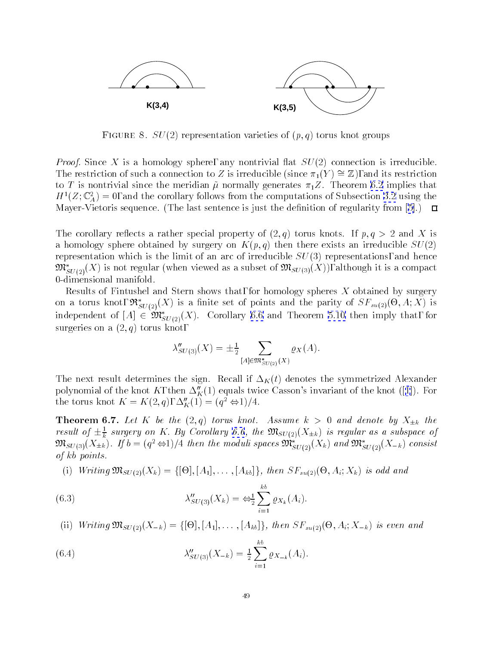<span id="page-48-0"></span>

FIGURE 8.  $SU(2)$  representation varieties of  $(p, q)$  torus knot groups

*Proof.* Since X is a homology sphere, any nontrivial flat  $SU(2)$  connection is irreducible. The restriction of such a connection to Z is irreducible (since  $\pi_1(Y) \cong \mathbb{Z}$ ), and its restriction to T is nontrivial since the meridian  $\tilde{\mu}$  normally generates  $\pi_1 Z$ . Theorem [6.2](#page-45-0) implies that  $H_1(Z; \mathbb{C}_A) = 0$ , and the corollary follows from the computations of Subsection [3.2](#page-14-0) using the Mayer-Vietoris sequence. (The last sentence is just the definition of regularity from [\[5\]](#page-61-0).)  $\Box$ 

The corollary reflects a rather special property of  $(2,q)$  torus knots. If  $p,q>2$  and X is a homology sphere obtained by surgery on  $K(p,q)$  then there exists an irreducible  $SU(2)$ representation which is the limit of an arc of irreducible  $SU(3)$  representations, and hence  $\mathfrak{M}^*_{SU(2)}(X)$  is not regular (when viewed as a subset of  $\mathfrak{M}_{SU(3)}(X)$ ), although it is a compact 0-dimensional manifold.

Results of Fintushel and Stern shows that, for homology spheres  $X$  obtained by surgery on a torus knot,  $\mathfrak{R}_{SU(2)}(X)$  is a linite set of points and the parity of  $\mathfrak{S}_{Fsu(2)}(\mathfrak{S},A;X)$  is independent of  $[A] \in \mathfrak{M}^*_{SU(2)}(X)$ . Corollary [6.6](#page-47-0) and Theorem [5.10](#page-41-0) then imply that, for surgeries on a  $(2, q)$  torus knot,

$$
\lambda''_{SU(3)}(X) = \pm \frac{1}{2} \sum_{[A] \in \mathfrak{M}^*_{SU(2)}(X)} \varrho_X(A).
$$

The next result determines the sign. Recall if  $\Delta_K(t)$  denotes the symmetrized Alexander polynomialof the knot K, then  $\Delta''_K(1)$  $\Delta''_K(1)$  $\Delta''_K(1)$  equals twice Casson's invariant of the knot ([1]). For the torus knot  $\Lambda = \Lambda(2, q), \Delta_K(1) = (q^2 \Leftrightarrow 1)/4.$ 

**Theorem 6.7.** Let K be the  $(2,q)$  torus knot. Assume  $k > 0$  and denote by  $X_{\pm k}$  the result of  $\pm \frac{\tau}{k}$  surgery on K. By Corollary 6.0, the  $\mathfrak{M}_{SU(2)}(\Lambda_{\pm k})$  is regular as a subspace of  $\mathfrak{M}_{SU(3)}(\Lambda\pm k)$ . If  $\mathfrak{d}=(q^2\Leftrightarrow 1)/4$  then the moduli spaces  $\mathfrak{M}_{SU(2)}(\Lambda\,)$  and  $\mathfrak{M}_{SU(2)}(\Lambda\!-\!k)$  consist of kb points.

 $\{i,j\}$  writing MSU(2)(Xe and SFC)  $\{i,j\}$  is only if one set  $\{i,j\}$  is odd and  $\{i,j\}$  is one set  $\{i,j\}$ 

(6.3) 
$$
\lambda''_{SU(3)}(X_k) = \Leftrightarrow_{2}^{1} \sum_{i=1}^{kb} \varrho_{X_k}(A_i).
$$

 $\lambda$  in the first mass  $\lambda$  , the first property is even and  $\lambda$  is even and  $\lambda$  is even and  $\lambda$ 

(6.4) 
$$
\lambda''_{SU(3)}(X_{-k}) = \frac{1}{2} \sum_{i=1}^{kb} \varrho_{X_{-k}}(A_i).
$$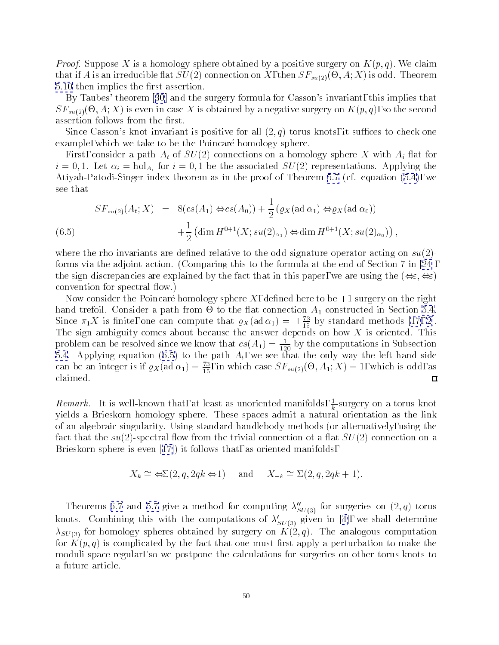*Proof.* Suppose X is a homology sphere obtained by a positive surgery on  $K(p,q)$ . We claim that if  $A$  is an irreducible  $A$  is our  $A$  is our  $A$  is our  $A$  is our  $A$  is our  $A$  is our  $A$  is our  $A$  is our  $A$  is our  $A$  is our  $A$  is our  $A$  is our  $A$  is our  $A$  is our  $A$  is our  $A$  is our  $A$  is our  $A$  [5.10](#page-41-0) then implies the first assertion.

By Taubes' theorem[[30](#page-62-0)] and the surgery formula for Casson's invariant, this implies that  $\sim$  5 MHz IV is even in case X is obtained by a negative surgery on K(p; q), and the second  $\sim$ assertion follows from the first.

Since Casson's knot invariant is positive for all  $(2, q)$  torus knots, it suffices to check one example, which we take to be the Poincaré homology sphere.

First, consider a path  $A_t$  of  $SU(2)$  connections on a homology sphere X with  $A_i$  flat for  $i = 0, 1$ . Let  $\alpha_i = \text{hol}_{A_i}$  for  $i = 0, 1$  be the associated  $SU(2)$  representations. Applying the Atiyah-Patodi-Singer index theorem as in the proof of Theorem [5.7](#page-39-0) (cf. equation [\(5.4\)](#page-39-0), we see that

$$
SF_{su(2)}(A_t; X) = 8(c s(A_1) \Leftrightarrow cs(A_0)) + \frac{1}{2} (\varrho_X(\text{ad }\alpha_1) \Leftrightarrow \varrho_X(\text{ad }\alpha_0)) + \frac{1}{2} (\dim H^{0+1}(X; su(2)_{\alpha_1}) \Leftrightarrow \dim H^{0+1}(X; su(2)_{\alpha_0})),
$$
\n(6.5)

where the rho invariants are defined relative to the odd signature operator acting on  $su(2)$ forms via the adjoint action. (Comparing this to the formula at the end of Section7in [\[24\]](#page-61-0), the sign discrepancies are explained by the fact that in this paper, we are using the  $(\Leftrightarrow \epsilon, \Leftrightarrow \epsilon)$ convention for spectral flow.)

Now consider the Poincaré homology sphere X, defined here to be  $+1$  surgery on the right hand trefoil. Consider a path from - to the 
at connection A1 constructed in Section [5.4](#page-36-0). Since  $\pi_1 \Lambda$  is finite, one can compute that  $\varrho_X$  (ad  $\alpha_1$ ) =  $\pm \frac{1}{15}$  by standard methods [\[17](#page-61-0), [2\]](#page-61-0).  $T$  sign ambiguity comes about because the answer depends on how  $T$  is oriented. This oriented. This oriented. This oriented. This oriented. This oriented. This oriented. This oriented. This oriented. This oriented. This problem can be resolved since we know that  $cs(A_1) = \frac{1}{120}$  by the computations in Subsection  $5.4.4.6.6.1$  $5.4.4.6.6.1$  to the path At, we see that the path At, we see that the only way the only way the only way the only way the only way the only way the only way the only way the only way the only way the only way the only wa can be an integer is if  $\varrho_X$ (ad  $\alpha_1)=\frac{\pi}{15},$  in which case  $S\varGamma_{su(2)}(\Theta,A_1;\Lambda)=1,$  which is odd, as claimed.  $\Box$ 

 ${\it Remark.}$  . It is well-known that, at least as unoriented manifolds,  $\frac{1}{k}$ -surgery on a torus knot yields a Brieskorn homology sphere. These spaces admit a natural orientation as the link of an algebraic singularity. Using standard handlebody methods (or alternatively, using the fact that the  $su(2)$ -spectral flow from the trivial connection ot a flat  $SU(2)$  connection on a Brieskorn sphere iseven [\[17\]](#page-61-0)) it follows that, as oriented manifolds,

$$
X_k \cong \Leftrightarrow \Sigma(2, q, 2qk \Leftrightarrow 1)
$$
 and  $X_{-k} \cong \Sigma(2, q, 2qk + 1)$ .

Theorems [6.7](#page-48-0)and [5.7](#page-39-0) give a method for computing  $\lambda''_{SU(3)}$  for surgeries on  $(2, q)$  torus knots.Combining this with the computations of  $\lambda'_{SU(3)}$  given in [[4\]](#page-61-0), we shall determine  $\lambda_{SU(3)}$  for homology spheres obtained by surgery on  $K(2,q)$ . The analogous computation for  $K(p,q)$  is complicated by the fact that one must first apply a perturbation to make the moduli space regular, so we postpone the calculations for surgeries on other torus knots to a future article.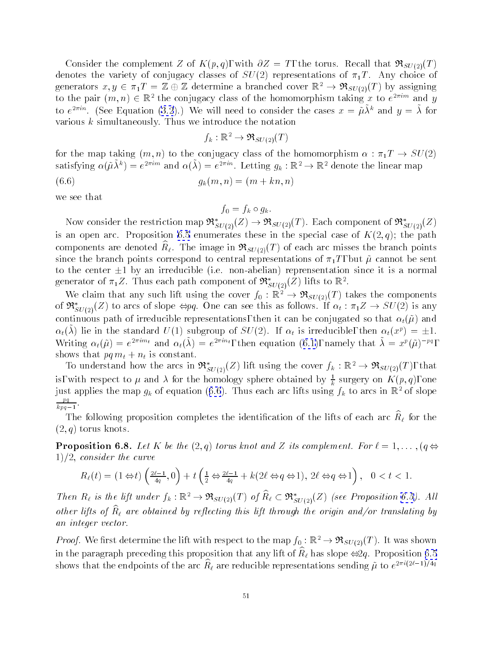<span id="page-50-0"></span>Consider the complement Z of  $K(p,q)$ , with  $\partial Z = T$ , the torus. Recall that  $\Re_{SU(2)}(T)$ denotes the variety of conjugacy classes of  $SU(2)$  representations of  $\pi_1T$ . Any choice of generators  $x, y \in \pi_1T = \mathbb{Z} \oplus \mathbb{Z}$  determine a branched cover  $\mathbb{R}^2 \to \mathfrak{R}_{SU(2)}(T)$  by assigning to the pair  $(m, n) \in \mathbb{R}^+$  the conjugacy class of the homomorphism taking x to  $e^{-im\alpha}$  and y to e  $\Box$  (see Equation (5.2).) We will need to consider the cases  $x = \mu \lambda$  and  $y = \lambda$  for various k simultaneously. Thus we introduce the notation

$$
f_k: \mathbb{R}^2 \to \mathfrak{R}_{SU(2)}(T)
$$

for the map taking  $(m, n)$  to the conjugacy class of the homomorphism  $\alpha : \pi_1 T \to SU(2)$ satisfying  $\alpha(\mu \lambda^*) = e^{-\lambda m}$  and  $\alpha(\lambda) = e^{-\lambda m}$ . Letting  $g_k : \mathbb{R}^* \to \mathbb{R}^*$  denote the linear map

(6.6)  $q_k(m, n) = (m + kn, n)$ 

we see that

 $f_0 = f_k \circ g_k.$ 

Now consider the restriction map  $\mathfrak{R}^*_{SU(2)}(Z) \to \mathfrak{R}_{SU(2)}(T)$ . Each component of  $\mathfrak{R}^*_{SU(2)}(Z)$ is an open arc. Proposition [6.5](#page-46-0) enumerates these in the special case of  $K(2,q)$ ; the path components are denoted  $R\ell$ . The image in  $\mathcal{P}(S U(2)|T)$  or each arc inisses the branch points since the branch points correspond to central representations of  $\pi_1 T$ , but  $\tilde{\mu}$  cannot be sent to the center  $\pm 1$  by an irreducible (i.e. non-abelian) reprensentation since it is a normal generator of  $\pi_1 \mathcal{Z}$ . Thus each path component of  $\mathcal{R}_{SU(2)}(\mathcal{Z})$  hits to  $\mathbb{R}^2$ .

We claim that any such lift using the cover  $f_0 : \mathbb{R}^2 \to \mathfrak{R}_{SU(2)}(T)$  takes the components of  $\mathfrak{R}^*_{SU(2)}(Z)$  to arcs of slope  $\Leftrightarrow pq$ . One can see this as follows. If  $\alpha_t : \pi_1 Z \to SU(2)$  is any continuous path of irreducible representations, then it can be conjugated so that  $\alpha_t(\tilde{\mu})$  and  $\alpha_t(\lambda)$  he in the standard  $U(1)$  subgroup of  $SU(2)$ . If  $\alpha_t$  is irreducible, then  $\alpha_t(x^t) = \pm 1$ . Writing $\alpha_t(\mu) = e^{-i\pi i \mu}$  and  $\alpha_t(\lambda) = e^{-i\pi i \mu}$ , then equation ([6.1\)](#page-44-0), namely that  $\lambda = x^{\mu}(\mu)^{-\mu}$ , shows that pq mt <sup>+</sup> nt is constant.

To understand how the arcs in  $\mathcal{R}_{SU(2)}(Z)$  lift using the cover  $f_k : \mathbb{R}^+ \to \mathcal{R}_{SU(2)}(T)$ , that is, with respect to  $\mu$  and  $\lambda$  for the homology sphere obtained by  $\frac{1}{k}$  surgery on  $K(p,q),$  one just applies the map  $g_k$  of equation (6.6). Thus each arc lifts using  $f_k$  to arcs in  $\mathbb{R}^2$  of slope  $\mathbf{p}$  $kpq-1$ 

The following proposition completes the identification of the lifts of each arc  $R\ell$  for the  $(2,q)$  torus knots.

**Proposition 6.8.** Let K be the  $(2,q)$  torus knot and Z its complement. For  $\ell = 1,\ldots, (q \Leftrightarrow$  $1/2$ , consider the curve

$$
R_\ell(t)=(1\Leftrightarrow t)\left(\tfrac{2\ell-1}{4q},0\right)+t\left(\tfrac{1}{2}\Leftrightarrow\tfrac{2\ell-1}{4q}+k(2\ell\Leftrightarrow q\Leftrightarrow 1),\ 2\ell\Leftrightarrow q\Leftrightarrow 1\right),\ 0
$$

Then  $R_\ell$  is the lift under  $f_k : \mathbb{R}^2 \to \mathcal{R}_{SU(2)}(T)$  of  $R_\ell \subset \mathcal{R}_{SU(2)}(Z)$  (see Proposition [6.5\)](#page-46-0). All other ups of  $\mathbf{p}_\ell$  are obtained by reflecting this lift through the origin ana/or translating by an integer vector.

*Proof.* We first determine the lift with respect to the map  $f_0 : \mathbb{R}^2 \to \mathfrak{R}_{SU(2)}(T)$ . It was shown in the paragraph preceding this proposition that any int or  $R_\ell$  has slope  $\leftrightarrow$   $q$ . I roposition [6.5](#page-46-0)  $\,$ shows that the endpoints of the arc  $R_\ell$  are reducible representations sending  $\mu$  to  $e^{-i\gamma(\tau-\tau)/\tau_2}$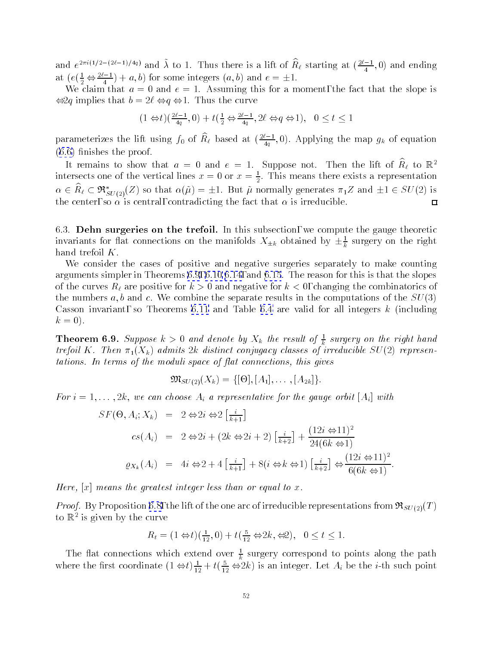<span id="page-51-0"></span>and  $e^{-\alpha(2\pi/2)}$  and  $\lambda$  to 1. Thus there is a lift of  $R_\ell$  starting at  $(\frac{2\pi}{4},0)$  and ending at  $(e(\frac{1}{2} \Leftrightarrow \frac{1}{4}) + a, 0)$  for some integers  $(a, b)$  and  $e = \pm 1$ .

We claim that  $a = 0$  and  $e = 1$ . Assuming this for a moment, the fact that the slope is  $\Leftrightarrow$  2q implies that  $b = 2\ell \Leftrightarrow q \Leftrightarrow 1$ . Thus the curve

$$
(1\Leftrightarrow t)(\tfrac{2\ell-1}{4q},0)+t(\tfrac{1}{2}\Leftrightarrow \tfrac{2\ell-1}{4q},2\ell\Leftrightarrow q\Leftrightarrow 1),\ \ 0\leq t\leq 1
$$

parameterizes the lift using  $f_0$  of  $R_\ell$  based at  $(\frac{2\ell-1}{4},0)$ . Applying the map  $g_k$  of equation  $\frac{1}{2}$  $(6.6)$  $(6.6)$  finishes the proof.

It remains to snow that  $a = 0$  and  $e = 1$ . Suppose not. Then the filt of  $R_\ell$  to  $\mathbb{R}^+$ intersects one of the vertical lines  $x = 0$  or  $x = \frac{1}{2}$ . This means there exists a representation  $\alpha \in n_{\ell} \subset \pi_{SU(2)}(Z)$  so that  $\alpha(\mu) = \pm 1$ . But  $\mu$  normally generates  $\pi_1 Z$  and  $\pm 1 \in SU(Z)$  is the center, so  $\alpha$  is central, contradicting the fact that  $\alpha$  is irreducible.  $\Box$ 

6.3. Dehn surgeries on the trefoil. In this subsection, we compute the gauge theoretic invariants for flat connections on the manifolds  $\Lambda \pm k$  obtained by  $\pm \frac{\pi}{k}$  surgery on the right hand trefoil K.

We consider the cases of positive and negative surgeries separately to make counting arguments simpler in Theorems6.9, [6.10](#page-52-0) [6.14](#page-57-0),and [6.15](#page-58-0). The reason for this is that the slopes of the curves  $R_\ell$  are positive for  $k > 0$  and negative for  $k < 0$ , changing the combinatorics of the numbers a, b and c. We combine the separate results in the computations of the  $SU(3)$ Casson invariant, so Theorems [6.11](#page-53-0) and Table [6.4](#page-58-0) are valid for all integers  $k$  (including  $k = 0$ ).

**Theorem 6.9.** Suppose  $\kappa > 0$  and denote by  $\Lambda_k$  the result of  $\frac{1}{k}$  surgery on the right hand trefoil K. Then  $\pi_1(X_k)$  admits 2k distinct conjugacy classes of irreducible  $SU(2)$  representations. In terms of the moduli space of flat connections, this gives

$$
\mathfrak{M}_{SU(2)}(X_k) = \{ [\Theta], [A_1], \ldots, [A_{2k}]\}.
$$

For  $i = 1, \ldots, 2k$ , we can choose  $A_i$  a representative for the gauge orbit  $[A_i]$  with

$$
SF(\Theta, A_i; X_k) = 2 \Leftrightarrow 2i \Leftrightarrow 2\left[\frac{i}{k+1}\right]
$$
  
\n
$$
cs(A_i) = 2 \Leftrightarrow 2i + (2k \Leftrightarrow 2i + 2)\left[\frac{i}{k+2}\right] + \frac{(12i \Leftrightarrow 11)^2}{24(6k \Leftrightarrow 1)}
$$
  
\n
$$
\varrho_{X_k}(A_i) = 4i \Leftrightarrow 2 + 4\left[\frac{i}{k+1}\right] + 8(i \Leftrightarrow k \Leftrightarrow 1)\left[\frac{i}{k+2}\right] \Leftrightarrow \frac{(12i \Leftrightarrow 11)^2}{6(6k \Leftrightarrow 1)}.
$$

Here,  $[x]$  means the greatest integer less than or equal to x.

*Proof.* By Proposition [6.8,](#page-50-0) the lift of the one arc of irreducible representations from  $\Re_{SU(2)}(T)$ to K<sup>-</sup> is given by the curve

$$
R_t = (1 \Leftrightarrow t)(\frac{1}{12}, 0) + t(\frac{5}{12} \Leftrightarrow 2k, \Leftrightarrow 2), \quad 0 \le t \le 1.
$$

The flat connections which extend over  $\frac{1}{k}$  surgery correspond to points along the path where the first coordinate  $(1 \Leftrightarrow t) \frac{1}{12} + t(\frac{1}{12} \Leftrightarrow 2k)$  is an integer. Let  $A_i$  be the *i*-th such point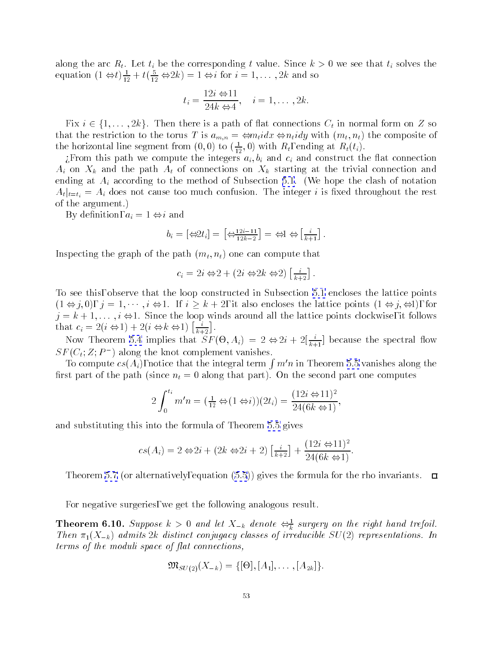<span id="page-52-0"></span>along the arc  $R_t$ . Let  $t_i$  be the corresponding t value. Since  $k > 0$  we see that  $t_i$  solves the equation  $(1 \Leftrightarrow t) \frac{1}{12} + t(\frac{1}{12} \Leftrightarrow 2k) = 1 \Leftrightarrow t$  for  $i = 1, \ldots, 2k$  and so

$$
t_i = \frac{12i \Leftrightarrow 11}{24k \Leftrightarrow 4}, \quad i = 1, \ldots, 2k.
$$

Fix  $i \in \{1,\ldots,2k\}$ . Then there is a path of flat connections  $C_t$  in normal form on Z so that the restriction to the torus T is  $a_{m,n} = \Leftrightarrow m_t idx \Leftrightarrow n_t idy$  with  $(m_t, n_t)$  the composite of the horizontal line segment from  $(0,0)$  to  $(\frac{1}{12},0)$  with  $R_t$ , ending at  $R_t(t_i).$ 

¿From this path we compute the integers  $a_i, b_i$  and  $c_i$  and construct the flat connection  $A_i$  on  $X_k$  and the path  $A_t$  of connections on  $X_k$  starting at the trivial connection and ending at  $A_i$  according to the method of Subsection [5.1](#page-31-0). (We hope the clash of notation  $A_t|_{t=t_i} = A_i$  does not cause too much confusion. The integer i is fixed throughout the rest of the argument.)

By definition,  $a_i = 1 \Leftrightarrow i$  and

$$
b_i = \left[\begin{array}{c} \Leftrightarrow 2t_i \end{array}\right] = \left[\begin{array}{c} \Leftrightarrow \frac{12i-11}{12k-2} \end{array}\right] = \Leftrightarrow 1 \Leftrightarrow \left[\frac{i}{k+1}\right].
$$

Inspecting the graph of the path  $(m_t, n_t)$  one can compute that

$$
c_i = 2i \Leftrightarrow 2 + (2i \Leftrightarrow 2k \Leftrightarrow 2) \left[ \frac{i}{k+2} \right].
$$

To see this, observe that the loop constructed in Subsection [5.1](#page-31-0) encloses the lattice points  $(1 \Leftrightarrow j, 0), j = 1, \cdots, i \Leftrightarrow 1$ . If  $i \ge k+2$ , it also encloses the lattice points  $(1 \Leftrightarrow j, \Leftrightarrow 1)$ , for  $j = k + 1, \ldots, i \Leftrightarrow 1$ . Since the loop winds around all the lattice points clockwise, it follows that  $c_i = 2(i \Leftrightarrow 1) + 2(i \Leftrightarrow k \Leftrightarrow 1) \left[\frac{i}{k+2}\right]$ .

Now Theorem [5.4](#page-33-0) implies that  $ST(\Theta, A_i) = 2 \Leftrightarrow 2i + 2[\frac{1}{k+1}]$  because the spectral flow  $S_F(U_t;Z;F)$  along the knot complement vanishes.

To compute  $cs(A_i)$ , notice that the integral term  $\int m'n$  in Theorem [5.5](#page-34-0) vanishes along the first part of the path (since  $n_t = 0$  along that part). On the second part one computes

$$
2\int_0^{t_i} m'n = \left(\frac{1}{12} \Leftrightarrow (1 \Leftrightarrow i))(2t_i) = \frac{(12i \Leftrightarrow 11)^2}{24(6k \Leftrightarrow 1)},
$$

and substituting this into the formula of Theorem [5.5](#page-34-0) gives

$$
cs(A_i) = 2 \Leftrightarrow 2i + (2k \Leftrightarrow 2i + 2) \left[\frac{i}{k+2}\right] + \frac{(12i \Leftrightarrow 11)^2}{24(6k \Leftrightarrow 1)}.
$$

Theorem [5.7](#page-39-0) (or alternatively, equation [\(5.5](#page-40-0))) gives the formula for the rho invariants.  $\Box$ 

For negative surgeries, we get the following analogous result.

**Theorem 6.10.** Suppose  $\kappa > 0$  and let  $X_{-k}$  denote  $\Leftrightarrow_{\overline{k}}$  surgery on the right hand trefoll. Then  $\pi_1(X_{-k})$  admits 2k distinct conjugacy classes of irreducible  $SU(2)$  representations. In  $terms of the moduli space of flat connections,$ 

$$
\mathfrak{M}_{SU(2)}(X_{-k}) = \{ [\Theta], [A_1], \ldots, [A_{2k}] \}.
$$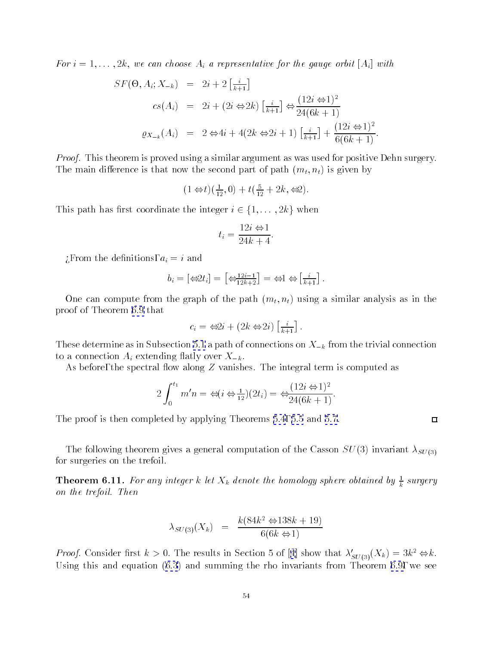<span id="page-53-0"></span>For  $i = 1, \ldots, 2k$ , we can choose  $A_i$  a representative for the gauge orbit  $[A_i]$  with

$$
SF(\Theta, A_i; X_{-k}) = 2i + 2\left[\frac{i}{k+1}\right]
$$
  
\n
$$
cs(A_i) = 2i + (2i \Leftrightarrow 2k)\left[\frac{i}{k+1}\right] \Leftrightarrow \frac{(12i \Leftrightarrow 1)^2}{24(6k+1)}
$$
  
\n
$$
\varrho_{X_{-k}}(A_i) = 2 \Leftrightarrow 4i + 4(2k \Leftrightarrow 2i+1)\left[\frac{i}{k+1}\right] + \frac{(12i \Leftrightarrow 1)^2}{6(6k+1)}.
$$

*Proof.* This theorem is proved using a similar argument as was used for positive Dehn surgery. The main difference is that now the second part of path  $(m_t, n_t)$  is given by

$$
(1 \Leftrightarrow t)(\frac{1}{12},0) + t(\frac{5}{12} + 2k, \Leftrightarrow 2).
$$

This path has first coordinate the integer  $i \in \{1,\ldots, 2k\}$  when

$$
t_i = \frac{12i \Leftrightarrow 1}{24k + 4}.
$$

 $\zeta$ From the definitions,  $a_i = i$  and

$$
b_i = \left[\begin{array}{c} \bigoplus 2t_i \end{array}\right] = \left[\begin{array}{c} \bigoplus \frac{12i-1}{12k+2} \end{array}\right] = \bigoplus \left[\begin{array}{c} i \\ \bigoplus \frac{i}{k+1} \end{array}\right].
$$

One can compute from the graph of the path  $(m_t, n_t)$  using a similar analysis as in the proof of Theorem [6.9](#page-51-0) that

$$
c_i = \Leftrightarrow 2i + (2k \Leftrightarrow 2i) \left[ \frac{i}{k+1} \right].
$$

These determine as in Subsection [5.1](#page-31-0) a path of connections on  $X_{-k}$  from the trivial connection to a connection  $A_i$  extending flatly over  $X_{-k}$ .

As before, the spectral flow along  $Z$  vanishes. The integral term is computed as

$$
2\int_0^{t_1} m'n = \Leftrightarrow (i \Leftrightarrow \frac{1}{12})(2t_i) = \Leftrightarrow \frac{(12i \Leftrightarrow 1)^2}{24(6k+1)}.
$$

The proof is then completed by applying Theorems [5.4](#page-33-0), [5.5](#page-34-0)and [5.7](#page-39-0).

The following theorem gives a general computation of the Casson  $SU(3)$  invariant  $\lambda_{SU(3)}$ for surgeries on the trefoil.

**Theorem 6.11.** For any integer  $\kappa$  let  $X_k$  denote the homology sphere obtained by  $\frac{1}{k}$  surgery on the trefoil. Then

$$
\lambda_{SU(3)}(X_k) = \frac{k(84k^2 \Leftrightarrow 138k + 19)}{6(6k \Leftrightarrow 1)}
$$

*Proof.*Consider first  $k > 0$ . The results in Section 5 of [[4](#page-61-0)] show that  $\lambda'_{SU(3)}(X_k) = 3k^2 \Leftrightarrow k$ . Using this and equation [\(6.3](#page-48-0)) and summing the rho invariants from Theorem [6.9,](#page-51-0) we see

 $\Box$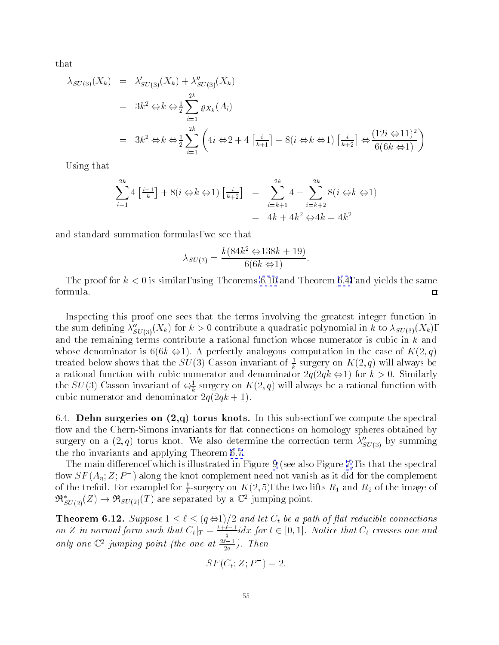<span id="page-54-0"></span>that

$$
\lambda_{SU(3)}(X_k) = \lambda'_{SU(3)}(X_k) + \lambda''_{SU(3)}(X_k)
$$
  
=  $3k^2 \Leftrightarrow k \Leftrightarrow \frac{1}{2} \sum_{i=1}^{2k} \varrho_{X_k}(A_i)$   
=  $3k^2 \Leftrightarrow k \Leftrightarrow \frac{1}{2} \sum_{i=1}^{2k} \left( 4i \Leftrightarrow 2 + 4\left[\frac{i}{k+1}\right] + 8(i \Leftrightarrow k \Leftrightarrow 1) \left[\frac{i}{k+2}\right] \Leftrightarrow \frac{(12i \Leftrightarrow 11)^2}{6(6k \Leftrightarrow 1)} \right)$ 

Using that

$$
\sum_{i=1}^{2k} 4\left[\frac{i-1}{k}\right] + 8\left(i \Leftrightarrow k \Leftrightarrow 1\right)\left[\frac{i}{k+2}\right] = \sum_{i=k+1}^{2k} 4 + \sum_{i=k+2}^{2k} 8\left(i \Leftrightarrow k \Leftrightarrow 1\right)
$$

$$
= 4k + 4k^2 \Leftrightarrow 4k = 4k^2
$$

and standard summation formulas, we see that

$$
\lambda_{SU(3)} = \frac{k(84k^2 \Leftrightarrow 138k + 19)}{6(6k \Leftrightarrow 1)}.
$$

The proof for  $k < 0$  is similar, using Theorems [6.10](#page-52-0) and Theorem [6.4,](#page-48-0) and yields the same formula.  $\Box$ 

Inspecting this proof one sees that the terms involving the greatest integer function in the sum defining  $\lambda''_{SU(3)}(X_k)$  for  $k > 0$  contribute a quadratic polynomial in k to  $\lambda_{SU(3)}(X_k)$ , and the remaining terms contribute a rational function whose numerator is cubic in  $k$  and whose denominator is  $6(6k \Leftrightarrow 1)$ . A perfectly analogous computation in the case of  $K(2,q)$ treated below shows that the  $SU(3)$  Casson invariant of  $\frac{1}{k}$  surgery on  $K(2,q)$  will always be a rational function with cubic numerator and denominator  $2q(2qk \Leftrightarrow 1)$  for  $k > 0$ . Similarly the SU(3) Casson invariant of  $\Leftrightarrow_{\overline{k}}$  surgery on A(2, q) will always be a rational function with cubic numerator and denominator  $2q(2qk+1)$ .

6.4. Dehn surgeries on  $(2,q)$  torus knots. In this subsection, we compute the spectral flow and the Chern-Simons invariants for flat connections on homology spheres obtained by surgery on a  $(2, q)$  torus knot. We also determine the correction term  $\lambda''_{SU(3)}$  by summing the rho invariants and applying Theorem [6.7.](#page-48-0)

The main difference, which is illustrated in Figure [9](#page-55-0) (see also Figure [7\)](#page-47-0), is that the spectral now  $\Im\,P\,(A_n;Z;P_-)$  along the knot complement need not vanish as it did for the complement of the trefoil. For example, for  $\frac{1}{L}$ -surgery on A (2, 3), the two lifts  $R_1$  and  $R_2$  of the image of  $\mathfrak{R}^*_{SU(2)}(Z) \to \mathfrak{R}_{SU(2)}(T)$  are separated by a  $\mathbb{C}^2$  jumping point.

The connections of the connections in the connections of and let  $\mathcal{A}$  and let  $\mathcal{A}$  and let  $\mathcal{A}$  be a set of  $\mathcal{A}$  and let  $\mathcal{A}$  be a set of  $\mathcal{A}$  and let  $\mathcal{A}$  be a set of  $\mathcal{A}$  and let on  $Z$  in normal form such that  $C_t|_T = \frac{1+1}{q}$  ax for  $t \in [0,1]$ . Notice that  $C_t$  crosses one and only one  $\cup$  jumping point (the one at  $\frac{2}{2q}$ ). Then

$$
SF(C_t; Z; P^-) = 2.
$$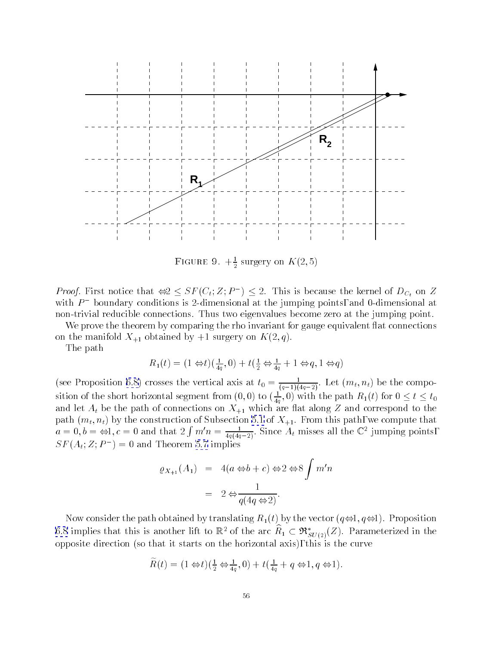<span id="page-55-0"></span>

FIGURE 9.  $+\frac{1}{2}$  surgery on  $K(2, 0)$ 

*Proof.* First notice that  $\Leftrightarrow Z \leq SL(U_t; Z; P) \leq Z$ . This is because the kernel of  $D_{C_t}$  on Z with  $P$  – boundary conditions is 2-dimensional at the jumping points, and 0-dimensional at  $\overline{\phantom{a}}$ non-trivial reducible connections. Thus two eigenvalues become zero at the jumping point.

We prove the theorem by comparing the rho invariant for gauge equivalent flat connections on the manifold  $X_{+1}$  obtained by  $+1$  surgery on  $K(2, q)$ .

The path

$$
R_1(t) = (1 \Leftrightarrow t)(\frac{1}{4q}, 0) + t(\frac{1}{2} \Leftrightarrow \frac{1}{4q} + 1 \Leftrightarrow q, 1 \Leftrightarrow q)
$$

(see Proposition [6.8\)](#page-50-0) crosses the vertical axis at  $t_0 = \frac{1}{(q-1)(4q-2)}$ . Let  $(m_t, n_t)$  be the composition of the short horizontal segment from  $(0,0)$  to  $(\frac{1}{4q},0)$  with the path  $R_1(t)$  for  $0\leq t\leq t_0$ and let  $A_t$  be the path of connections on  $X_{+1}$  which are flat along Z and correspond to the  $\alpha = 0, b = \Leftrightarrow 1, c = 0$  and that  $2 \int m'n = \frac{1}{4g(4g-2)}$ . Since  $A_t$  misses all the  $\mathbb{C}^2$  jumping points,  $S\Gamma(A_t; Z; F) = 0$  and Theorem 3.7 implies

$$
\varrho_{X_{+1}}(A_1) = 4(a \Leftrightarrow b + c) \Leftrightarrow 2 \Leftrightarrow 8 \int m'n
$$

$$
= 2 \Leftrightarrow \frac{1}{q(4q \Leftrightarrow 2)}.
$$

Now consider the path obtained by translating  $R_1(t)$  by the vector  $(q\Leftrightarrow 1, q\Leftrightarrow 1)$ . Proposition [6.8](#page-50-0) implies that this is another lift to  $\mathbb{R}^2$  of the arc  $R_1 \subset \mathcal{R}_{SU(2)}(Z)$ . Parameterized in the opposite direction (so that it starts on the horizontal axis), this is the curve

$$
\widetilde{R}(t) = (1 \Leftrightarrow t)(\frac{1}{2} \Leftrightarrow \frac{1}{4q}, 0) + t(\frac{1}{4q} + q \Leftrightarrow 1, q \Leftrightarrow 1).
$$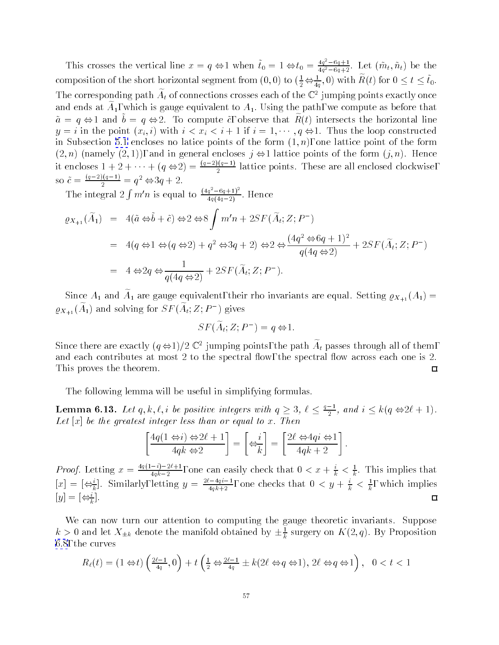<span id="page-56-0"></span>This crosses the vertical line  $x = q \Leftrightarrow 1$  when  $t_0 = 1 \Leftrightarrow t_0 = \frac{4q^2 - 6q+1}{4q^2 - 6q+2}$ . Let  $(\tilde{m}_t, \tilde{n}_t)$  be the composition of the short horizontal segment from  $(0,0)$  to  $(\frac{1}{2} \Leftrightarrow \frac{1}{4a},0)$  with  $R(t)$  for  $0 \leq t \leq t_0.$  $-1$ The corresponding path  $A_t$  of connections crosses each of the  $\mathbb{C}^*$  jumping points exactly once and ends at  $A_1$ , which is gauge equivalent to  $A_1$ . Using the path, we compute as before that  $a = q \leftrightarrow 1$  and  $b = q \leftrightarrow 2$ . To compute  $c$ , observe that  $R(t)$  intersects the horizontal line  $y = i$  in the point  $(x_i, i)$  with  $i < x_i < i + 1$  if  $i = 1, \dots, q \Leftrightarrow 1$ . Thus the loop constructed in Subsection [5.1](#page-31-0) encloses no latice points of the form  $(1, n)$ , one lattice point of the form  $(2, n)$  (namely  $(2, 1)$ ), and in general encloses  $j \Leftrightarrow 1$  lattice points of the form  $(j, n)$ . Hence it encloses  $1 + 2 + \cdots + (q \Leftrightarrow 2) = \frac{\sqrt{1-2\sqrt{1-2}}}{2}$  lattice points. These are all enclosed clockwise, so  $c = \frac{q^2}{2} = q^2 \Leftrightarrow 3q+2$ .

The integral  $2 \int m'n$  is equal to  $\frac{(4q^2-6q+1)^2}{4q(4q-2)}$ . Hence

$$
\varrho_{X_{+1}}(\widetilde{A}_1) = 4(\widetilde{a} \Leftrightarrow \widetilde{b} + \widetilde{c}) \Leftrightarrow 2 \Leftrightarrow 8 \int m'n + 2SF(\widetilde{A}_t; Z; P^-)
$$
  
=  $4(q \Leftrightarrow 1 \Leftrightarrow (q \Leftrightarrow 2) + q^2 \Leftrightarrow 3q + 2) \Leftrightarrow 2 \Leftrightarrow \frac{(4q^2 \Leftrightarrow 6q + 1)^2}{q(4q \Leftrightarrow 2)} + 2SF(\widetilde{A}_t; Z; P^-)$   
=  $4 \Leftrightarrow 2q \Leftrightarrow \frac{1}{q(4q \Leftrightarrow 2)} + 2SF(\widetilde{A}_t; Z; P^-).$ 

Since  $A_1$  and  $A_1$  are gauge equivalent, their rho invariants are equal. Setting  $\varrho_{X_{+1}}(A_1)$   $\varrho_{X_{\pm 1}}(A_1)$  and solving for  $\Im\varGamma(A_t;\mathcal{L}\,;\mathcal{F}\,)$  gives

$$
SF(\tilde{A}_t; Z; P^-) = q \Leftrightarrow 1.
$$

Since there are exactly  $(q \Leftrightarrow 1)/2 \Leftrightarrow$  Jumping points, the path  $A_t$  passes through all of them, and each contributes at most  $2$  to the spectral flow, the spectral flow across each one is  $2$ . This proves the theorem.  $\Box$ 

The following lemma will be useful in simplifying formulas.

**Lemma 6.13.** Let  $q, k, \ell, i$  be positive integers with  $q \geq 3, \ell \leq \frac{1}{2}$ , and  $i \leq k(q \Leftrightarrow 2\ell+1)$ . Let  $[x]$  be the greatest integer less than or equal to x. Then

$$
\left[\frac{4q(1 \Leftrightarrow i) \Leftrightarrow 2\ell + 1}{4qk \Leftrightarrow 2}\right] = \left[\Leftrightarrow \frac{i}{k}\right] = \left[\frac{2\ell \Leftrightarrow 4qi \Leftrightarrow 1}{4qk + 2}\right].
$$

*Proof.* Letting  $x = \frac{2\sqrt{2\pi}}{4qk-2}$ , one can easily check that  $0 < x + \frac{1}{k} < \frac{1}{k}$ . This implies that  $[x] = [\bigleftrightarrow_k].$  Similarly, letting  $y = \frac{-4i}{4qk+2}$ , one checks that  $0 < y + \frac{1}{k} < \frac{1}{k}$ , which implies  $\Box$  $|y| = |\Leftrightarrow_{\tau}$ .

We can now turn our attention to computing the gauge theoretic invariants. Suppose  $\kappa > 0$  and let  $\Lambda_{\pm k}$  denote the manifold obtained by  $\pm \frac{1}{k}$  surgery on  $K(z,q).$  By Proposition [6.8](#page-50-0), the curves

$$
R_\ell(t) = \left(1 \Leftrightarrow t\right) \left(\tfrac{2\ell-1}{4q},0\right) + t\left(\tfrac{1}{2} \Leftrightarrow \tfrac{2\ell-1}{4q} \pm k(2\ell \Leftrightarrow q \Leftrightarrow 1),\, 2\ell \Leftrightarrow q \Leftrightarrow 1\right),\ 0 < t < 1
$$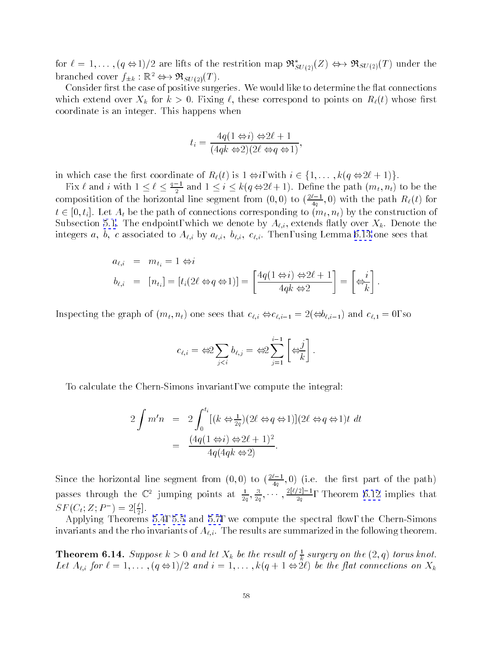<span id="page-57-0"></span>for  $\ell = 1,\ldots$ ,  $(q \Leftrightarrow 1)/2$  are lifts of the restrition map  $\mathfrak{R}_{SU(2)}^*(Z) \Leftrightarrow \mathfrak{R}_{SU(2)}(T)$  under the branched cover  $f_{\pm k} : \mathbb{R}^2 \leftrightarrow \Re_{SU(2)}(T)$ .

Consider first the case of positive surgeries. We would like to determine the flat connections which extend over  $X_k$  for  $k > 0$ . Fixing  $\ell$ , these correspond to points on  $R_{\ell}(t)$  whose first coordinate is an integer. This happens when

$$
t_i = \frac{4q(1 \Leftrightarrow i) \Leftrightarrow 2\ell + 1}{(4qk \Leftrightarrow 2)(2\ell \Leftrightarrow q \Leftrightarrow 1)},
$$

in which case the rest coordinate of R`(t) is 1 i, with interval  $\mathcal{I}$  i, with interval  $\mathcal{I}$  is 1 i,  $\mathcal{I}$  is 1)g.

Fix  $\ell$  and  $i$  with  $1 \leq \ell \leq \frac{i-1}{2}$  and  $1 \leq i \leq k(q \Leftrightarrow 2\ell+1)$ . Define the path  $(m_t, n_t)$  to be the compositition of the horizontal line segment from  $(0,0)$  to  $(\frac{2}{4q},0)$  with the path  $R_\ell(t)$  for  $t \in [0, t_i]$ . Let  $A_t$  be the path of connections corresponding to  $(m_t, n_t)$  by the construction of Subsection [5.1](#page-31-0). The endpoint, which we denote by  $A_{\ell,i}$ , extends flatly over  $X_k$ . Denote the integers a, b, c associated to  $A_{\ell,i}$  by  $a_{\ell,i}$ ,  $b_{\ell,i}$ ,  $c_{\ell,i}$ . Then, using Lemma [6.13](#page-56-0) one sees that

$$
a_{\ell,i} = m_{t_i} = 1 \Leftrightarrow i
$$
  
\n
$$
b_{\ell,i} = [n_{t_i}] = [t_i(2\ell \Leftrightarrow q \Leftrightarrow 1)] = \left[\frac{4q(1 \Leftrightarrow i) \Leftrightarrow 2\ell + 1}{4qk \Leftrightarrow 2}\right] = \left[\Leftrightarrow \frac{i}{k}\right].
$$

Inspecting the graph of  $(m_t, n_t)$  one sees that  $c_{\ell,i} \Leftrightarrow c_{\ell,i-1} = 2(\Leftrightarrow b_{\ell,i-1})$  and  $c_{\ell,1} = 0$ , so

$$
c_{\ell,i} = \Leftrightarrow 2 \sum_{j
$$

To calculate the Chern-Simons invariant, we compute the integral:

$$
2 \int m'n = 2 \int_0^{t_i} [(k \Leftrightarrow \frac{1}{2q})(2\ell \Leftrightarrow q \Leftrightarrow 1)](2\ell \Leftrightarrow q \Leftrightarrow 1)t \ dt
$$
  
= 
$$
\frac{(4q(1 \Leftrightarrow i) \Leftrightarrow 2\ell + 1)^2}{4q(4qk \Leftrightarrow 2)}.
$$

Since the horizontal line segment from  $(0,0)$  to  $(\frac{z}{4q},0)$  (i.e. the first part of the path) passes through the  $\mathbb{C}^2$  jumping points at  $\frac{1}{2q}, \frac{3}{2q}, \cdots, \frac{17q-1}{2q}$ , Theorem [6.12](#page-54-0) implies that  $\varphi F\left(\bigcup_i Z;P^-\right)\equiv Z[\frac{1}{2}].$ 

Applying Theorems [5.4,](#page-33-0) [5.5](#page-34-0)and [5.7,](#page-39-0) we compute the spectral 
ow, the Chern-Simons invariants and the rho invariants of  $A_{\ell,i}$ . The results are summarized in the following theorem.

**Theorem 6.14.** Suppose  $\kappa > 0$  and let  $X_k$  be the result of  $\frac{1}{k}$  surgery on the  $(Z, q)$  torus knot. Let  $A_{\ell,i}$  for  $\ell = 1,\ldots,(q \Leftrightarrow 1)/2$  and  $i = 1,\ldots,k(q + 1 \Leftrightarrow 2\ell)$  be the flat connections on  $X_k$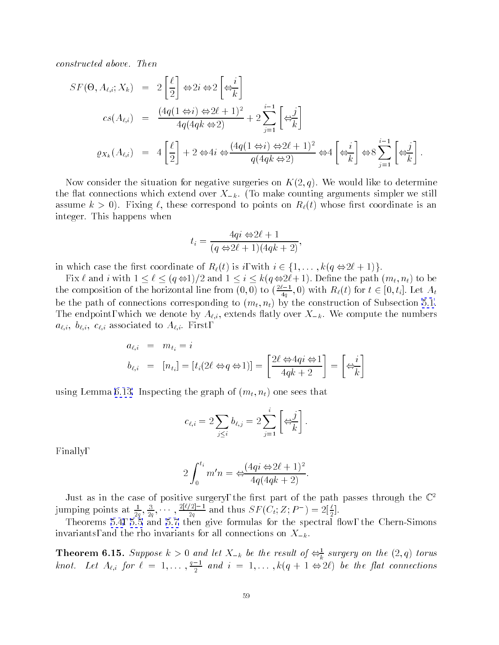<span id="page-58-0"></span>constructed above. Then

$$
SF(\Theta, A_{\ell,i}; X_k) = 2\left[\frac{\ell}{2}\right] \Leftrightarrow 2i \Leftrightarrow 2\left[\Leftrightarrow \frac{i}{k}\right]
$$
  
\n
$$
cs(A_{\ell,i}) = \frac{(4q(1 \Leftrightarrow i) \Leftrightarrow 2\ell + 1)^2}{4q(4qk \Leftrightarrow 2)} + 2\sum_{j=1}^{i-1} \left[\Leftrightarrow \frac{j}{k}\right]
$$
  
\n
$$
\varrho_{X_k}(A_{\ell,i}) = 4\left[\frac{\ell}{2}\right] + 2 \Leftrightarrow 4i \Leftrightarrow \frac{(4q(1 \Leftrightarrow i) \Leftrightarrow 2\ell + 1)^2}{q(4qk \Leftrightarrow 2)} \Leftrightarrow 4\left[\Leftrightarrow \frac{i}{k}\right] \Leftrightarrow 8\sum_{j=1}^{i-1} \left[\Leftrightarrow \frac{j}{k}\right].
$$

Now consider the situation for negative surgeries on  $K(2,q)$ . We would like to determine the flat connections which extend over  $X_{-k}$ . (To make counting arguments simpler we still assume  $k > 0$ ). Fixing  $\ell$ , these correspond to points on  $R_{\ell}(t)$  whose first coordinate is an integer. This happens when

$$
t_i = \frac{4qi \Leftrightarrow 2\ell + 1}{(q \Leftrightarrow 2\ell + 1)(4qk + 2)},
$$

in which case the first coordinate of  $R_{\ell}(t)$  is i, with  $i \in \{1,\ldots,k(q \Leftrightarrow 2\ell + 1)\}.$ 

Fix ` and iwith 1 ` (q 1)=2 and 1 i k(q 2`+ 1): Dene the path (mt; nt) to be the composition of the horizontal line from  $(0,0)$  to  $(\frac{2}{4q},0)$  with  $R_\ell(t)$  for  $t\in [0,t_i].$  Let  $A_t$ be the path of connections corresponding to  $(m_t, n_t)$  by the construction of Subsection [5.1](#page-31-0). The endpoint, which we denote by  $A_{\ell,i}$ , extends flatly over  $X_{-k}$ . We compute the numbers  $a_{\ell,i}, b_{\ell,i}, c_{\ell,i}$  associated to  $A_{\ell,i}$ . First,

$$
a_{\ell,i} = m_{t_i} = i
$$
  

$$
b_{\ell,i} = [n_{t_i}] = [t_i(2\ell \Leftrightarrow q \Leftrightarrow 1)] = \left[\frac{2\ell \Leftrightarrow 4qi \Leftrightarrow 1}{4qk+2}\right] = \left[\Leftrightarrow \frac{i}{k}\right]
$$

using Lemma [6.13.](#page-56-0) Inspecting the graph of  $(m_t, n_t)$  one sees that

$$
c_{\ell,i}=2\sum_{j\leq i}b_{\ell,j}=2\sum_{j=1}^i\left[\Leftrightarrow_{\overline{k}}^j\right].
$$

Finally,

$$
2\int_0^{t_i} m'n = \Leftrightarrow \frac{(4qi \Leftrightarrow 2\ell + 1)^2}{4q(4qk + 2)}.
$$

Just as in the case of positive surgery, the first part of the path passes through the  $\mathbb{C}^+$ jumping points at  $\frac{1}{2q}, \frac{3}{2q}, \cdots, \frac{1}{2q}$  and thus  $SF(C_t; Z; P) = 2[\frac{1}{2}]$ .

Theorems [5.5](#page-34-0)and [5.7](#page-39-0) then give formulas formulas formulas for the spectral  $\mathbb{R}$ invariants, and the rho invariants for all connections on  $X_{-k}$ 

**Theorem 6.15.** Suppose  $\kappa > 0$  and let  $X_{-k}$  be the result of  $\Leftrightarrow_{\overline{k}}^{\epsilon}$  surgery on the  $(2,q)$  torus knot. Let  $A_{\ell,i}$  for  $\ell = 1,\ldots, \frac{\ell-1}{2}$  and  $i = 1,\ldots, \kappa (q+1 \Leftrightarrow 2\ell)$  be the flat connections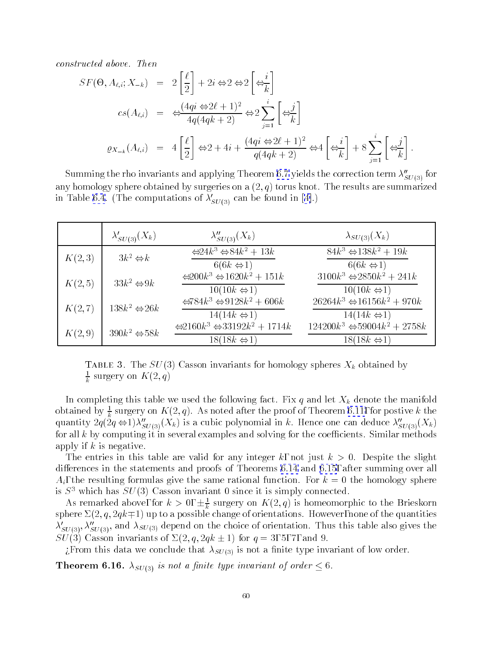<span id="page-59-0"></span>constructed above. Then

$$
SF(\Theta, A_{\ell,i}; X_{-k}) = 2\left[\frac{\ell}{2}\right] + 2i \Leftrightarrow 2 \Leftrightarrow 2\left[\Leftrightarrow \frac{i}{k}\right]
$$
  

$$
cs(A_{\ell,i}) = \Leftrightarrow \frac{(4qi \Leftrightarrow 2\ell + 1)^2}{4q(4qk + 2)} \Leftrightarrow 2\sum_{j=1}^{i} \left[\Leftrightarrow \frac{j}{k}\right]
$$
  

$$
\varrho_{X_{-k}}(A_{\ell,i}) = 4\left[\frac{\ell}{2}\right] \Leftrightarrow 2 + 4i + \frac{(4qi \Leftrightarrow 2\ell + 1)^2}{q(4qk + 2)} \Leftrightarrow 4\left[\Leftrightarrow \frac{i}{k}\right] + 8\sum_{j=1}^{i} \left[\Leftrightarrow \frac{j}{k}\right].
$$

Summing the rho invariants and applying Theorem [6.7](#page-48-0) yields the correction term  $\lambda''_{SU(3)}$  for any homology sphere obtained by surgeries on a  $(2, q)$  torus knot. The results are summarized in Table [6.4](#page-58-0).(The computations of  $\lambda'_{SU(3)}$  can be found in [[4\]](#page-61-0).)

|         | $\lambda'_{SU(3)}(X_k)$      | $\lambda''_{SU(3)}(X_k)$                                                                  | $\lambda_{SU(3)}(X_k)$                                                      |
|---------|------------------------------|-------------------------------------------------------------------------------------------|-----------------------------------------------------------------------------|
| K(2,3)  | $3k^2 \Leftrightarrow k$     | $\Leftrightarrow 24k^3 \Leftrightarrow 84k^2 + 13k$<br>$6(6k \Leftrightarrow 1)$          | $84k^3 \Leftrightarrow 138k^2 + 19k$<br>$6(6k \Leftrightarrow 1)$           |
| K(2,5)  | $33k^2 \Leftrightarrow 9k$   | $\Leftrightarrow 200k^3 \Leftrightarrow 1620k^2 + 151k$<br>$10(10k \Leftrightarrow 1)$    | $3100k^3 \Leftrightarrow 2850k^2 + 241k$<br>$10(10k \Leftrightarrow 1)$     |
| K(2, 7) | $138k^2 \Leftrightarrow 26k$ | $\Leftrightarrow 784k^3 \Leftrightarrow 9128k^2 + 606k$<br>$14(14k \Leftrightarrow 1)$    | $26264k^3 \Leftrightarrow 16156k^2 + 970k$<br>$14(14k \Leftrightarrow 1)$   |
| K(2,9)  | $390k^2 \Leftrightarrow 58k$ | $\Leftrightarrow 2160k^3 \Leftrightarrow 33192k^2 + 1714k$<br>$18(18k \Leftrightarrow 1)$ | $124200k^3 \Leftrightarrow 59004k^2 + 2758k$<br>$18(18k \Leftrightarrow 1)$ |

Table 5. The  $SU(3)$  Casson invariants for homology spheres  $\Lambda_k$  obtained by  $\frac{1}{k}$  surgery on  $\Lambda$  (2, q)

In completing this table we used the following fact. Fix q and let  $X_k$  denote the manifold obtained by  $\frac{1}{k}$  surgery on A  $(2,q)$ . As noted after the proof of Theorem [6.11,](#page-53-0) for postive  $\kappa$  the quantity  $2q(2q \Leftrightarrow 1)\lambda''_{SU(3)}(X_k)$  is a cubic polynomial in k. Hence one can deduce  $\lambda''_{SU(3)}(X_k)$ for all  $k$  by computing it in several examples and solving for the coefficients. Similar methods apply if  $k$  is negative.

The entries in this table are valid for any integer k, not just  $k > 0$ . Despite the slight differences in the statements and proofs of Theorems [6.14](#page-57-0)and [6.15](#page-58-0), after summing over all  $A_i$ , the resulting formulas give the same rational function. For  $k = 0$  the homology sphere is  $S<sup>3</sup>$  which has  $SU(3)$  Casson invariant 0 since it is simply connected.

As remarked above, for  $\kappa > 0, \pm \frac{1}{k}$  surgery on  $K(2,q)$  is nomeomorphic to the Brieskorn sphere  $\Sigma(2, q, 2qk+1)$  up to a possible change of orientations. However, none of the quantities  $\lambda'_{SU(3)}$ ,  $\lambda''_{SU(3)}$ , and  $\lambda_{SU(3)}$  depend on the choice of orientation. Thus this table also gives the  $SU(3)$  Casson invariants of  $\Sigma(2, q, 2qk \pm 1)$  for  $q = 3, 5, 7,$  and 9.

¿From this data we conclude that  $\lambda_{SU(3)}$  is not a finite type invariant of low order.

**Theorem 6.16.**  $\lambda_{SU(3)}$  is not a finite type invariant of order  $\leq 6$ .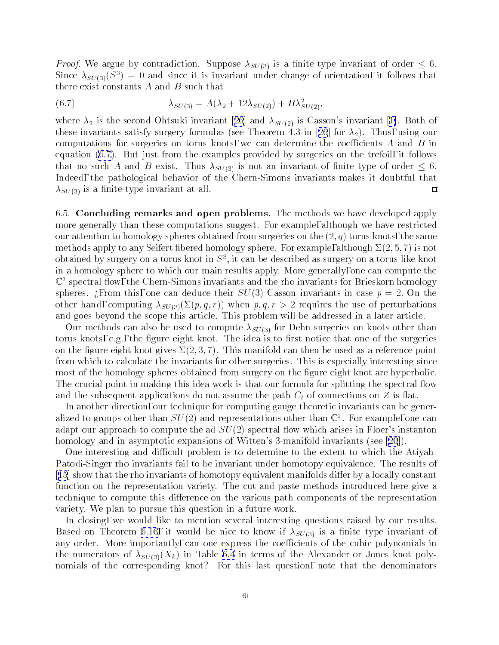<span id="page-60-0"></span>*Proof.* We argue by contradiction. Suppose  $\lambda_{SU(3)}$  is a finite type invariant of order  $\leq 6$ . Since  $\lambda_{SU(3)}(S^3) = 0$  and since it is invariant under change of orientation, it follows that there exist constants  $A$  and  $B$  such that

(6.7) 
$$
\lambda_{SU(3)} = A(\lambda_2 + 12\lambda_{SU(2)}) + B\lambda_{SU(2)}^2,
$$

where $\lambda_2$  is the second Ohtsuki invariant [[26](#page-62-0)] and  $\lambda_{SU(2)}$  is Casson's invariant [\[1](#page-61-0)]. Both of theseinvariants satisfy surgery formulas (see Theorem 4.3 in [[26](#page-62-0)] for  $\lambda_2$ ). Thus, using our computations for surgeries on torus knots, we can determine the coefficients  $A$  and  $B$  in equation (6.7). But just from the examples provided by surgeries on the trefoil, it follows that no such A and B exist. Thus  $\lambda_{SU(3)}$  is not an invariant of finite type of order  $\leq 6$ . Indeed, the pathological behavior of the Chern-Simons invariants makes it doubtful that  $\lambda_{SU(3)}$  is a finite-type invariant at all.  $\Box$ 

6.5. Concluding remarks and open problems. The methods we have developed apply more generally than these computations suggest. For example, although we have restricted our attention to homology spheres obtained from surgeries on the  $(2, q)$  torus knots, the same methods apply to any Seifert fibered homology sphere. For example, although  $\Sigma(2,5,7)$  is not obtained by surgery on a torus knot in  $S^1$ , it can be described as surgery on a torus-like knot  $\sim$ in a homology sphere to which our main results apply. More generally, one can compute the  $\mathbb{C}^2$  spectral flow, the Chern-Simons invariants and the rho invariants for Brieskorn homology spheres. From this, one can deduce their  $SU(3)$  Casson invariants in case  $p = 2$ . On the other hand, computing  $\lambda_{SU(3)}(\Sigma(p,q,r))$  when  $p,q,r > 2$  requires the use of perturbations and goes beyond the scope this article. This problem will be addressed in a later article.

Our methods can also be used to compute  $\lambda_{SU(3)}$  for Dehn surgeries on knots other than torus knots, e.g., the figure eight knot. The idea is to first notice that one of the surgeries on the figure eight knot gives  $\Sigma(2,3,7)$ . This manifold can then be used as a reference point from which to calculate the invariants for other surgeries. This is especially interesting since most of the homology spheres obtained from surgery on the figure eight knot are hyperbolic. The crucial point in making this idea work is that our formula for splitting the spectral flow and the subsequent applications do not assume the path  $C_t$  of connections on Z is flat.

In another direction, our technique for computing gauge theoretic invariants can be generalized to groups other than  $SU(2)$  and representations other than  $\mathbb{C}^+$ . For example, one can adapt our approach to compute the ad  $SU(2)$  spectral flow which arises in Floer's instanton homologyand in asymptotic expansions of Witten's 3-manifold invariants (see [[20](#page-61-0)]).

One interesting and difficult problem is to determine to the extent to which the Atiyah-Patodi-Singer rho invariants fail to be invariant under homotopy equivalence. The results of  $[15]$  $[15]$  $[15]$  show that the rho invariants of homotopy equivalent manifolds differ by a locally constant function on the representation variety. The cut-and-paste methods introduced here give a technique to compute this difference on the various path components of the representation variety. We plan to pursue this question in a future work.

In closing, we would like to mention several interesting questions raised by our results. Based on Theorem [6.16,](#page-59-0) it would be nice to know if  $\lambda_{SU(3)}$  is a finite type invariant of any order. More importantly, can one express the coefficients of the cubic polynomials in the numerators of  $\lambda_{SU(3)}(X_k)$  in Table [6.4](#page-58-0) in terms of the Alexander or Jones knot polynomials of the corresponding knot? For this last question, note that the denominators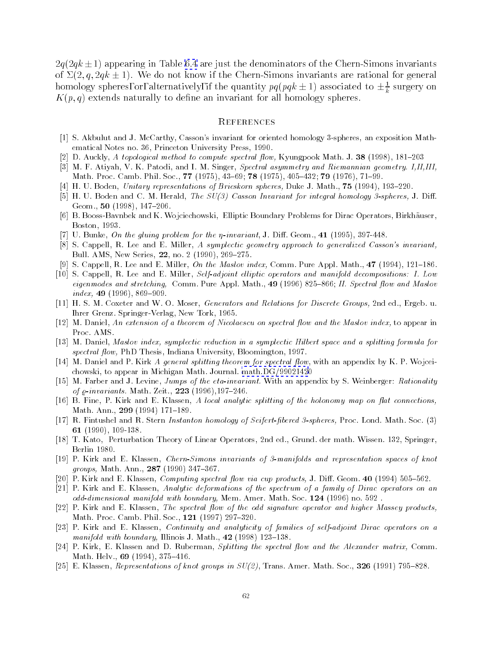<span id="page-61-0"></span> $2q(2qk \pm 1)$  appearing in Table [6.4](#page-58-0) are just the denominators of the Chern-Simons invariants of  $\Sigma(2, q, 2qk \pm 1)$ . We do not know if the Chern-Simons invariants are rational for general nomology spheres, or, alternatively, if the quantity  $pq(pq\kappa \pm 1)$  associated to  $\pm \frac{1}{k}$  surgery on  $K(p,q)$  extends naturally to define an invariant for all homology spheres.

### **REFERENCES**

- [1] S. Akbulut and J. McCarthy, Casson's invariant for oriented homology 3-spheres, an exposition Mathematical Notes no. 36, Princeton University Press, 1990.
- [2] D. Auckly, A topological method to compute spectral flow, Kyungpook Math. J. 38 (1998),  $181-203$
- [3] M. F. Atiyah, V. K. Patodi, and I. M. Singer, Spectral asymmetry and Riemannian geometry. I,II,III, Math. Proc. Camb. Phil. Soc., 77 (1975), 43-69; 78 (1975), 405-432; 79 (1976), 71-99.
- [4] H. U. Boden, Unitary representations of Brieskorn spheres, Duke J. Math.,  $75$  (1994), 193-220.
- [5] H. U. Boden and C. M. Herald, The SU(3) Casson Invariant for integral homology 3-spheres, J. Diff. Geom., 50 (1998), 147-206.
- [6] B. Booss-Bavnbek and K. Wojciechowski, Elliptic Boundary Problems for Dirac Operators, Birkhauser, Boston, 1993.
- [7] U. Bunke, On the gluing problem for the  $\eta$ -invariant, J. Diff. Geom., 41 (1995), 397-448.
- [8] S. Cappell, R. Lee and E. Miller, A symplectic geometry approach to generalized Casson's invariant, Bull. AMS, New Series, 22, no. 2 (1990), 269-275.
- [9] S. Cappell, R. Lee and E. Miller, On the Maslov index, Comm. Pure Appl. Math., 47 (1994), 121-186.
- [10] S. Cappell, R. Lee and E. Miller, Self-adjoint el liptic operators and manifold decompositions: I. Low eigenmodes and stretching, Comm. Pure Appl. Math., 49 (1996) 825-866; II. Spectral flow and Maslov  $index, 49 (1996), 869-909.$
- [11] H. S. M. Coxeter and W. O. Moser, Generators and Relations for Discrete Groups, 2nd ed., Ergeb. u. Ihrer Grenz. Springer-Verlag, New Tork, 1965.
- [12] M. Daniel, An extension of a theorem of Nicolaescu on spectral flow and the Maslov index, to appear in Proc. AMS
- [13] M. Daniel, Maslov index, symplectic reduction in a symplectic Hilbert space and a splitting formula for spectral flow, PhD Thesis, Indiana University, Bloomington, 1997.
- [14] M. Daniel and P. Kirk A general splitting theorem for spectral flow, with an appendix by K. P. Wojceichowski, to appear in Michigan Math. Journal. [math.DG/9902142](http://xxx.lanl.gov/abs/math/9902142)0
- [15] M. Farber and J. Levine, Jumps of the eta-invariant. With an appendix by S. Weinberger: Rationality of  $\varrho$ -invariants. Math. Zeit., 223 (1996), 197-246.
- [16] B. Fine, P. Kirk and E. Klassen, A local analytic splitting of the holonomy map on flat connections, Math. Ann., 299 (1994) 171-189.
- [17] R. Fintushel and R. Stern Instanton homology of Seifert-bered 3-spheres, Proc. Lond. Math. Soc. (3) <sup>61</sup> (1990), 109-138.
- [18] T. Kato, Perturbation Theory of Linear Operators, 2nd ed., Grund. der math. Wissen. 132, Springer, Berlin 1980.
- [19] P. Kirk and E. Klassen, Chern-Simons invariants of 3-manifolds and representation spaces of knot groups, Math. Ann., 287 (1990) 347-367.
- [20] P. Kirk and E. Klassen, *Computing spectral flow via cup products*, J. Diff. Geom.  $40$  (1994) 505-562.
- [21] P. Kirk and E. Klassen, Analytic deformations of the spectrum of a family of Dirac operators on an odd-dimensional manifold with boundary, Mem. Amer. Math. Soc. <sup>124</sup> (1996) no. 592 .
- [22] P. Kirk and E. Klassen, The spectral flow of the odd signature operator and higher Massey products, Math. Proc. Camb. Phil. Soc., 121 (1997) 297-320.
- [23] P. Kirk and E. Klassen, Continuity and analyticity of families of self-adjoint Dirac operators on a manifold with boundary, Illinois J. Math.,  $42$  (1998) 123-138.
- [24] P. Kirk, E. Klassen and D. Ruberman, Splitting the spectral flow and the Alexander matrix, Comm. Math. Helv.,  $69$  (1994),  $375-416$ .
- [25] E. Klassen, Representations of knot groups in  $SU(2)$ , Trans. Amer. Math. Soc., 326 (1991) 795-828.